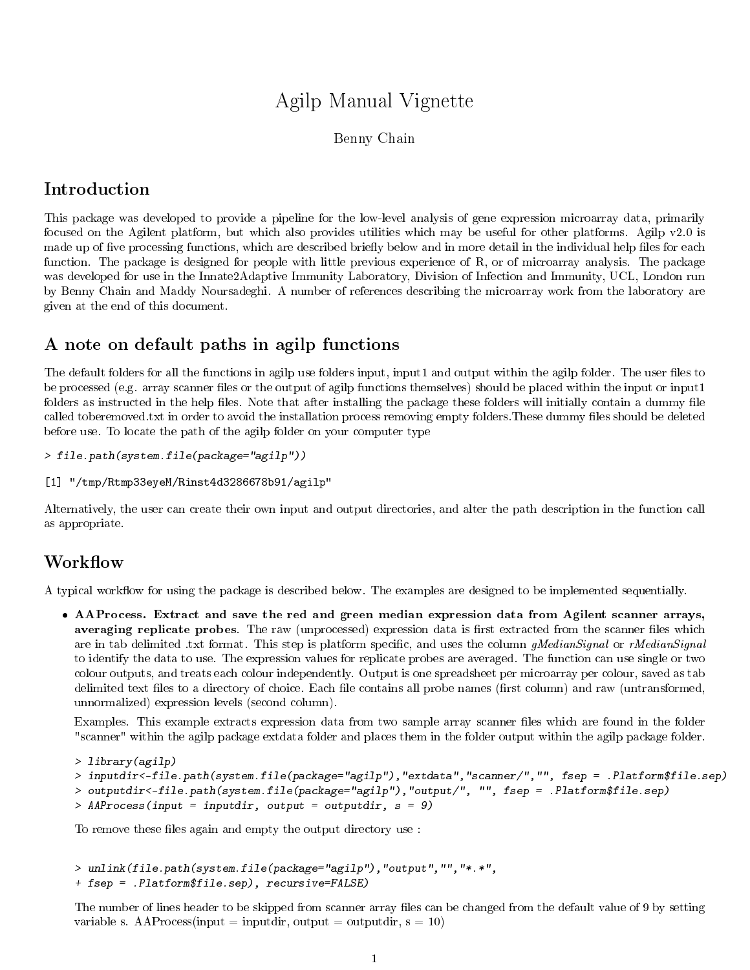# Agilp Manual Vignette

Benny Chain

## Introduction

This package was developed to provide a pipeline for the low-level analysis of gene expression microarray data, primarily focused on the Agilent platform, but which also provides utilities which may be useful for other platforms. Agilp v2.0 is made up of five processing functions, which are described briefly below and in more detail in the individual help files for each function. The package is designed for people with little previous experience of R, or of microarray analysis. The package was developed for use in the Innate2Adaptive Immunity Laboratory, Division of Infection and Immunity, UCL, London run by Benny Chain and Maddy Noursadeghi. A number of references describing the microarray work from the laboratory are given at the end of this document.

## A note on default paths in agilp functions

The default folders for all the functions in agilp use folders input, input1 and output within the agilp folder. The user files to be processed (e.g. array scanner files or the output of agilp functions themselves) should be placed within the input or input1 folders as instructed in the help files. Note that after installing the package these folders will initially contain a dummy file called toberemoved.txt in order to avoid the installation process removing empty folders. These dummy files should be deleted before use. To locate the path of the agilp folder on your computer type

```
> file.path(system.file(package="agilp"))
```

```
[1] "/tmp/Rtmp33eyeM/Rinst4d3286678b91/agilp"
```
Alternatively, the user can create their own input and output directories, and alter the path description in the function call as appropriate.

#### Workflow

A typical workflow for using the package is described below. The examples are designed to be implemented sequentially.

 AAProcess. Extract and save the red and green median expression data from Agilent scanner arrays, averaging replicate probes. The raw (unprocessed) expression data is first extracted from the scanner files which are in tab delimited .txt format. This step is platform specific, and uses the column gMedianSignal or rMedianSignal to identify the data to use. The expression values for replicate probes are averaged. The function can use single or two colour outputs, and treats each colour independently. Output is one spreadsheet per microarray per colour, saved as tab delimited text files to a directory of choice. Each file contains all probe names (first column) and raw (untransformed, unnormalized) expression levels (second column).

Examples. This example extracts expression data from two sample array scanner files which are found in the folder "scanner" within the agilp package extdata folder and places them in the folder output within the agilp package folder.

```
> library(agilp)
> inputdir<-file.path(system.file(package="agilp"),"extdata","scanner/","", fsep = .Platform$file.sep)
> outputdir<-file.path(system.file(package="agilp"),"output/", "", fsep = .Platform$file.sep)
> AAProcess(input = inputdir, output = outputdir, s = 9)
```
To remove these files again and empty the output directory use :

```
> unlink(file.path(system.file(package="agilp"),"output","","*.*",
+ fsep = .Platform$file.sep), recursive=FALSE)
```
The number of lines header to be skipped from scanner array files can be changed from the default value of 9 by setting variable s. AAProcess(input = inputdir, output = outputdir,  $s = 10$ )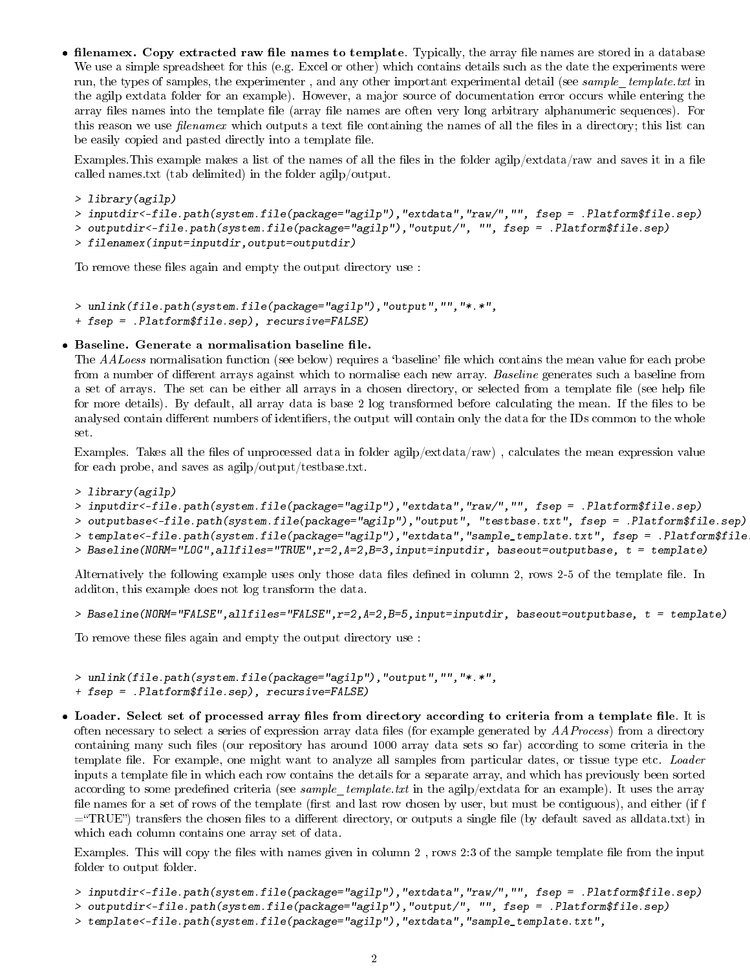• filenamex. Copy extracted raw file names to template. Typically, the array file names are stored in a database We use a simple spreadsheet for this (e.g. Excel or other) which contains details such as the date the experiments were run, the types of samples, the experimenter, and any other important experimental detail (see sample template.txt in the agilp extdata folder for an example). However, a major source of documentation error occurs while entering the array files names into the template file (array file names are often very long arbitrary alphanumeric sequences). For this reason we use *filenamex* which outputs a text file containing the names of all the files in a directory; this list can be easily copied and pasted directly into a template file.

Examples. This example makes a list of the names of all the files in the folder agilp/extdata/raw and saves it in a file called names.txt (tab delimited) in the folder agilp/output.

```
> library(agilp)
```

```
> inputdir<-file.path(system.file(package="agilp"),"extdata","raw/","", fsep = .Platform$file.sep)
```

```
> outputdir<-file.path(system.file(package="agilp"),"output/", "", fsep = .Platform$file.sep)
```
> filenamex(input=inputdir,output=outputdir)

To remove these files again and empty the output directory use :

```
> unlink(file.path(system.file(package="agilp"),"output","","*.*",
```
+ fsep = .Platform\$file.sep), recursive=FALSE)

#### · Baseline. Generate a normalisation baseline file.

The AALoess normalisation function (see below) requires a 'baseline' file which contains the mean value for each probe from a number of different arrays against which to normalise each new array. Baseline generates such a baseline from a set of arrays. The set can be either all arrays in a chosen directory, or selected from a template file (see help file for more details). By default, all array data is base 2 log transformed before calculating the mean. If the files to be analysed contain different numbers of identifiers, the output will contain only the data for the IDs common to the whole set.

Examples. Takes all the files of unprocessed data in folder agilp/ $extdata/raw$ , calculates the mean expression value for each probe, and saves as agilp/output/testbase.txt.

- > library(agilp)
- > inputdir<-file.path(system.file(package="agilp"),"extdata","raw/","", fsep = .Platform\$file.sep)
- > outputbase<-file.path(system.file(package="agilp"),"output", "testbase.txt", fsep = .Platform\$file.sep)
- > template<-file.path(system.file(package="agilp"),"extdata","sample\_template.txt", fsep = .Platform\$file
- > Baseline(NORM="LOG",allfiles="TRUE", $r=2$ , $A=2$ , $B=3$ ,input=inputdir, baseout=outputbase, t = template)

Alternatively the following example uses only those data files defined in column 2, rows 2-5 of the template file. In additon, this example does not log transform the data.

```
> Baseline(NORM="FALSE",allfiles="FALSE",r=2,A=2,B=5,input=inputdir, baseout=outputbase, t = template)
```
To remove these files again and empty the output directory use :

```
> unlink(file.path(system.file(package="agilp"),"output","","*.*",
```
+ fsep = .Platform\$file.sep), recursive=FALSE)

• Loader. Select set of processed array files from directory according to criteria from a template file. It is often necessary to select a series of expression array data files (for example generated by  $AAProcess$ ) from a directory containing many such les (our repository has around 1000 array data sets so far) according to some criteria in the template file. For example, one might want to analyze all samples from particular dates, or tissue type etc. Loader inputs a template file in which each row contains the details for a separate array, and which has previously been sorted according to some predefined criteria (see sample template.txt in the agilp/extdata for an example). It uses the array file names for a set of rows of the template (first and last row chosen by user, but must be contiguous), and either (if f  $=\text{TRUE}$ ") transfers the chosen files to a different directory, or outputs a single file (by default saved as alldata.txt) in which each column contains one array set of data.

Examples. This will copy the files with names given in column 2, rows 2:3 of the sample template file from the input folder to output folder.

```
> inputdir<-file.path(system.file(package="agilp"),"extdata","raw/","", fsep = .Platform$file.sep)
```

```
> outputdir<-file.path(system.file(package="agilp"),"output/", "", fsep = .Platform$file.sep)
```

```
> template<-file.path(system.file(package="agilp"),"extdata","sample_template.txt",
```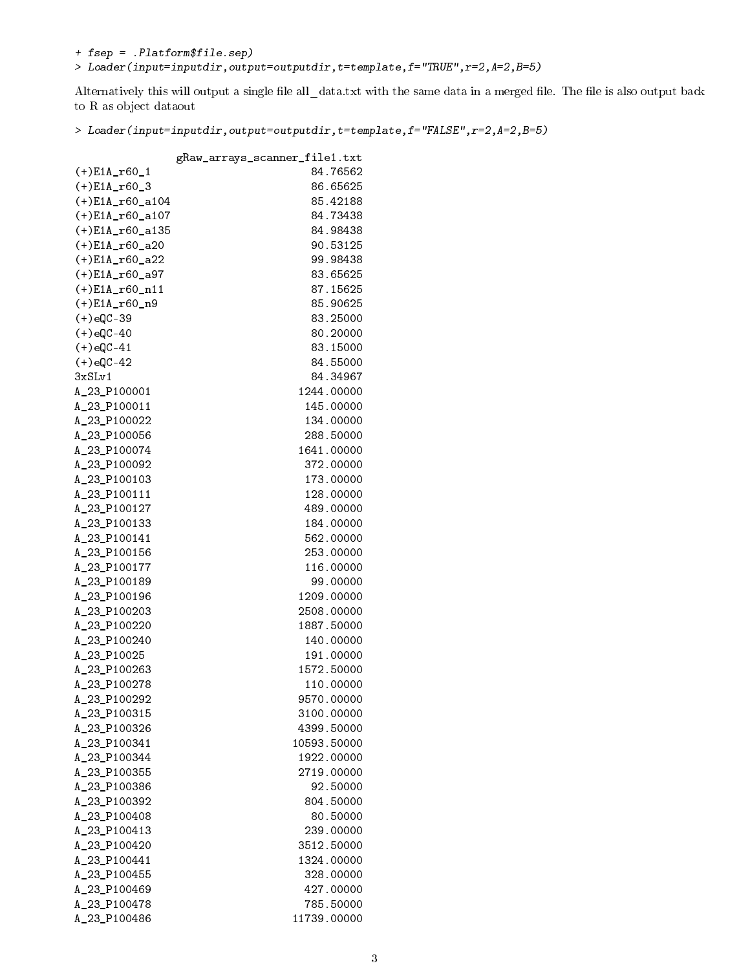+ fsep = .Platform\$file.sep)

> Loader(input=inputdir,output=outputdir,t=template,f="TRUE",r=2,A=2,B=5)

Alternatively this will output a single file all\_data.txt with the same data in a merged file. The file is also output back to R as object dataout

> Loader(input=inputdir,output=outputdir,t=template,f="FALSE",r=2,A=2,B=5)

|                    | gRaw_arrays_scanner_file1.txt |
|--------------------|-------------------------------|
| $(+)E1A_160_1$     | 84.76562                      |
| $(+)$ E1A_r60_3    | 86.65625                      |
| $(+)$ E1A_r60_a104 | 85.42188                      |
| $(+)$ E1A_r60_a107 | 84.73438                      |
| $(+)$ E1A_r60_a135 | 84.98438                      |
| $(+)$ E1A_r60_a20  | 90.53125                      |
| $(+)$ E1A_r60_a22  | 99.98438                      |
| $(+)$ E1A_r60_a97  | 83.65625                      |
| $(+) E1A_160_111$  | 87.15625                      |
| $(+)$ E1A_r60_n9   | 85.90625                      |
| $(+)$ eQC-39       | 83.25000                      |
| $(+)$ eQC-40       | 80.20000                      |
| $(+)$ eQC-41       | 83.15000                      |
| $(+)$ eQC-42       | 84.55000                      |
| 3xSLv1             | 84.34967                      |
| A_23_P100001       | 1244.00000                    |
| A_23_P100011       | 145.00000                     |
| A_23_P100022       | 134.00000                     |
| A_23_P100056       | 288.50000                     |
| A_23_P100074       | 1641.00000                    |
| A_23_P100092       | 372.00000                     |
| A_23_P100103       | 173.00000                     |
| A_23_P100111       | 128.00000                     |
| A_23_P100127       | 489.00000                     |
|                    | 184.00000                     |
| A_23_P100133       | 562.00000                     |
| A_23_P100141       | 253.00000                     |
| A_23_P100156       | 116.00000                     |
| A_23_P100177       |                               |
| A_23_P100189       | 99.00000                      |
| A_23_P100196       | 1209.00000<br>2508.00000      |
| A_23_P100203       | 1887.50000                    |
| A_23_P100220       |                               |
| A_23_P100240       | 140.00000                     |
| A_23_P10025        | 191.00000                     |
| A_23_P100263       | 1572.50000                    |
| A_23_P100278       | 110.00000                     |
| A_23_P100292       | 9570.00000                    |
| A_23_P100315       | 3100.00000                    |
| A_23_P100326       | 4399.50000                    |
| A_23_P100341       | 10593.50000                   |
| A_23_P100344       | 1922.00000                    |
| A_23_P100355       | 2719.00000                    |
| A_23_P100386       | 92.50000                      |
| A_23_P100392       | 804.50000                     |
| A_23_P100408       | 80.50000                      |
| A_23_P100413       | 239.00000                     |
| A_23_P100420       | 3512.50000                    |
| A_23_P100441       | 1324.00000                    |
| A_23_P100455       | 328.00000                     |
| A_23_P100469       | 427.00000                     |
| A_23_P100478       | 785.50000                     |
| A_23_P100486       | 11739.00000                   |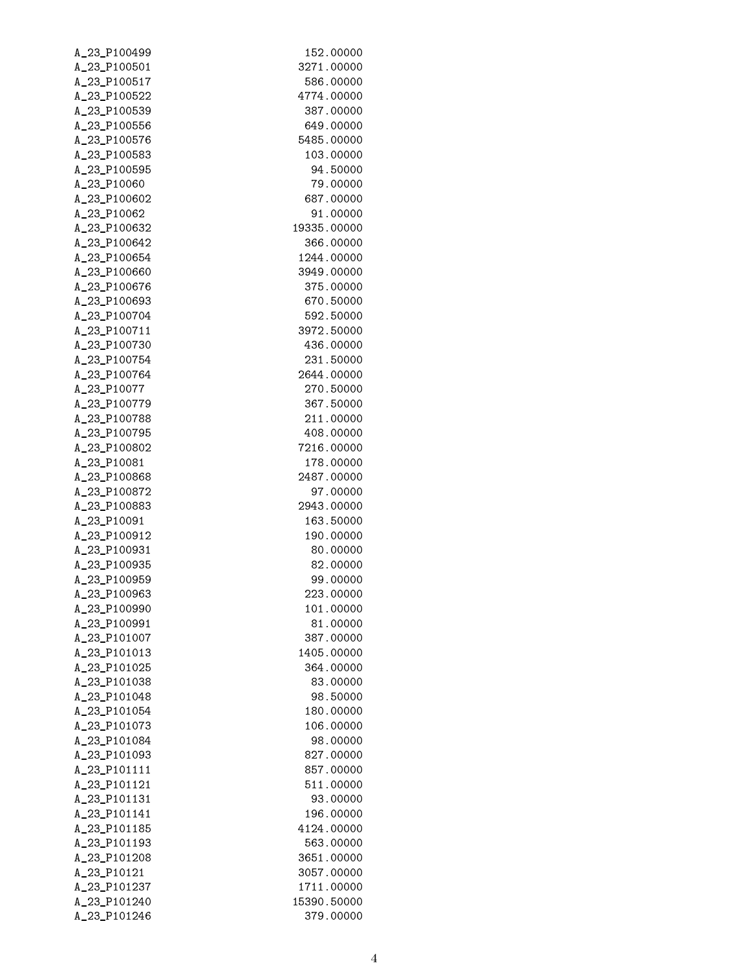| A_23_P100499 | 152.00000   |
|--------------|-------------|
| A_23_P100501 | 3271.00000  |
| A_23_P100517 | 586.00000   |
| A_23_P100522 | 4774.00000  |
| A_23_P100539 | 387.00000   |
| A_23_P100556 | 649,00000   |
| A_23_P100576 | 5485.00000  |
| A_23_P100583 | 103.00000   |
| A_23_P100595 | 94.50000    |
| A_23_P10060  | 79.00000    |
| A_23_P100602 | 687.00000   |
| A_23_P10062  | 91.00000    |
| A_23_P100632 | 19335.00000 |
| A_23_P100642 | 366.00000   |
| A_23_P100654 | 1244.00000  |
| A_23_P100660 | 3949.00000  |
| A_23_P100676 | 375,00000   |
| A 23 P100693 | 670.50000   |
| A_23_P100704 | 592.50000   |
| A_23_P100711 | 3972.50000  |
| A_23_P100730 | 436.00000   |
| A_23_P100754 | 231.50000   |
| A_23_P100764 | 2644.00000  |
| A_23_P10077  | 270.50000   |
| A_23_P100779 | 367.50000   |
| A_23_P100788 | 211.00000   |
| A_23_P100795 | 408.00000   |
| A_23_P100802 | 7216.00000  |
| A_23_P10081  | 178.00000   |
| A_23_P100868 | 2487.00000  |
| A_23_P100872 | 97.00000    |
| A_23_P100883 | 2943.00000  |
| A_23_P10091  | 163.50000   |
| A_23_P100912 | 190.00000   |
| A_23_P100931 | 80.00000    |
| A_23_P100935 | 82.00000    |
| A_23_P100959 | 99.00000    |
| A_23_P100963 | 223.00000   |
| A_23_P100990 | 101.00000   |
| A_23_P100991 | 81.00000    |
| A_23_P101007 | 387.00000   |
| A_23_P101013 | 1405.00000  |
| A_23_P101025 | 364.00000   |
| A_23_P101038 | 83.00000    |
| A_23_P101048 | 98.50000    |
| A_23_P101054 | 180.00000   |
| A_23_P101073 | 106.00000   |
| A_23_P101084 | 98.00000    |
| A_23_P101093 | 827.00000   |
| A_23_P101111 | 857.00000   |
| A_23_P101121 | 511.00000   |
| A_23_P101131 | 93.00000    |
| A_23_P101141 | 196.00000   |
| A_23_P101185 | 4124.00000  |
| A_23_P101193 | 563.00000   |
| A_23_P101208 | 3651.00000  |
| A_23_P10121  | 3057.00000  |
| A_23_P101237 | 1711.00000  |
| A_23_P101240 | 15390.50000 |
| A_23_P101246 | 379.00000   |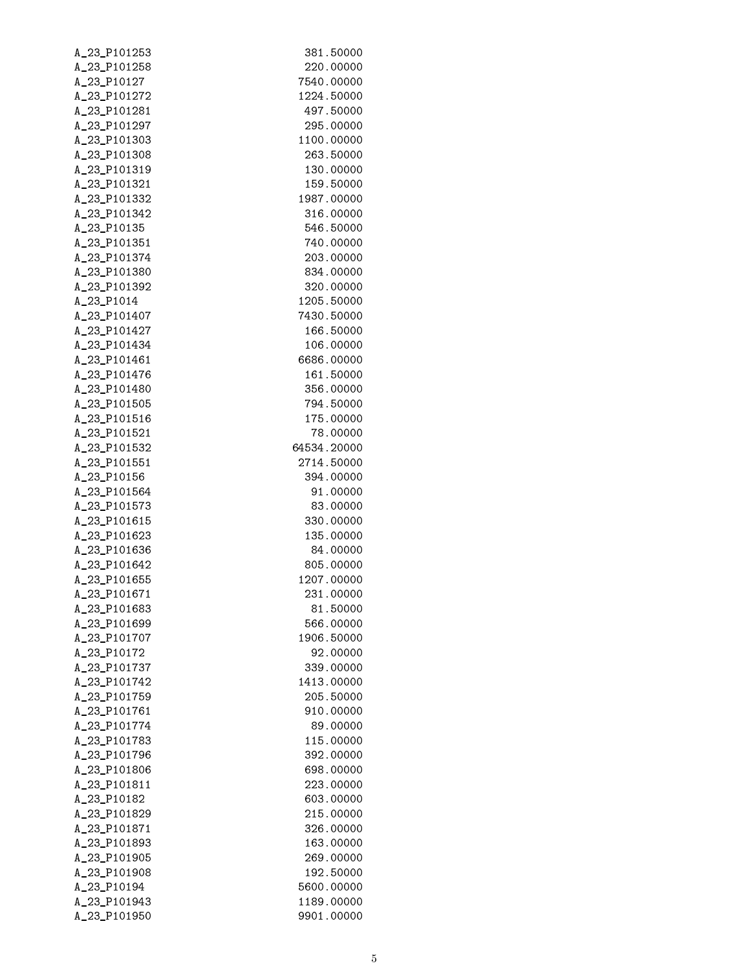| A_23_P101253 | 381.50000   |
|--------------|-------------|
| A_23_P101258 | 220,00000   |
| A_23_P10127  | 7540.00000  |
| A_23_P101272 | 1224.50000  |
| A_23_P101281 | 497.50000   |
| A_23_P101297 | 295,00000   |
| A_23_P101303 | 1100.00000  |
| A_23_P101308 | 263,50000   |
| A_23_P101319 | 130,00000   |
| A_23_P101321 | 159.50000   |
| A_23_P101332 | 1987.00000  |
| A_23_P101342 | 316.00000   |
| A_23_P10135  | 546.50000   |
| A_23_P101351 | 740.00000   |
| A_23_P101374 | 203.00000   |
| A_23_P101380 | 834,00000   |
| A_23_P101392 | 320,00000   |
| A_23_P1014   | 1205.50000  |
| A_23_P101407 | 7430.50000  |
| A_23_P101427 | 166.50000   |
| A_23_P101434 | 106.00000   |
| A_23_P101461 | 6686,00000  |
| A_23_P101476 | 161.50000   |
| A_23_P101480 | 356,00000   |
| A_23_P101505 | 794.50000   |
| A_23_P101516 | 175.00000   |
| A_23_P101521 | 78.00000    |
| A_23_P101532 | 64534.20000 |
| A_23_P101551 | 2714.50000  |
| A_23_P10156  | 394.00000   |
| A_23_P101564 | 91.00000    |
| A_23_P101573 | 83.00000    |
| A_23_P101615 | 330.00000   |
| A_23_P101623 | 135.00000   |
| A_23_P101636 | 84.00000    |
| A_23_P101642 | 805.00000   |
| A_23_P101655 | 1207.00000  |
| A_23_P101671 | 231.00000   |
| A_23_P101683 | 81.50000    |
| A_23_P101699 | 566,00000   |
| A_23_P101707 | 1906.50000  |
| A_23_P10172  | 92.00000    |
| A_23_P101737 | 339,00000   |
| A_23_P101742 | 1413.00000  |
| A_23_P101759 | 205.50000   |
| A_23_P101761 | 910.00000   |
| A_23_P101774 | 89,00000    |
| A_23_P101783 | 115.00000   |
| A_23_P101796 | 392.00000   |
| A_23_P101806 | 698.00000   |
| A_23_P101811 | 223.00000   |
| A_23_P10182  | 603.00000   |
| A_23_P101829 | 215.00000   |
| A_23_P101871 | 326.00000   |
| A_23_P101893 | 163.00000   |
| A_23_P101905 | 269.00000   |
| A_23_P101908 | 192.50000   |
| A_23_P10194  | 5600.00000  |
| A_23_P101943 | 1189.00000  |
| A_23_P101950 | 9901.00000  |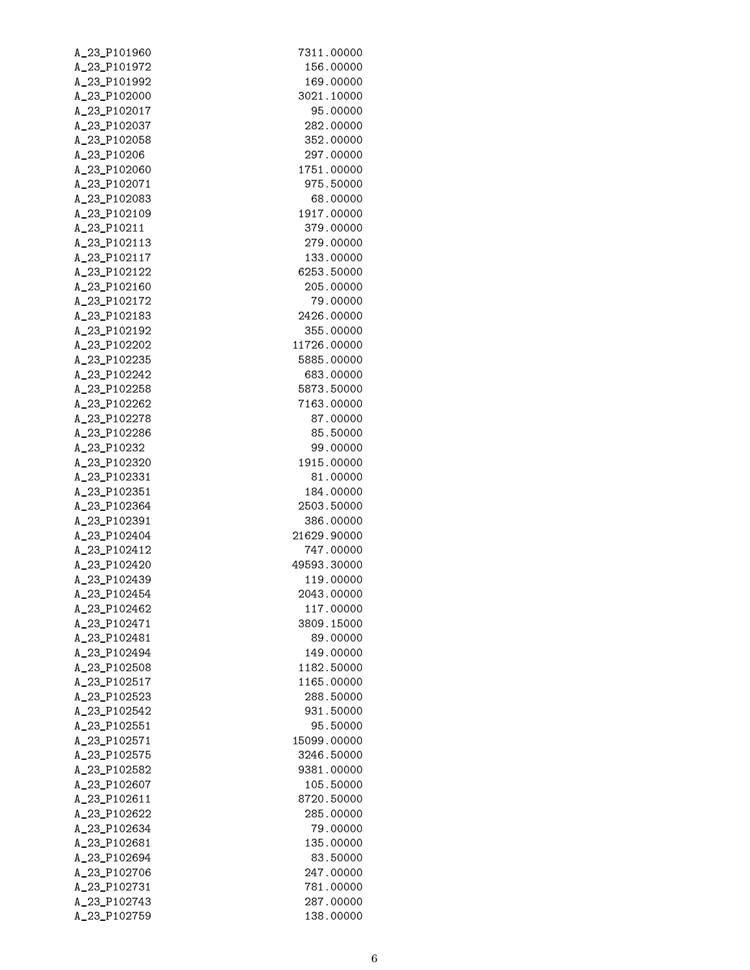| A_23_P101960 | 7311.00000  |
|--------------|-------------|
| A_23_P101972 | 156.00000   |
| A_23_P101992 | 169.00000   |
| A_23_P102000 | 3021.10000  |
| A_23_P102017 | 95.00000    |
| A_23_P102037 | 282.00000   |
| A_23_P102058 | 352.00000   |
| A_23_P10206  | 297,00000   |
| A_23_P102060 | 1751.00000  |
| A_23_P102071 | 975,50000   |
| A_23_P102083 | 68.00000    |
| A_23_P102109 | 1917.00000  |
| A_23_P10211  | 379.00000   |
| A_23_P102113 | 279.00000   |
| A_23_P102117 | 133.00000   |
| A_23_P102122 | 6253.50000  |
| A_23_P102160 | 205.00000   |
| A_23_P102172 | 79.00000    |
| A_23_P102183 | 2426.00000  |
| A_23_P102192 | 355.00000   |
| A_23_P102202 | 11726.00000 |
| A_23_P102235 | 5885.00000  |
| A_23_P102242 | 683.00000   |
| A_23_P102258 | 5873.50000  |
| A_23_P102262 | 7163.00000  |
| A_23_P102278 | 87.00000    |
| A_23_P102286 | 85.50000    |
| A_23_P10232  | 99.00000    |
| A_23_P102320 | 1915.00000  |
| A_23_P102331 | 81.00000    |
| A_23_P102351 | 184.00000   |
| A_23_P102364 | 2503.50000  |
| A_23_P102391 | 386.00000   |
| A_23_P102404 | 21629.90000 |
| A_23_P102412 | 747.00000   |
| A_23_P102420 | 49593.30000 |
| A_23_P102439 | 119.00000   |
| A_23_P102454 | 2043.00000  |
| A_23_P102462 | 117.00000   |
| A_23_P102471 | 3809.15000  |
| A_23_P102481 | 89,00000    |
| A_23_P102494 | 149.00000   |
| A_23_P102508 | 1182.50000  |
| A_23_P102517 | 1165.00000  |
| A_23_P102523 | 288.50000   |
| A_23_P102542 | 931.50000   |
| A_23_P102551 | 95.50000    |
| A_23_P102571 | 15099.00000 |
| A_23_P102575 | 3246.50000  |
| A_23_P102582 | 9381.00000  |
| A_23_P102607 | 105.50000   |
| A_23_P102611 | 8720.50000  |
| A_23_P102622 | 285.00000   |
| A_23_P102634 | 79.00000    |
| A_23_P102681 | 135.00000   |
| A_23_P102694 | 83.50000    |
| A_23_P102706 | 247.00000   |
| A_23_P102731 | 781.00000   |
| A_23_P102743 | 287.00000   |
| A_23_P102759 | 138.00000   |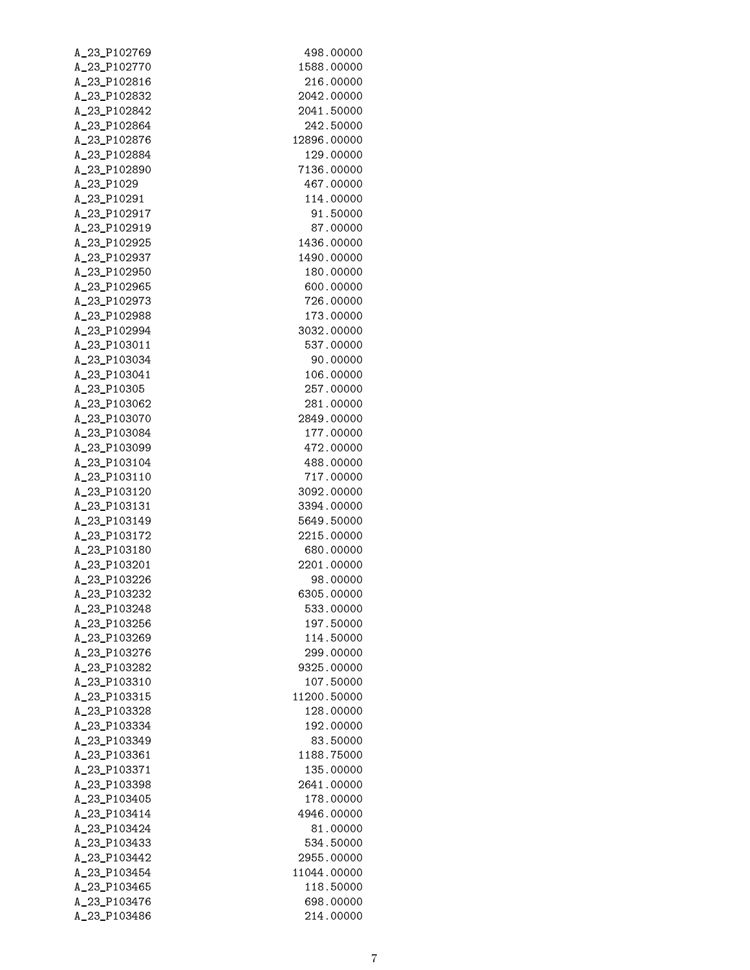| A_23_P102769 | 498.00000   |
|--------------|-------------|
| A_23_P102770 | 1588.00000  |
| A_23_P102816 | 216.00000   |
| A_23_P102832 | 2042.00000  |
| A_23_P102842 | 2041.50000  |
| A_23_P102864 | 242.50000   |
| A_23_P102876 | 12896.00000 |
| A_23_P102884 | 129.00000   |
| A_23_P102890 | 7136.00000  |
| A_23_P1029   | 467.00000   |
| A_23_P10291  | 114.00000   |
| A_23_P102917 | 91.50000    |
| A_23_P102919 | 87.00000    |
| A_23_P102925 | 1436.00000  |
| A_23_P102937 | 1490.00000  |
| A_23_P102950 | 180.00000   |
| A_23_P102965 | 600.00000   |
| A_23_P102973 | 726.00000   |
| A_23_P102988 | 173.00000   |
| A_23_P102994 | 3032.00000  |
| A_23_P103011 | 537.00000   |
| A_23_P103034 | 90.00000    |
| A_23_P103041 | 106.00000   |
| A_23_P10305  | 257.00000   |
| A_23_P103062 | 281.00000   |
| A_23_P103070 | 2849.00000  |
| A_23_P103084 | 177.00000   |
| A_23_P103099 | 472.00000   |
| A_23_P103104 | 488.00000   |
| A_23_P103110 | 717.00000   |
| A_23_P103120 | 3092.00000  |
| A_23_P103131 | 3394.00000  |
| A_23_P103149 | 5649.50000  |
| A_23_P103172 | 2215.00000  |
| A_23_P103180 | 680.00000   |
| A_23_P103201 | 2201.00000  |
| A_23_P103226 | 98.00000    |
| A_23_P103232 | 6305.00000  |
| A_23_P103248 | 533.00000   |
| A_23_P103256 | 197.50000   |
| A_23_P103269 | 114.50000   |
| A_23_P103276 | 299,00000   |
| A_23_P103282 | 9325.00000  |
| A_23_P103310 | 107.50000   |
| A_23_P103315 | 11200.50000 |
| A_23_P103328 | 128.00000   |
| A_23_P103334 | 192.00000   |
| A_23_P103349 | 83.50000    |
| A_23_P103361 | 1188.75000  |
| A_23_P103371 | 135.00000   |
| A_23_P103398 | 2641.00000  |
| A_23_P103405 | 178.00000   |
| A_23_P103414 | 4946.00000  |
| A_23_P103424 | 81.00000    |
| A_23_P103433 | 534.50000   |
| A_23_P103442 | 2955.00000  |
| A_23_P103454 | 11044.00000 |
| A_23_P103465 | 118.50000   |
| A_23_P103476 | 698.00000   |
| A_23_P103486 | 214.00000   |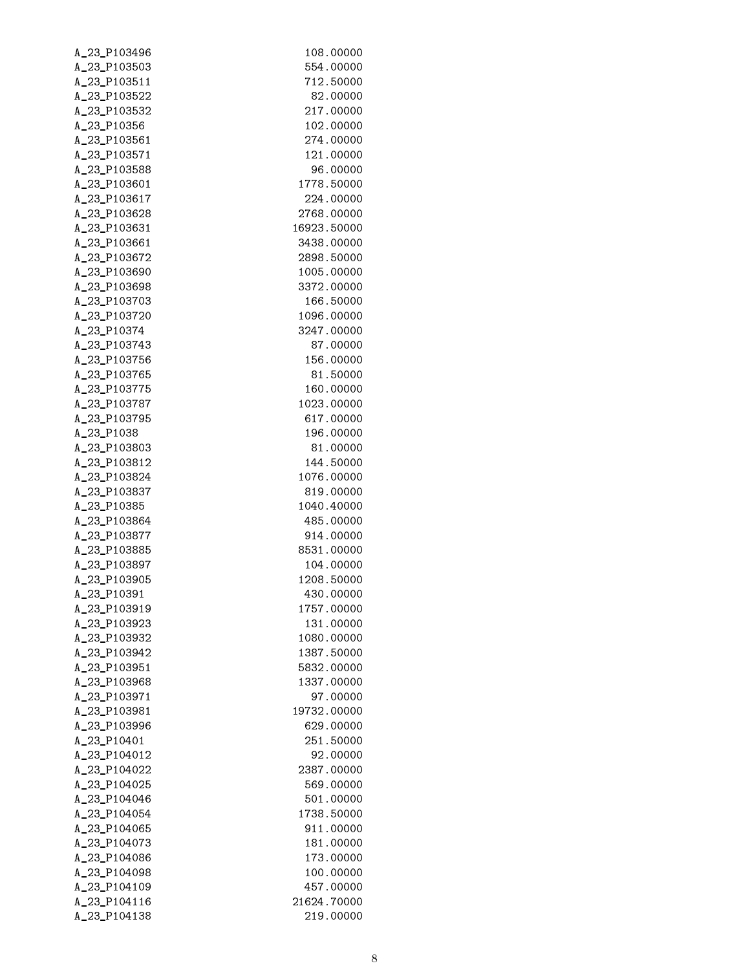| A_23_P103496 | 108.00000   |
|--------------|-------------|
| A_23_P103503 | 554,00000   |
| A_23_P103511 | 712.50000   |
| A_23_P103522 | 82.00000    |
| A_23_P103532 | 217.00000   |
| A_23_P10356  | 102.00000   |
| A_23_P103561 | 274.00000   |
| A_23_P103571 | 121.00000   |
| A_23_P103588 | 96.00000    |
| A_23_P103601 | 1778.50000  |
| A_23_P103617 | 224,00000   |
| A_23_P103628 | 2768.00000  |
| A_23_P103631 | 16923.50000 |
| A_23_P103661 | 3438.00000  |
| A_23_P103672 | 2898.50000  |
| A_23_P103690 | 1005.00000  |
| A_23_P103698 | 3372.00000  |
| A_23_P103703 | 166.50000   |
| A_23_P103720 | 1096.00000  |
| A_23_P10374  | 3247.00000  |
| A_23_P103743 | 87.00000    |
| A_23_P103756 | 156.00000   |
| A_23_P103765 | 81.50000    |
| A_23_P103775 | 160.00000   |
| A_23_P103787 | 1023.00000  |
| A_23_P103795 | 617.00000   |
| A_23_P1038   | 196.00000   |
| A_23_P103803 | 81.00000    |
| A_23_P103812 | 144.50000   |
| A_23_P103824 | 1076.00000  |
| A_23_P103837 | 819.00000   |
| A_23_P10385  | 1040.40000  |
| A_23_P103864 | 485.00000   |
| A_23_P103877 | 914.00000   |
| A_23_P103885 | 8531.00000  |
| A_23_P103897 | 104.00000   |
| A_23_P103905 | 1208.50000  |
| A_23_P10391  | 430.00000   |
| A_23_P103919 | 1757.00000  |
| A_23_P103923 | 131.00000   |
| A_23_P103932 | 1080.00000  |
| A_23_P103942 | 1387.50000  |
| A_23_P103951 | 5832.00000  |
| A_23_P103968 | 1337.00000  |
| A_23_P103971 | 97.00000    |
| A_23_P103981 | 19732.00000 |
| A_23_P103996 | 629.00000   |
| A_23_P10401  | 251,50000   |
| A_23_P104012 | 92.00000    |
| A_23_P104022 | 2387.00000  |
| A_23_P104025 | 569.00000   |
| A_23_P104046 | 501.00000   |
| A_23_P104054 | 1738.50000  |
| A_23_P104065 | 911.00000   |
| A_23_P104073 | 181.00000   |
| A_23_P104086 | 173.00000   |
| A_23_P104098 | 100.00000   |
| A_23_P104109 | 457.00000   |
| A_23_P104116 | 21624.70000 |
| A_23_P104138 | 219.00000   |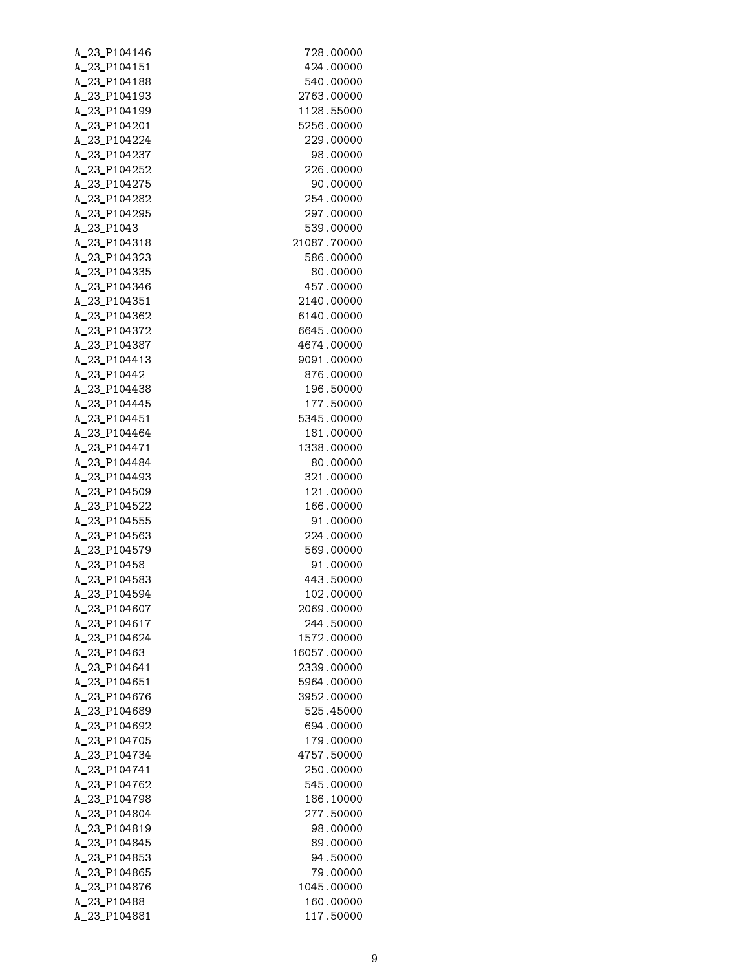| A_23_P104146 | 728.00000   |
|--------------|-------------|
| A_23_P104151 | 424.00000   |
| A_23_P104188 | 540.00000   |
| A_23_P104193 | 2763.00000  |
| A_23_P104199 | 1128.55000  |
| A_23_P104201 | 5256.00000  |
| A_23_P104224 | 229,00000   |
| A_23_P104237 | 98,00000    |
| A_23_P104252 | 226.00000   |
| A_23_P104275 | 90.00000    |
| A_23_P104282 | 254.00000   |
| A_23_P104295 | 297.00000   |
| A_23_P1043   | 539.00000   |
| A_23_P104318 | 21087.70000 |
| A_23_P104323 | 586.00000   |
| A_23_P104335 | 80.00000    |
| A_23_P104346 | 457.00000   |
| A 23 P104351 | 2140.00000  |
| A_23_P104362 | 6140.00000  |
|              |             |
| A_23_P104372 | 6645.00000  |
| A_23_P104387 | 4674.00000  |
| A_23_P104413 | 9091.00000  |
| A_23_P10442  | 876.00000   |
| A_23_P104438 | 196.50000   |
| A_23_P104445 | 177.50000   |
| A_23_P104451 | 5345.00000  |
| A_23_P104464 | 181.00000   |
| A_23_P104471 | 1338.00000  |
| A_23_P104484 | 80.00000    |
| A_23_P104493 | 321.00000   |
| A_23_P104509 | 121.00000   |
| A_23_P104522 | 166.00000   |
| A_23_P104555 | 91.00000    |
| A_23_P104563 | 224.00000   |
| A_23_P104579 | 569.00000   |
| A_23_P10458  | 91.00000    |
| A_23_P104583 | 443.50000   |
| A_23_P104594 | 102.00000   |
| A_23_P104607 | 2069.00000  |
| A_23_P104617 | 244.50000   |
| A_23_P104624 | 1572.00000  |
| A_23_P10463  | 16057.00000 |
| A_23_P104641 | 2339.00000  |
| A_23_P104651 | 5964.00000  |
| A_23_P104676 | 3952.00000  |
| A_23_P104689 | 525,45000   |
| A_23_P104692 | 694.00000   |
| A_23_P104705 | 179.00000   |
| A_23_P104734 | 4757.50000  |
| A_23_P104741 | 250,00000   |
| A_23_P104762 | 545,00000   |
| A_23_P104798 | 186.10000   |
| A_23_P104804 | 277.50000   |
| A_23_P104819 | 98.00000    |
| A_23_P104845 | 89.00000    |
| A_23_P104853 | 94.50000    |
| A_23_P104865 | 79.00000    |
| A_23_P104876 | 1045.00000  |
| A_23_P10488  | 160.00000   |
| A_23_P104881 | 117.50000   |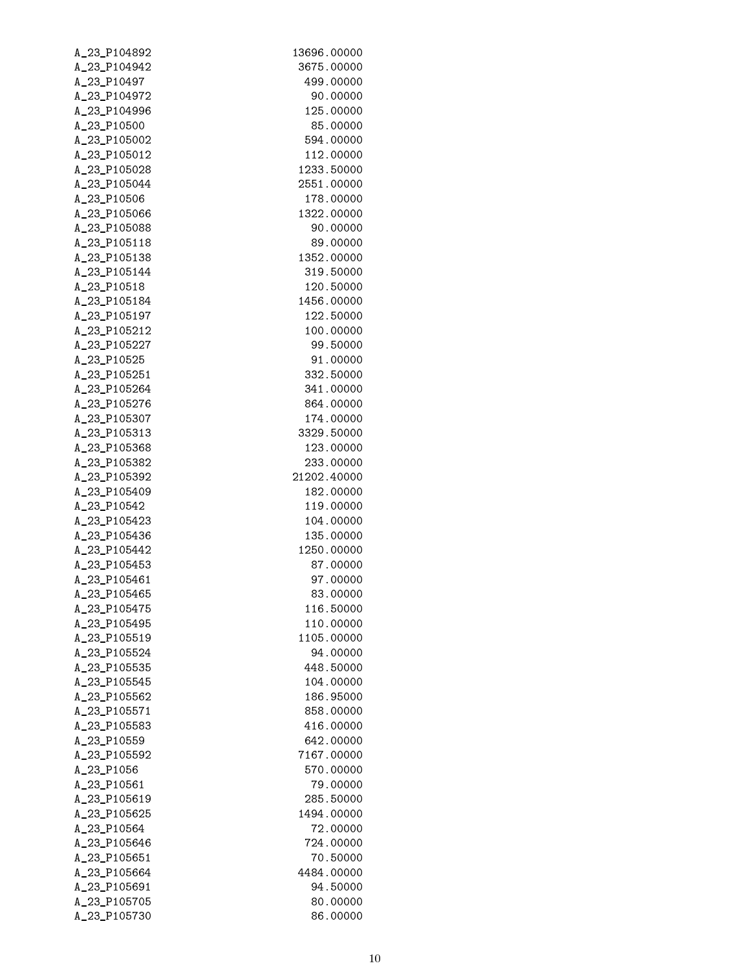| A_23_P104892                 | 13696.00000            |
|------------------------------|------------------------|
| A_23_P104942                 | 3675.00000             |
| A_23_P10497                  | 499.00000              |
| A_23_P104972                 | 90.00000               |
| A_23_P104996                 | 125.00000              |
| A_23_P10500                  | 85.00000               |
| A_23_P105002                 | 594.00000              |
| A_23_P105012                 | 112.00000              |
| A_23_P105028                 | 1233.50000             |
| A_23_P105044                 | 2551.00000             |
| A_23_P10506                  | 178.00000              |
| A_23_P105066                 | 1322.00000             |
| A_23_P105088                 | 90.00000               |
| A_23_P105118                 | 89.00000               |
| A_23_P105138                 | 1352.00000             |
| A_23_P105144                 | 319.50000              |
| A_23_P10518                  | 120.50000              |
| A_23_P105184                 | 1456.00000             |
| A_23_P105197                 | 122.50000              |
| A_23_P105212                 | 100.00000              |
| A_23_P105227                 | 99.50000               |
| A_23_P10525                  | 91.00000               |
| A_23_P105251                 | 332.50000              |
| A_23_P105264                 | 341.00000              |
| A_23_P105276                 | 864.00000              |
| A_23_P105307                 | 174.00000              |
| A_23_P105313                 | 3329.50000             |
| A_23_P105368                 | 123.00000              |
| A_23_P105382                 | 233.00000              |
| A_23_P105392                 | 21202.40000            |
| A_23_P105409                 | 182.00000              |
| A_23_P10542                  | 119.00000              |
| A_23_P105423                 | 104.00000              |
| A_23_P105436                 | 135.00000              |
| A_23_P105442                 | 1250.00000             |
| A_23_P105453                 | 87.00000               |
| A_23_P105461                 | 97.00000               |
| A_23_P105465                 | 83.00000               |
| A_23_P105475                 | 116.50000<br>110.00000 |
| A_23_P105495<br>A_23_P105519 | 1105.00000             |
| A_23_P105524                 | 94.00000               |
| A_23_P105535                 | 448.50000              |
| A_23_P105545                 | 104.00000              |
| A_23_P105562                 | 186.95000              |
| A_23_P105571                 | 858.00000              |
| A_23_P105583                 | 416.00000              |
| A_23_P10559                  | 642.00000              |
| A_23_P105592                 | 7167.00000             |
| A_23_P1056                   | 570.00000              |
| A_23_P10561                  | 79.00000               |
| A_23_P105619                 | 285.50000              |
| A_23_P105625                 | 1494.00000             |
| A_23_P10564                  | 72.00000               |
| A_23_P105646                 | 724.00000              |
| A_23_P105651                 | 70.50000               |
| A_23_P105664                 | 4484.00000             |
| A_23_P105691                 | 94.50000               |
| A_23_P105705                 | 80.00000               |
| A_23_P105730                 | 86.00000               |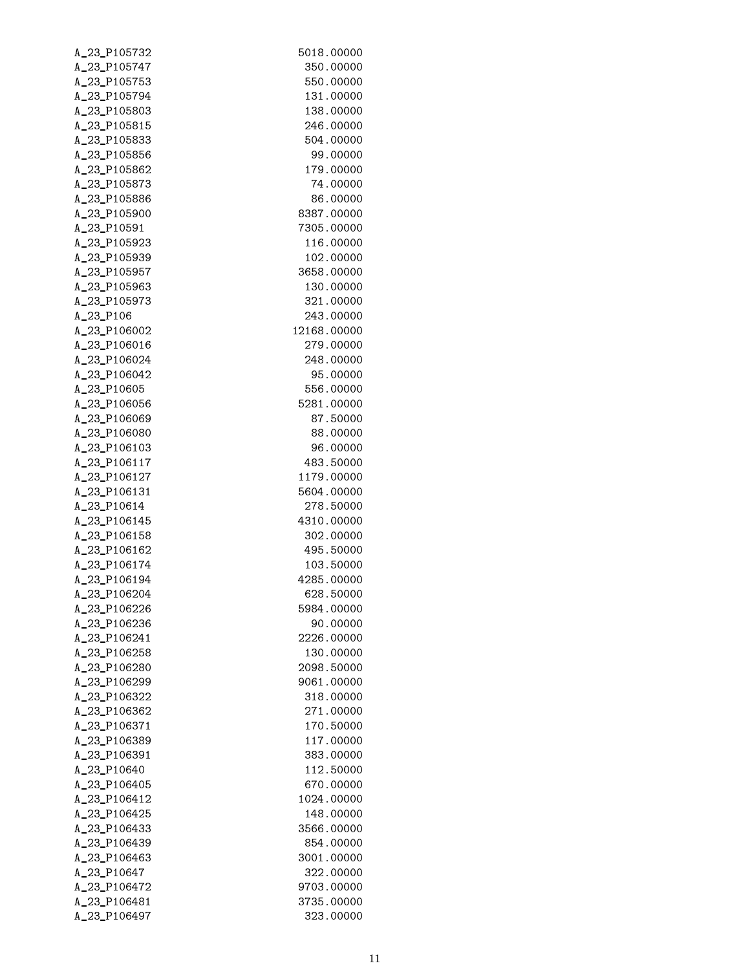| A_23_P105732                 | 5018.00000              |
|------------------------------|-------------------------|
| A_23_P105747                 | 350.00000               |
| A_23_P105753                 | 550.00000               |
| A_23_P105794                 | 131.00000               |
| A_23_P105803                 | 138.00000               |
| A_23_P105815                 | 246.00000               |
| A_23_P105833                 | 504.00000               |
| A_23_P105856                 | 99.00000                |
| A_23_P105862                 | 179.00000               |
| A_23_P105873                 | 74.00000                |
| A_23_P105886                 | 86.00000                |
| A_23_P105900                 | 8387.00000              |
| A_23_P10591                  | 7305.00000              |
| A_23_P105923                 | 116.00000               |
| A_23_P105939                 | 102.00000               |
| A_23_P105957                 | 3658.00000              |
| A_23_P105963                 | 130.00000               |
| A_23_P105973                 | 321.00000               |
| A_23_P106                    | 243.00000               |
| A_23_P106002                 | 12168.00000             |
| A_23_P106016                 | 279,00000               |
| A_23_P106024                 | 248,00000               |
| A_23_P106042                 | 95.00000                |
| A_23_P10605                  | 556.00000               |
| A_23_P106056                 | 5281.00000              |
| A_23_P106069                 | 87.50000                |
| A_23_P106080                 | 88.00000                |
| A_23_P106103                 | 96.00000                |
| A_23_P106117                 | 483.50000               |
| A_23_P106127                 | 1179.00000              |
| A_23_P106131                 | 5604.00000              |
| A_23_P10614                  | 278.50000               |
| A_23_P106145                 | 4310.00000              |
| A_23_P106158                 | 302.00000               |
| A_23_P106162                 | 495.50000               |
| A_23_P106174                 | 103.50000               |
| A_23_P106194                 | 4285.00000              |
| A_23_P106204                 | 628.50000               |
| A_23_P106226                 | 5984.00000              |
| A_23_P106236                 | 90.00000                |
| A_23_P106241                 | 2226.00000              |
| A_23_P106258                 | 130.00000               |
| A_23_P106280                 | 2098.50000              |
| A_23_P106299                 | 9061.00000              |
| A_23_P106322                 | 318,00000               |
| A_23_P106362                 | 271.00000               |
| A_23_P106371                 | 170.50000               |
| A_23_P106389                 | 117.00000               |
| A_23_P106391                 | 383,00000               |
| A_23_P10640                  | 112.50000               |
| A_23_P106405                 | 670.00000               |
| A_23_P106412                 | 1024.00000              |
| A_23_P106425                 | 148.00000               |
| A_23_P106433<br>A_23_P106439 | 3566.00000<br>854.00000 |
| A_23_P106463                 | 3001.00000              |
| A_23_P10647                  | 322.00000               |
| A_23_P106472                 | 9703.00000              |
| A_23_P106481                 | 3735.00000              |
| A_23_P106497                 | 323.00000               |
|                              |                         |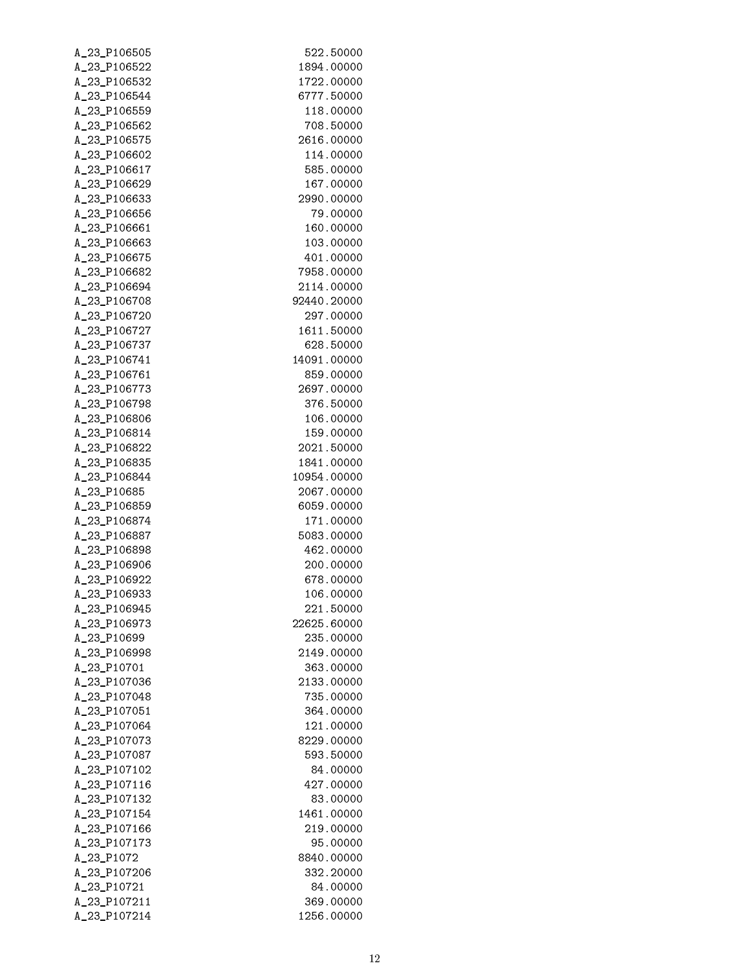| A_23_P106505 | 522.50000   |
|--------------|-------------|
| A_23_P106522 | 1894.00000  |
| A_23_P106532 | 1722.00000  |
| A_23_P106544 | 6777.50000  |
| A_23_P106559 | 118.00000   |
| A_23_P106562 | 708.50000   |
| A_23_P106575 | 2616.00000  |
| A_23_P106602 | 114.00000   |
| A_23_P106617 | 585,00000   |
| A_23_P106629 | 167.00000   |
| A_23_P106633 | 2990.00000  |
| A_23_P106656 | 79.00000    |
| A_23_P106661 | 160.00000   |
| A_23_P106663 | 103.00000   |
| A_23_P106675 | 401.00000   |
| A_23_P106682 | 7958.00000  |
| A_23_P106694 | 2114.00000  |
| A 23 P106708 | 92440.20000 |
| A_23_P106720 | 297.00000   |
| A_23_P106727 | 1611.50000  |
| A_23_P106737 | 628.50000   |
| A_23_P106741 | 14091.00000 |
| A_23_P106761 | 859.00000   |
| A_23_P106773 | 2697.00000  |
| A_23_P106798 | 376.50000   |
| A_23_P106806 | 106.00000   |
| A_23_P106814 | 159.00000   |
| A_23_P106822 | 2021.50000  |
| A_23_P106835 | 1841.00000  |
| A_23_P106844 | 10954.00000 |
| A_23_P10685  | 2067.00000  |
| A_23_P106859 | 6059.00000  |
| A_23_P106874 | 171.00000   |
| A_23_P106887 | 5083.00000  |
| A_23_P106898 | 462.00000   |
| A_23_P106906 | 200.00000   |
| A_23_P106922 | 678.00000   |
| A_23_P106933 | 106.00000   |
| A_23_P106945 | 221.50000   |
| A_23_P106973 | 22625.60000 |
| A_23_P10699  | 235,00000   |
| A_23_P106998 | 2149.00000  |
| A_23_P10701  | 363,00000   |
| A_23_P107036 | 2133.00000  |
| A_23_P107048 | 735.00000   |
| A_23_P107051 | 364,00000   |
| A_23_P107064 | 121.00000   |
| A_23_P107073 | 8229,00000  |
| A_23_P107087 | 593.50000   |
| A_23_P107102 | 84.00000    |
| A_23_P107116 | 427.00000   |
| A_23_P107132 | 83.00000    |
| A_23_P107154 | 1461.00000  |
| A_23_P107166 | 219.00000   |
| A_23_P107173 | 95.00000    |
| A_23_P1072   | 8840.00000  |
| A_23_P107206 | 332.20000   |
| A_23_P10721  | 84.00000    |
| A_23_P107211 | 369,00000   |
| A_23_P107214 | 1256.00000  |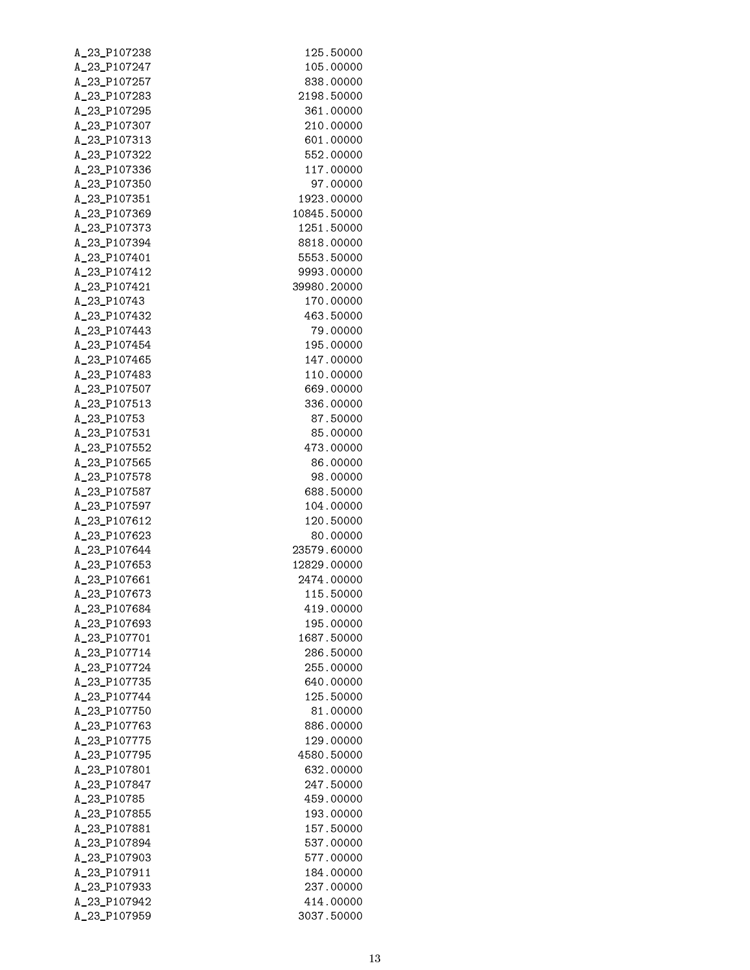| A_23_P107238 | 125.50000              |
|--------------|------------------------|
| A_23_P107247 | 105.00000              |
| A_23_P107257 | 838.00000              |
| A_23_P107283 | 2198.50000             |
| A_23_P107295 | 361.00000              |
| A_23_P107307 | 210,00000              |
| A_23_P107313 | 601,00000              |
| A_23_P107322 | 552,00000              |
| A_23_P107336 | 117.00000              |
| A_23_P107350 | 97.00000               |
| A_23_P107351 | 1923.00000             |
| A_23_P107369 | 10845.50000            |
| A_23_P107373 | 1251.50000             |
| A_23_P107394 | 8818.00000             |
| A_23_P107401 | 5553.50000             |
| A_23_P107412 | 9993.00000             |
| A_23_P107421 | 39980.20000            |
|              | 170.00000              |
| A_23_P10743  |                        |
| A_23_P107432 | 463.50000              |
| A_23_P107443 | 79.00000               |
| A_23_P107454 | 195.00000              |
| A_23_P107465 | 147.00000              |
| A_23_P107483 | 110.00000              |
| A_23_P107507 | 669.00000              |
| A_23_P107513 | 336.00000              |
| A_23_P10753  | 87.50000               |
| A_23_P107531 | 85.00000               |
| A_23_P107552 | 473.00000              |
| A_23_P107565 | 86.00000               |
| A_23_P107578 | 98.00000               |
| A_23_P107587 | 688.50000              |
| A_23_P107597 | 104.00000              |
| A_23_P107612 | 120.50000              |
| A_23_P107623 | 80.00000               |
| A_23_P107644 | 23579.60000            |
| A_23_P107653 | 12829.00000            |
| A_23_P107661 | 2474.00000             |
| A_23_P107673 | 115.50000              |
| A_23_P107684 | 419,00000              |
| A_23_P107693 | 195.00000              |
| A_23_P107701 | 1687.50000             |
| A_23_P107714 | 286.50000              |
| A_23_P107724 | 255,00000              |
| A_23_P107735 | 640,00000              |
| A_23_P107744 | 125.50000              |
| A_23_P107750 | 81.00000               |
| A_23_P107763 | 886.00000              |
| A_23_P107775 | 129.00000              |
| A_23_P107795 | 4580.50000             |
| A_23_P107801 | 632,00000              |
| A_23_P107847 | 247.50000              |
|              |                        |
| A_23_P10785  | 459.00000<br>193.00000 |
| A_23_P107855 |                        |
| A_23_P107881 | 157.50000              |
| A_23_P107894 | 537.00000              |
| A_23_P107903 | 577.00000              |
| A_23_P107911 | 184,00000              |
| A_23_P107933 | 237.00000              |
| A_23_P107942 | 414.00000              |
| A_23_P107959 | 3037.50000             |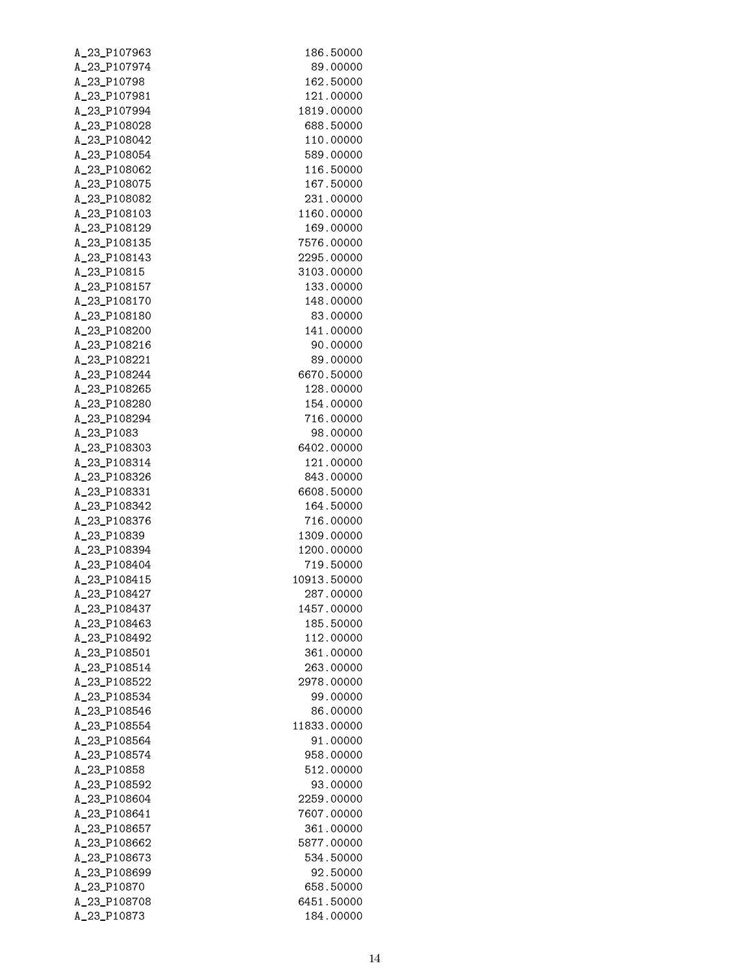| A_23_P107963 | 186.50000                |
|--------------|--------------------------|
| A_23_P107974 | 89.00000                 |
| A_23_P10798  | 162.50000                |
| A_23_P107981 | 121.00000                |
| A_23_P107994 | 1819.00000               |
| A_23_P108028 | 688,50000                |
| A_23_P108042 | 110.00000                |
| A_23_P108054 | 589.00000                |
| A_23_P108062 | 116.50000                |
| A_23_P108075 | 167.50000                |
| A_23_P108082 | 231,00000                |
| A_23_P108103 | 1160.00000               |
| A_23_P108129 | 169.00000                |
| A_23_P108135 | 7576.00000               |
| A_23_P108143 | 2295.00000               |
| A_23_P10815  | 3103.00000               |
| A_23_P108157 | 133.00000                |
| A 23 P108170 | 148.00000                |
| A_23_P108180 | 83.00000                 |
| A_23_P108200 | 141.00000                |
| A_23_P108216 | 90.00000                 |
| A_23_P108221 | 89,00000                 |
| A_23_P108244 | 6670.50000               |
| A_23_P108265 | 128.00000                |
| A_23_P108280 | 154.00000                |
| A_23_P108294 | 716.00000                |
| A_23_P1083   | 98.00000                 |
| A_23_P108303 | 6402.00000               |
|              |                          |
| A_23_P108314 | 121.00000                |
| A_23_P108326 | 843.00000                |
| A_23_P108331 | 6608.50000               |
| A_23_P108342 | 164.50000                |
| A_23_P108376 | 716.00000                |
| A_23_P10839  | 1309.00000               |
| A_23_P108394 | 1200.00000               |
| A_23_P108404 | 719.50000<br>10913.50000 |
| A_23_P108415 |                          |
| A_23_P108427 | 287.00000                |
| A_23_P108437 | 1457.00000               |
| A_23_P108463 | 185.50000                |
| A_23_P108492 | 112.00000                |
| A_23_P108501 | 361.00000                |
| A_23_P108514 | 263.00000                |
| A_23_P108522 | 2978.00000               |
| A_23_P108534 | 99.00000                 |
| A_23_P108546 | 86.00000                 |
| A_23_P108554 | 11833.00000              |
| A_23_P108564 | 91.00000                 |
| A_23_P108574 | 958,00000                |
| A_23_P10858  | 512.00000                |
| A_23_P108592 | 93.00000                 |
| A_23_P108604 | 2259.00000               |
| A_23_P108641 | 7607.00000               |
| A_23_P108657 | 361.00000                |
| A_23_P108662 | 5877.00000               |
| A_23_P108673 | 534.50000                |
| A_23_P108699 | 92.50000                 |
| A_23_P10870  | 658.50000                |
| A_23_P108708 | 6451.50000               |
| A_23_P10873  | 184.00000                |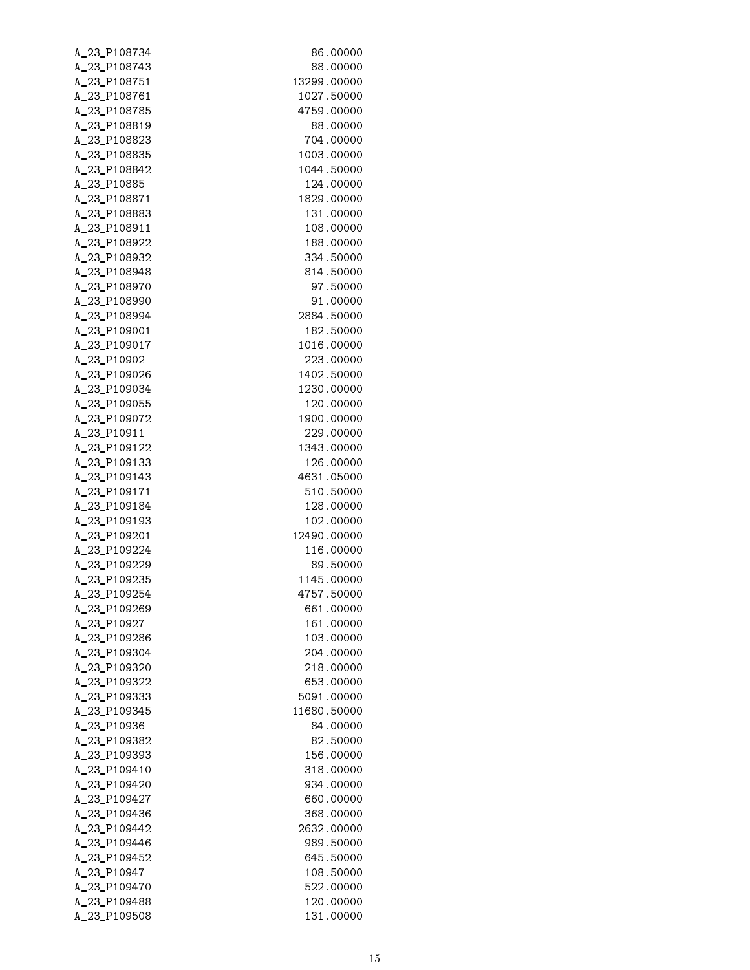| A_23_P108734                | 86.00000               |
|-----------------------------|------------------------|
| A_23_P108743                | 88,00000               |
| A_23_P108751                | 13299.00000            |
| A_23_P108761                | 1027.50000             |
| A_23_P108785                | 4759.00000             |
| A_23_P108819                | 88.00000               |
| A_23_P108823                | 704.00000              |
| A_23_P108835                | 1003.00000             |
| A_23_P108842                | 1044.50000             |
| A_23_P10885                 | 124.00000              |
| A_23_P108871                | 1829.00000             |
| A_23_P108883                | 131.00000              |
| A_23_P108911                | 108.00000              |
| A_23_P108922                | 188.00000              |
| A_23_P108932                | 334,50000              |
| A_23_P108948                | 814.50000              |
| A_23_P108970                | 97.50000               |
| A_23_P108990                | 91.00000               |
| A_23_P108994                | 2884.50000             |
| A_23_P109001                | 182.50000              |
| A_23_P109017                | 1016.00000             |
| A_23_P10902                 | 223,00000              |
| A_23_P109026                | 1402.50000             |
| A_23_P109034                | 1230.00000             |
| A_23_P109055                | 120.00000              |
| A_23_P109072                | 1900.00000             |
| A_23_P10911                 | 229.00000              |
| A_23_P109122                | 1343.00000             |
| A_23_P109133                | 126.00000              |
| A_23_P109143                | 4631.05000             |
| A_23_P109171                | 510.50000              |
| A_23_P109184                | 128.00000              |
| A_23_P109193                | 102.00000              |
| A_23_P109201                | 12490.00000            |
| A_23_P109224                | 116.00000              |
| A_23_P109229                | 89.50000               |
| A_23_P109235                | 1145.00000             |
| A 23 P109254                | 4757.50000             |
| A_23_P109269                | 661.00000              |
| A_23_P10927                 | 161.00000              |
| A_23_P109286                | 103.00000              |
| A_23_P109304                | 204.00000              |
| A_23_P109320                | 218.00000              |
| A_23_P109322                | 653.00000              |
| A_23_P109333                | 5091.00000             |
| A_23_P109345                | 11680.50000            |
| A_23_P10936                 | 84.00000               |
| A_23_P109382                | 82.50000               |
| A_23_P109393                | 156.00000              |
| A_23_P109410                | 318,00000              |
| A_23_P109420                | 934.00000              |
| A_23_P109427                | 660.00000              |
| A_23_P109436                | 368.00000              |
| A_23_P109442                | 2632.00000             |
| A_23_P109446                | 989.50000              |
| A_23_P109452<br>A_23_P10947 | 645.50000<br>108.50000 |
| A_23_P109470                | 522.00000              |
| A_23_P109488                | 120.00000              |
| A_23_P109508                | 131.00000              |
|                             |                        |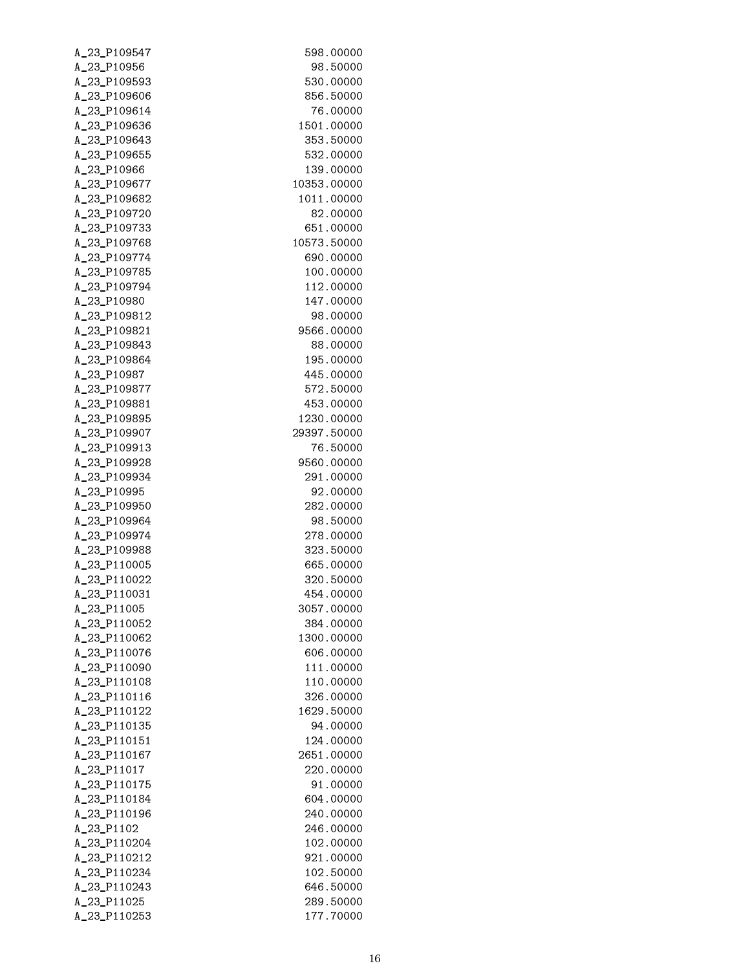| A_23_P109547                | 598.00000               |
|-----------------------------|-------------------------|
| A_23_P10956                 | 98.50000                |
| A_23_P109593                | 530.00000               |
| A_23_P109606                | 856.50000               |
| A_23_P109614                | 76.00000                |
| A_23_P109636                | 1501.00000              |
| A_23_P109643                | 353.50000               |
| A_23_P109655                | 532.00000               |
| A_23_P10966                 | 139.00000               |
| A_23_P109677                | 10353.00000             |
| A_23_P109682                | 1011.00000              |
| A_23_P109720                | 82.00000                |
| A_23_P109733                | 651.00000               |
| A_23_P109768                | 10573.50000             |
| A_23_P109774                | 690.00000               |
| A_23_P109785                | 100.00000               |
| A_23_P109794                | 112.00000               |
| A_23_P10980                 | 147.00000               |
| A_23_P109812                | 98.00000                |
| A_23_P109821                | 9566.00000              |
| A_23_P109843                | 88.00000                |
| A_23_P109864                | 195.00000               |
| A_23_P10987                 | 445.00000               |
| A_23_P109877                | 572.50000               |
| A_23_P109881                | 453.00000               |
| A_23_P109895                | 1230.00000              |
| A_23_P109907                | 29397.50000             |
| A_23_P109913                | 76.50000                |
| A_23_P109928                | 9560.00000              |
| A_23_P109934                | 291.00000               |
| A_23_P10995                 | 92.00000                |
| A_23_P109950                | 282.00000               |
| A_23_P109964                | 98.50000                |
| A_23_P109974                | 278.00000               |
| A_23_P109988                | 323.50000               |
| A_23_P110005                | 665.00000               |
| A_23_P110022                | 320.50000               |
| A_23_P110031                | 454.00000               |
| A_23_P11005                 | 3057.00000              |
| A_23_P110052                | 384.00000               |
| A_23_P110062                | 1300.00000              |
| A_23_P110076                | 606.00000               |
| A_23_P110090                | 111.00000               |
| A_23_P110108                | 110.00000               |
| A_23_P110116                | 326.00000               |
| A_23_P110122                | 1629.50000              |
| A_23_P110135                | 94.00000                |
| A_23_P110151                | 124.00000               |
| A_23_P110167<br>A_23_P11017 | 2651.00000<br>220.00000 |
| A_23_P110175                | 91.00000                |
| A_23_P110184                | 604.00000               |
| A_23_P110196                | 240.00000               |
| A_23_P1102                  | 246.00000               |
| A_23_P110204                | 102.00000               |
| A_23_P110212                | 921.00000               |
| A_23_P110234                | 102.50000               |
| A_23_P110243                | 646.50000               |
| A_23_P11025                 | 289.50000               |
| A_23_P110253                | 177.70000               |
|                             |                         |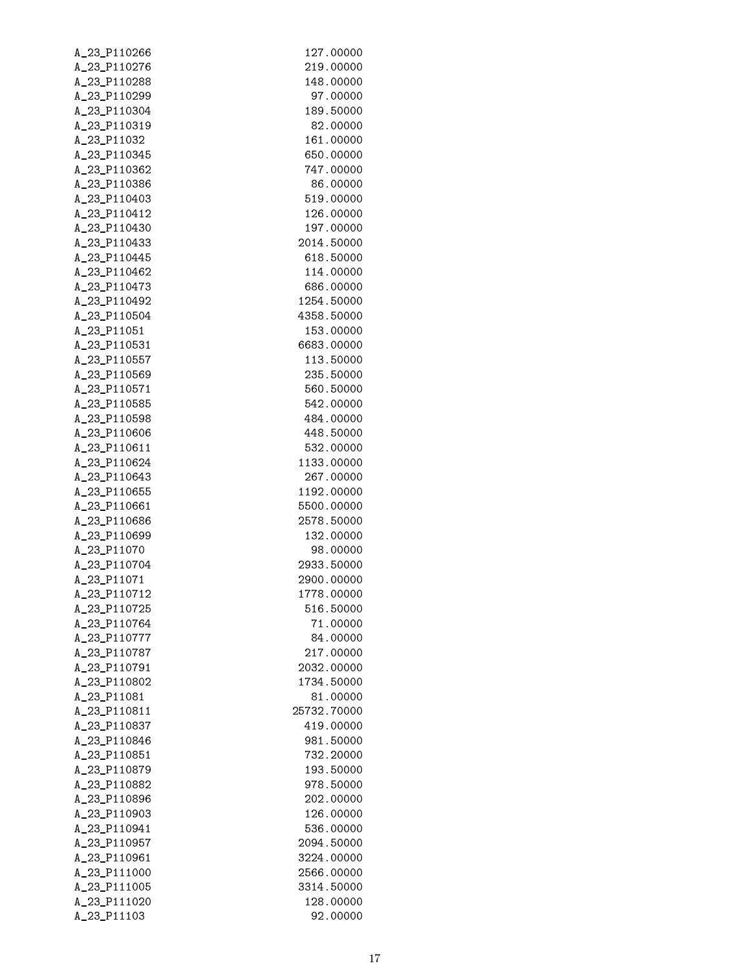| A_23_P110266 | 127.00000   |
|--------------|-------------|
| A_23_P110276 | 219,00000   |
| A_23_P110288 | 148.00000   |
| A_23_P110299 | 97.00000    |
| A_23_P110304 | 189.50000   |
| A_23_P110319 | 82.00000    |
| A_23_P11032  | 161.00000   |
|              |             |
| A_23_P110345 | 650,00000   |
| A_23_P110362 | 747.00000   |
| A_23_P110386 | 86,00000    |
| A_23_P110403 | 519.00000   |
| A_23_P110412 | 126.00000   |
| A_23_P110430 | 197.00000   |
| A_23_P110433 | 2014.50000  |
| A_23_P110445 | 618.50000   |
| A_23_P110462 | 114.00000   |
| A_23_P110473 | 686,00000   |
| A 23 P110492 | 1254.50000  |
| A_23_P110504 | 4358.50000  |
| A_23_P11051  | 153.00000   |
| A_23_P110531 | 6683.00000  |
| A_23_P110557 | 113.50000   |
| A_23_P110569 | 235.50000   |
| A_23_P110571 | 560.50000   |
|              |             |
| A_23_P110585 | 542.00000   |
| A_23_P110598 | 484.00000   |
| A_23_P110606 | 448.50000   |
| A_23_P110611 | 532.00000   |
| A_23_P110624 | 1133.00000  |
| A_23_P110643 | 267.00000   |
| A_23_P110655 | 1192.00000  |
| A_23_P110661 | 5500.00000  |
| A_23_P110686 | 2578.50000  |
| A_23_P110699 | 132.00000   |
| A_23_P11070  | 98.00000    |
| A_23_P110704 | 2933.50000  |
| A_23_P11071  | 2900.00000  |
| A_23_P110712 | 1778.00000  |
| A_23_P110725 | 516.50000   |
| A_23_P110764 | 71.00000    |
| A_23_P110777 | 84.00000    |
| A_23_P110787 | 217,00000   |
| A_23_P110791 | 2032.00000  |
| A_23_P110802 | 1734.50000  |
| A_23_P11081  | 81.00000    |
|              |             |
| A_23_P110811 | 25732.70000 |
| A_23_P110837 | 419.00000   |
| A_23_P110846 | 981.50000   |
| A_23_P110851 | 732,20000   |
| A_23_P110879 | 193.50000   |
| A_23_P110882 | 978,50000   |
| A_23_P110896 | 202.00000   |
| A_23_P110903 | 126.00000   |
| A_23_P110941 | 536.00000   |
| A_23_P110957 | 2094.50000  |
| A_23_P110961 | 3224.00000  |
| A_23_P111000 | 2566.00000  |
| A_23_P111005 | 3314.50000  |
| A_23_P111020 | 128.00000   |
| A_23_P11103  | 92.00000    |
|              |             |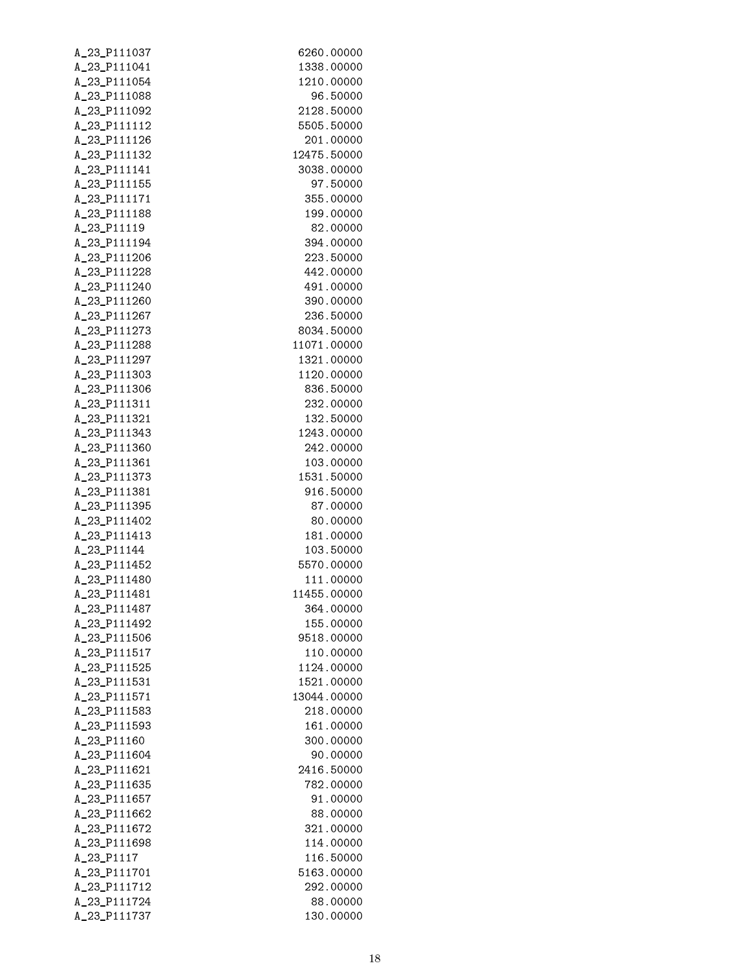| A_23_P111037 | 6260.00000  |
|--------------|-------------|
| A_23_P111041 | 1338.00000  |
| A_23_P111054 | 1210.00000  |
| A_23_P111088 | 96.50000    |
| A_23_P111092 | 2128.50000  |
| A_23_P111112 | 5505.50000  |
| A_23_P111126 | 201.00000   |
| A_23_P111132 | 12475.50000 |
| A_23_P111141 | 3038.00000  |
| A_23_P111155 | 97.50000    |
| A_23_P111171 | 355.00000   |
| A_23_P111188 | 199.00000   |
| A_23_P11119  | 82.00000    |
| A_23_P111194 | 394.00000   |
| A_23_P111206 | 223.50000   |
| A_23_P111228 | 442.00000   |
| A_23_P111240 |             |
|              | 491.00000   |
| A_23_P111260 | 390.00000   |
| A_23_P111267 | 236.50000   |
| A_23_P111273 | 8034.50000  |
| A_23_P111288 | 11071.00000 |
| A_23_P111297 | 1321.00000  |
| A_23_P111303 | 1120.00000  |
| A_23_P111306 | 836.50000   |
| A_23_P111311 | 232.00000   |
| A_23_P111321 | 132.50000   |
| A_23_P111343 | 1243.00000  |
| A_23_P111360 | 242.00000   |
| A_23_P111361 | 103.00000   |
| A_23_P111373 | 1531.50000  |
| A_23_P111381 | 916.50000   |
| A_23_P111395 | 87.00000    |
| A_23_P111402 | 80.00000    |
| A_23_P111413 | 181.00000   |
| A_23_P11144  | 103.50000   |
| A_23_P111452 | 5570.00000  |
| A_23_P111480 | 111.00000   |
| A_23_P111481 | 11455.00000 |
| A_23_P111487 | 364.00000   |
| A_23_P111492 | 155.00000   |
| A_23_P111506 | 9518.00000  |
| A_23_P111517 | 110.00000   |
| A_23_P111525 | 1124.00000  |
| A_23_P111531 | 1521.00000  |
| A_23_P111571 | 13044.00000 |
| A_23_P111583 | 218.00000   |
| A_23_P111593 | 161.00000   |
| A_23_P11160  | 300.00000   |
| A_23_P111604 | 90.00000    |
| A_23_P111621 | 2416.50000  |
|              |             |
| A_23_P111635 | 782.00000   |
| A_23_P111657 | 91.00000    |
| A_23_P111662 | 88.00000    |
| A_23_P111672 | 321.00000   |
| A_23_P111698 | 114.00000   |
| A_23_P1117   | 116.50000   |
| A_23_P111701 | 5163.00000  |
| A_23_P111712 | 292.00000   |
| A_23_P111724 | 88.00000    |
| A_23_P111737 | 130.00000   |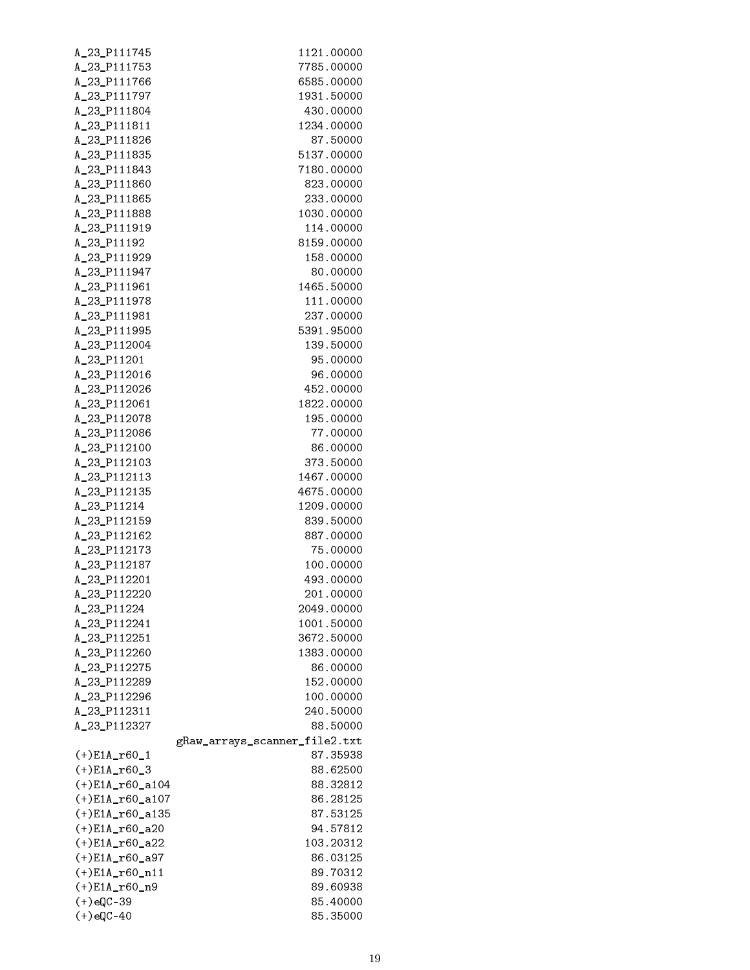| A_23_P111745       | 1121.00000                    |
|--------------------|-------------------------------|
| A_23_P111753       | 7785.00000                    |
| A_23_P111766       | 6585.00000                    |
| A_23_P111797       | 1931.50000                    |
| A_23_P111804       | 430,00000                     |
| A_23_P111811       | 1234.00000                    |
| A_23_P111826       | 87.50000                      |
| A_23_P111835       | 5137.00000                    |
| A_23_P111843       | 7180.00000                    |
| A_23_P111860       | 823.00000                     |
| A_23_P111865       | 233,00000                     |
| A_23_P111888       | 1030.00000                    |
|                    |                               |
| A_23_P111919       | 114.00000                     |
| A_23_P11192        | 8159.00000                    |
| A_23_P111929       | 158.00000                     |
| A_23_P111947       | 80.00000                      |
| A_23_P111961       | 1465.50000                    |
| A_23_P111978       | 111.00000                     |
| A_23_P111981       | 237.00000                     |
| A_23_P111995       | 5391.95000                    |
| A_23_P112004       | 139.50000                     |
| A_23_P11201        | 95.00000                      |
| A_23_P112016       | 96.00000                      |
| A_23_P112026       | 452.00000                     |
| A_23_P112061       | 1822.00000                    |
| A_23_P112078       | 195.00000                     |
| A_23_P112086       | 77.00000                      |
| A_23_P112100       | 86.00000                      |
| A_23_P112103       | 373.50000                     |
| A_23_P112113       | 1467.00000                    |
| A_23_P112135       | 4675.00000                    |
| A_23_P11214        | 1209.00000                    |
|                    |                               |
| A_23_P112159       | 839.50000                     |
| A_23_P112162       | 887.00000                     |
| A_23_P112173       | 75.00000                      |
| A_23_P112187       | 100.00000                     |
| A_23_P112201       | 493.00000                     |
| A_23_P112220       | 201.00000                     |
| A_23_P11224        | 2049.00000                    |
| A_23_P112241       | 1001.50000                    |
| A_23_P112251       | 3672.50000                    |
| A_23_P112260       | 1383.00000                    |
| A_23_P112275       | 86.00000                      |
| A_23_P112289       | 152.00000                     |
| A_23_P112296       | 100.00000                     |
| A_23_P112311       | 240.50000                     |
| A_23_P112327       | 88,50000                      |
|                    | gRaw_arrays_scanner_file2.txt |
| $(+)$ E1A_r60_1    | 87.35938                      |
| $(+)$ E1A_r60_3    | 88.62500                      |
| $(+)$ E1A_r60_a104 | 88.32812                      |
| (+)E1A_r60_a107    | 86.28125                      |
| (+)E1A_r60_a135    | 87.53125                      |
| $(+)$ E1A_r60_a20  | 94.57812                      |
|                    | 103.20312                     |
| $(+)$ E1A_r60_a22  |                               |
| $(+)$ E1A_r60_a97  | 86.03125                      |
| $(+)$ E1A_r60_n11  | 89.70312                      |
| $(+)$ E1A_r60_n9   | 89.60938                      |
| $(+)$ eQC-39       | 85.40000                      |
| $(+)$ eQC-40       | 85.35000                      |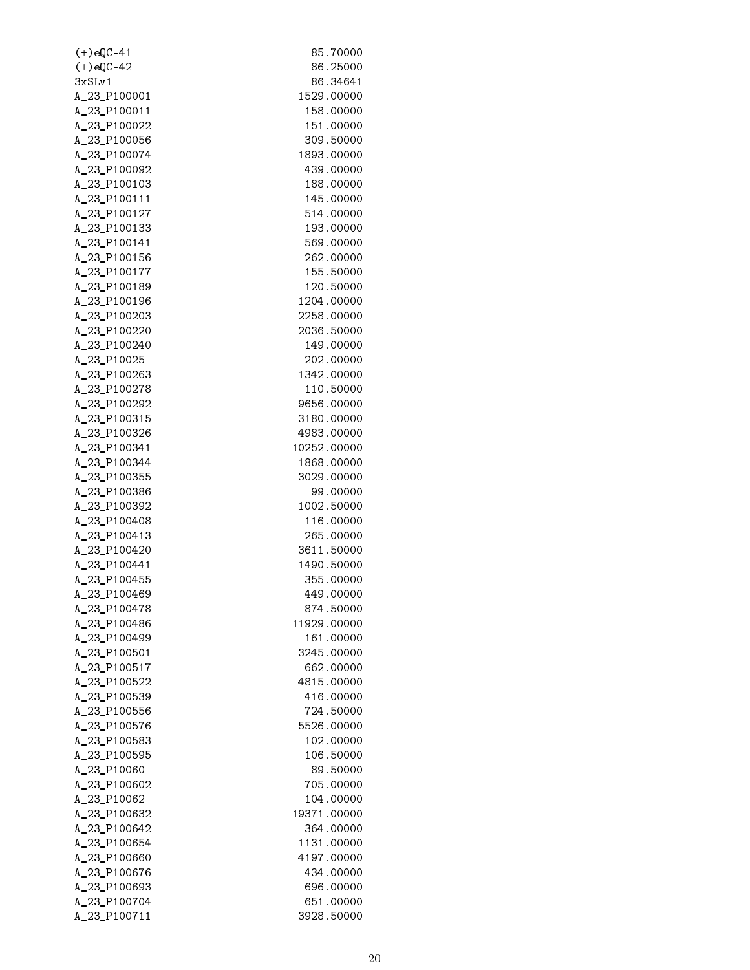| $(+)$ eQC-41 | 85.70000    |
|--------------|-------------|
| $(+)$ eQC-42 | 86.25000    |
| 3xSLv1       | 86.34641    |
| A_23_P100001 | 1529.00000  |
| A_23_P100011 | 158.00000   |
| A_23_P100022 | 151.00000   |
| A_23_P100056 | 309.50000   |
| A_23_P100074 | 1893.00000  |
| A_23_P100092 | 439.00000   |
| A_23_P100103 | 188.00000   |
| A_23_P100111 | 145.00000   |
| A_23_P100127 | 514.00000   |
| A_23_P100133 | 193.00000   |
| A_23_P100141 | 569.00000   |
| A_23_P100156 | 262.00000   |
| A_23_P100177 | 155.50000   |
| A_23_P100189 | 120.50000   |
| A_23_P100196 | 1204.00000  |
| A_23_P100203 | 2258.00000  |
| A_23_P100220 | 2036.50000  |
| A_23_P100240 | 149.00000   |
| A_23_P10025  | 202.00000   |
| A_23_P100263 | 1342.00000  |
| A_23_P100278 | 110.50000   |
|              |             |
| A_23_P100292 | 9656.00000  |
| A_23_P100315 | 3180.00000  |
| A_23_P100326 | 4983.00000  |
| A_23_P100341 | 10252.00000 |
| A_23_P100344 | 1868.00000  |
| A_23_P100355 | 3029.00000  |
| A_23_P100386 | 99.00000    |
| A_23_P100392 | 1002.50000  |
| A_23_P100408 | 116.00000   |
| A_23_P100413 | 265.00000   |
| A_23_P100420 | 3611.50000  |
| A_23_P100441 | 1490.50000  |
| A_23_P100455 | 355.00000   |
| A_23_P100469 | 449.00000   |
| A_23_P100478 | 874.50000   |
| A_23_P100486 | 11929.00000 |
| A_23_P100499 | 161.00000   |
| A_23_P100501 | 3245.00000  |
| A_23_P100517 | 662.00000   |
| A_23_P100522 | 4815.00000  |
| A_23_P100539 | 416.00000   |
| A_23_P100556 | 724.50000   |
| A_23_P100576 | 5526.00000  |
| A_23_P100583 | 102.00000   |
| A_23_P100595 | 106.50000   |
| A_23_P10060  | 89.50000    |
| A_23_P100602 | 705.00000   |
| A_23_P10062  | 104.00000   |
| A_23_P100632 | 19371.00000 |
| A_23_P100642 | 364.00000   |
| A_23_P100654 | 1131.00000  |
| A_23_P100660 | 4197.00000  |
| A_23_P100676 | 434.00000   |
| A_23_P100693 | 696.00000   |
| A_23_P100704 | 651.00000   |
| A_23_P100711 | 3928.50000  |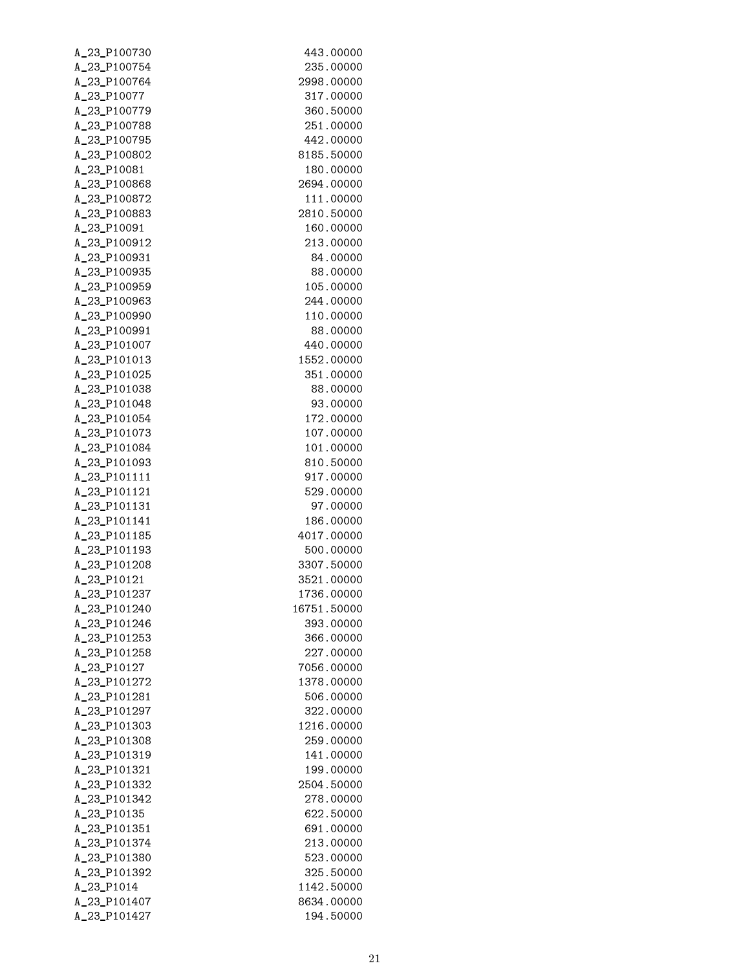| A_23_P100730 | 443.00000   |
|--------------|-------------|
| A_23_P100754 | 235.00000   |
| A_23_P100764 | 2998.00000  |
| A_23_P10077  | 317.00000   |
| A_23_P100779 | 360.50000   |
| A_23_P100788 | 251.00000   |
| A_23_P100795 | 442.00000   |
| A_23_P100802 | 8185.50000  |
| A_23_P10081  | 180.00000   |
| A_23_P100868 | 2694.00000  |
| A_23_P100872 | 111.00000   |
| A_23_P100883 | 2810.50000  |
| A_23_P10091  | 160.00000   |
| A_23_P100912 | 213.00000   |
| A_23_P100931 | 84.00000    |
| A_23_P100935 | 88.00000    |
| A_23_P100959 | 105.00000   |
| A_23_P100963 | 244.00000   |
| A_23_P100990 | 110.00000   |
| A_23_P100991 | 88.00000    |
| A_23_P101007 | 440.00000   |
| A_23_P101013 | 1552.00000  |
| A_23_P101025 | 351.00000   |
| A_23_P101038 | 88.00000    |
| A_23_P101048 | 93,00000    |
| A_23_P101054 | 172.00000   |
|              |             |
| A_23_P101073 | 107.00000   |
| A_23_P101084 | 101.00000   |
| A_23_P101093 | 810.50000   |
| A_23_P101111 | 917.00000   |
| A_23_P101121 | 529.00000   |
| A_23_P101131 | 97.00000    |
| A_23_P101141 | 186.00000   |
| A_23_P101185 | 4017.00000  |
| A_23_P101193 | 500.00000   |
| A_23_P101208 | 3307.50000  |
| A_23_P10121  | 3521.00000  |
| A_23_P101237 | 1736.00000  |
| A_23_P101240 | 16751.50000 |
| A_23_P101246 | 393.00000   |
| A_23_P101253 | 366.00000   |
| A_23_P101258 | 227.00000   |
| A_23_P10127  | 7056.00000  |
| A_23_P101272 | 1378.00000  |
| A_23_P101281 | 506,00000   |
| A_23_P101297 | 322,00000   |
| A_23_P101303 | 1216.00000  |
| A_23_P101308 | 259.00000   |
| A_23_P101319 | 141.00000   |
| A_23_P101321 | 199.00000   |
| A_23_P101332 | 2504.50000  |
| A_23_P101342 | 278.00000   |
| A_23_P10135  | 622.50000   |
| A_23_P101351 | 691.00000   |
| A_23_P101374 | 213.00000   |
| A_23_P101380 | 523.00000   |
| A_23_P101392 | 325.50000   |
| A_23_P1014   | 1142.50000  |
| A_23_P101407 | 8634.00000  |
| A_23_P101427 | 194.50000   |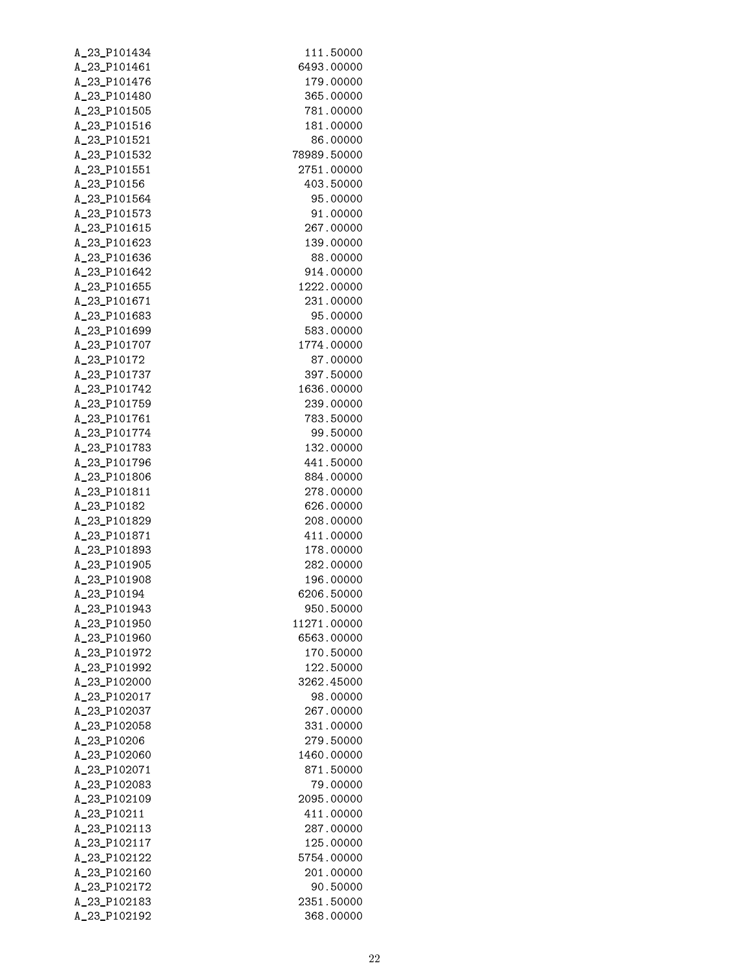| A_23_P101434 | 111.50000   |
|--------------|-------------|
| A_23_P101461 | 6493.00000  |
| A_23_P101476 | 179.00000   |
| A_23_P101480 | 365.00000   |
| A_23_P101505 | 781.00000   |
| A_23_P101516 | 181.00000   |
| A_23_P101521 | 86.00000    |
| A_23_P101532 | 78989.50000 |
| A_23_P101551 | 2751.00000  |
| A_23_P10156  | 403.50000   |
| A_23_P101564 | 95.00000    |
| A_23_P101573 | 91.00000    |
| A_23_P101615 | 267.00000   |
| A_23_P101623 | 139.00000   |
| A_23_P101636 |             |
|              | 88.00000    |
| A_23_P101642 | 914.00000   |
| A_23_P101655 | 1222.00000  |
| A_23_P101671 | 231.00000   |
| A_23_P101683 | 95.00000    |
| A_23_P101699 | 583.00000   |
| A_23_P101707 | 1774.00000  |
| A_23_P10172  | 87.00000    |
| A_23_P101737 | 397.50000   |
| A_23_P101742 | 1636.00000  |
| A_23_P101759 | 239.00000   |
| A_23_P101761 | 783.50000   |
| A_23_P101774 | 99.50000    |
| A_23_P101783 | 132.00000   |
| A_23_P101796 | 441.50000   |
| A_23_P101806 | 884.00000   |
| A_23_P101811 | 278.00000   |
| A_23_P10182  | 626.00000   |
| A_23_P101829 | 208.00000   |
| A_23_P101871 | 411.00000   |
| A_23_P101893 | 178.00000   |
| A_23_P101905 | 282.00000   |
| A_23_P101908 | 196.00000   |
| A_23_P10194  | 6206.50000  |
| A_23_P101943 | 950.50000   |
| A_23_P101950 | 11271.00000 |
| A_23_P101960 | 6563.00000  |
| A 23 P101972 | 170.50000   |
| A 23 P101992 | 122.50000   |
| A_23_P102000 | 3262.45000  |
| A_23_P102017 | 98.00000    |
| A_23_P102037 | 267.00000   |
| A_23_P102058 | 331.00000   |
| A_23_P10206  | 279.50000   |
|              | 1460.00000  |
| A_23_P102060 |             |
| A_23_P102071 | 871,50000   |
| A_23_P102083 | 79.00000    |
| A_23_P102109 | 2095.00000  |
| A_23_P10211  | 411.00000   |
| A_23_P102113 | 287.00000   |
| A_23_P102117 | 125.00000   |
| A_23_P102122 | 5754.00000  |
| A_23_P102160 | 201.00000   |
| A_23_P102172 | 90.50000    |
| A_23_P102183 | 2351.50000  |
| A_23_P102192 | 368.00000   |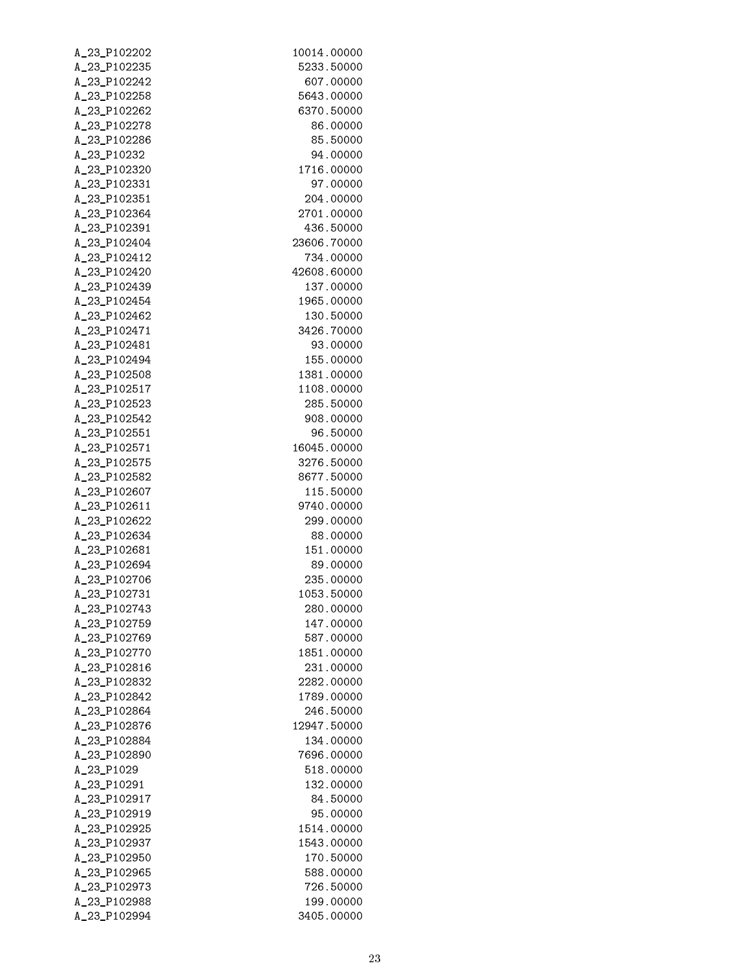| A_23_P102202                 | 10014.00000             |
|------------------------------|-------------------------|
| A_23_P102235                 | 5233.50000              |
| A_23_P102242                 | 607.00000               |
| A_23_P102258                 | 5643.00000              |
| A_23_P102262                 | 6370.50000              |
| A_23_P102278                 | 86.00000                |
| A_23_P102286                 | 85.50000                |
| A_23_P10232                  | 94.00000                |
| A_23_P102320                 | 1716.00000              |
| A_23_P102331                 | 97.00000                |
| A_23_P102351                 | 204.00000               |
| A_23_P102364                 | 2701.00000              |
| A_23_P102391                 | 436.50000               |
| A_23_P102404                 | 23606.70000             |
| A_23_P102412                 | 734.00000               |
| A_23_P102420                 | 42608.60000             |
| A_23_P102439                 | 137.00000               |
| A_23_P102454                 | 1965.00000              |
| A_23_P102462                 | 130.50000               |
| A_23_P102471                 | 3426.70000              |
| A_23_P102481                 | 93.00000                |
| A_23_P102494                 | 155.00000               |
| A_23_P102508                 | 1381.00000              |
| A_23_P102517                 | 1108.00000              |
| A_23_P102523                 | 285.50000               |
| A_23_P102542                 | 908.00000               |
| A_23_P102551                 | 96.50000                |
| A_23_P102571                 | 16045.00000             |
| A_23_P102575                 | 3276.50000              |
| A_23_P102582                 | 8677.50000              |
| A_23_P102607                 | 115.50000               |
| A_23_P102611                 | 9740.00000<br>299.00000 |
| A_23_P102622<br>A_23_P102634 | 88.00000                |
| A_23_P102681                 | 151.00000               |
| A_23_P102694                 | 89.00000                |
| A_23_P102706                 | 235.00000               |
| A_23_P102731                 | 1053.50000              |
| A_23_P102743                 | 280.00000               |
| A_23_P102759                 | 147.00000               |
| A_23_P102769                 | 587.00000               |
| A_23_P102770                 | 1851.00000              |
| A_23_P102816                 | 231.00000               |
| A_23_P102832                 | 2282.00000              |
| A_23_P102842                 | 1789.00000              |
| A_23_P102864                 | 246.50000               |
| A_23_P102876                 | 12947.50000             |
| A_23_P102884                 | 134.00000               |
| A_23_P102890                 | 7696.00000              |
| A_23_P1029                   | 518.00000               |
| A_23_P10291                  | 132.00000               |
| A_23_P102917                 | 84.50000                |
| A_23_P102919                 | 95.00000                |
| A_23_P102925                 | 1514.00000              |
| A_23_P102937                 | 1543.00000              |
| A_23_P102950                 | 170.50000               |
| A_23_P102965                 | 588.00000               |
| A_23_P102973                 | 726.50000               |
| A_23_P102988                 | 199.00000               |
| A_23_P102994                 | 3405.00000              |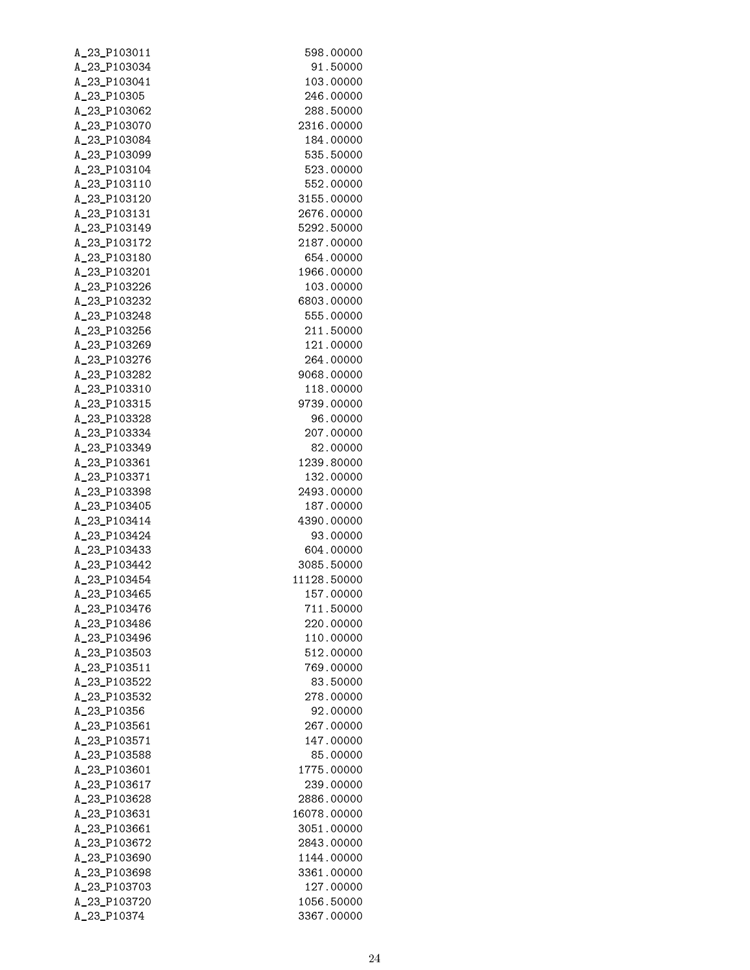| A_23_P103011 | 598.00000   |
|--------------|-------------|
| A_23_P103034 | 91.50000    |
| A_23_P103041 | 103.00000   |
| A_23_P10305  | 246,00000   |
| A_23_P103062 | 288,50000   |
| A_23_P103070 | 2316.00000  |
| A_23_P103084 | 184.00000   |
| A_23_P103099 | 535,50000   |
| A_23_P103104 | 523,00000   |
| A_23_P103110 | 552,00000   |
| A_23_P103120 | 3155.00000  |
| A_23_P103131 | 2676.00000  |
| A_23_P103149 | 5292.50000  |
| A_23_P103172 | 2187.00000  |
| A_23_P103180 | 654.00000   |
| A_23_P103201 | 1966.00000  |
| A_23_P103226 | 103.00000   |
| A_23_P103232 | 6803.00000  |
| A_23_P103248 | 555.00000   |
| A_23_P103256 | 211.50000   |
| A_23_P103269 | 121.00000   |
| A_23_P103276 | 264.00000   |
| A_23_P103282 | 9068,00000  |
| A_23_P103310 | 118.00000   |
| A_23_P103315 | 9739.00000  |
| A_23_P103328 | 96.00000    |
| A_23_P103334 | 207.00000   |
| A_23_P103349 | 82.00000    |
| A_23_P103361 | 1239.80000  |
| A_23_P103371 | 132.00000   |
| A_23_P103398 | 2493.00000  |
| A_23_P103405 | 187.00000   |
| A_23_P103414 | 4390.00000  |
| A_23_P103424 | 93.00000    |
| A_23_P103433 | 604.00000   |
| A_23_P103442 | 3085.50000  |
| A_23_P103454 | 11128.50000 |
| A_23_P103465 | 157.00000   |
| A_23_P103476 | 711.50000   |
| A_23_P103486 | 220,00000   |
| A_23_P103496 | 110.00000   |
| A_23_P103503 | 512.00000   |
| A_23_P103511 | 769,00000   |
| A_23_P103522 | 83.50000    |
| A_23_P103532 | 278.00000   |
| A_23_P10356  | 92.00000    |
| A_23_P103561 | 267.00000   |
| A_23_P103571 | 147.00000   |
| A_23_P103588 | 85.00000    |
| A_23_P103601 | 1775.00000  |
| A_23_P103617 | 239.00000   |
| A_23_P103628 | 2886.00000  |
| A_23_P103631 | 16078.00000 |
| A_23_P103661 | 3051.00000  |
| A_23_P103672 | 2843.00000  |
| A_23_P103690 | 1144.00000  |
| A_23_P103698 | 3361.00000  |
| A_23_P103703 | 127.00000   |
| A_23_P103720 | 1056.50000  |
| A_23_P10374  | 3367.00000  |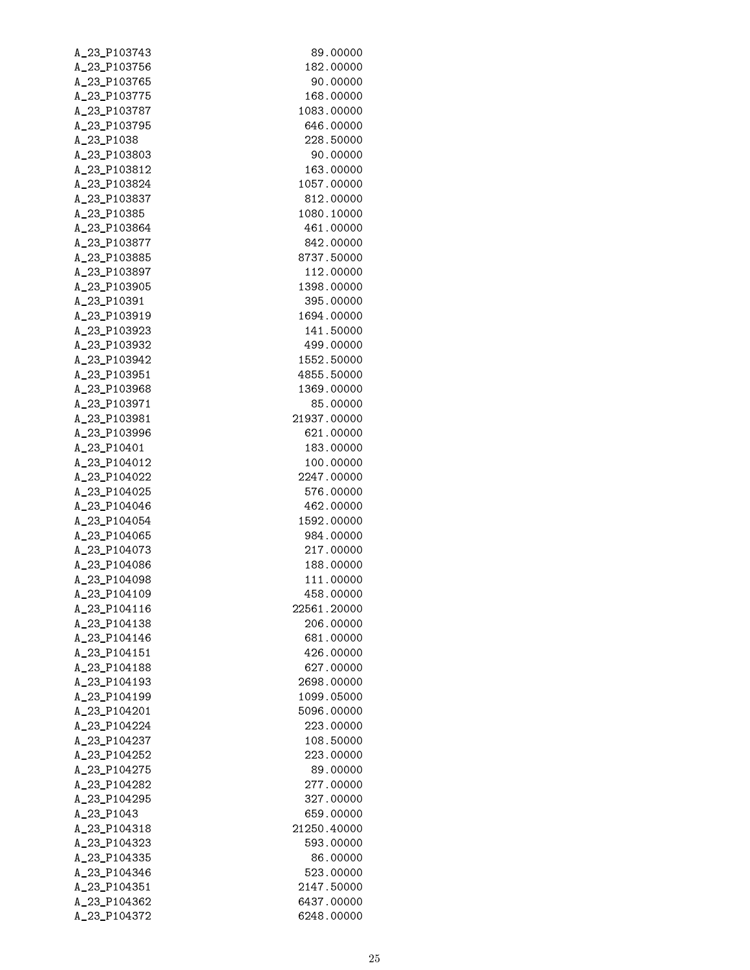| A_23_P103743 | 89.00000    |
|--------------|-------------|
| A_23_P103756 | 182.00000   |
| A_23_P103765 | 90.00000    |
| A_23_P103775 | 168.00000   |
| A_23_P103787 | 1083.00000  |
| A_23_P103795 | 646.00000   |
| A_23_P1038   | 228.50000   |
| A_23_P103803 | 90.00000    |
| A_23_P103812 | 163.00000   |
| A_23_P103824 | 1057.00000  |
| A_23_P103837 | 812.00000   |
| A_23_P10385  | 1080.10000  |
| A_23_P103864 | 461.00000   |
| A_23_P103877 | 842,00000   |
| A_23_P103885 | 8737.50000  |
| A_23_P103897 | 112.00000   |
| A_23_P103905 | 1398.00000  |
| A_23_P10391  | 395.00000   |
| A_23_P103919 | 1694.00000  |
| A_23_P103923 | 141.50000   |
| A_23_P103932 | 499.00000   |
| A_23_P103942 | 1552.50000  |
| A_23_P103951 | 4855.50000  |
| A_23_P103968 | 1369.00000  |
|              |             |
| A_23_P103971 | 85.00000    |
| A_23_P103981 | 21937.00000 |
| A_23_P103996 | 621.00000   |
| A_23_P10401  | 183.00000   |
| A_23_P104012 | 100.00000   |
| A_23_P104022 | 2247.00000  |
| A_23_P104025 | 576.00000   |
| A_23_P104046 | 462.00000   |
| A_23_P104054 | 1592.00000  |
| A_23_P104065 | 984.00000   |
| A_23_P104073 | 217.00000   |
| A_23_P104086 | 188.00000   |
| A_23_P104098 | 111.00000   |
| A_23_P104109 | 458.00000   |
| A_23_P104116 | 22561.20000 |
| A_23_P104138 | 206.00000   |
| A_23_P104146 | 681.00000   |
| A_23_P104151 | 426.00000   |
| A_23_P104188 | 627.00000   |
| A_23_P104193 | 2698.00000  |
| A_23_P104199 | 1099.05000  |
| A_23_P104201 | 5096.00000  |
| A_23_P104224 | 223,00000   |
| A_23_P104237 | 108,50000   |
| A_23_P104252 | 223.00000   |
| A_23_P104275 | 89,00000    |
| A_23_P104282 | 277,00000   |
| A_23_P104295 | 327.00000   |
| A_23_P1043   | 659.00000   |
| A_23_P104318 | 21250.40000 |
| A_23_P104323 | 593.00000   |
| A_23_P104335 | 86.00000    |
| A_23_P104346 | 523.00000   |
| A_23_P104351 | 2147.50000  |
| A_23_P104362 | 6437.00000  |
| A_23_P104372 | 6248.00000  |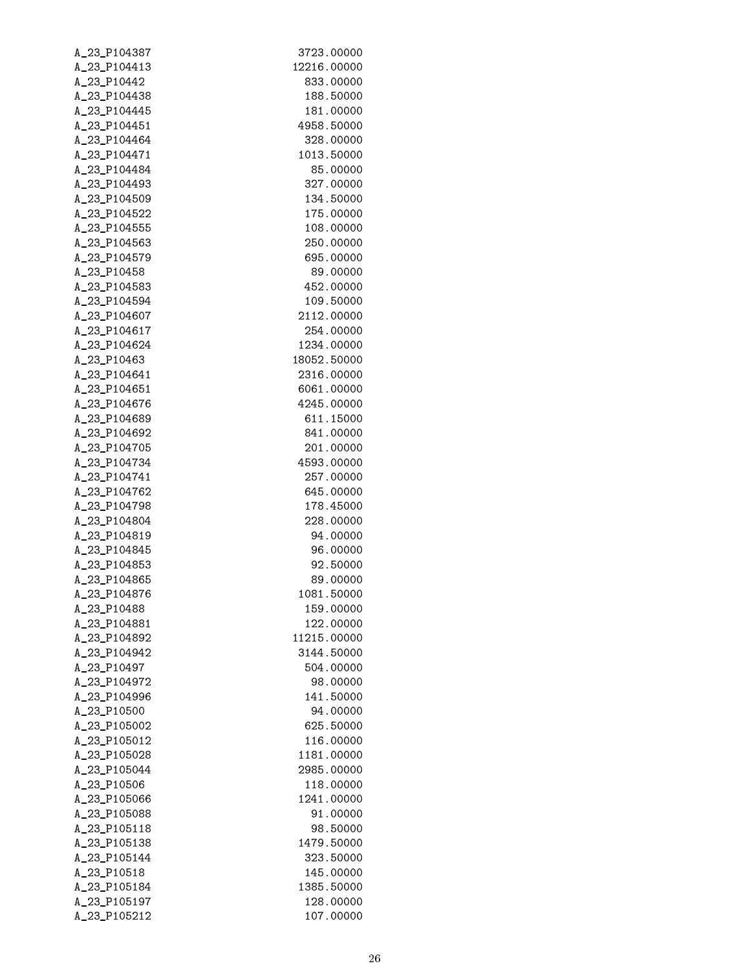| A_23_P104387 | 3723.00000  |
|--------------|-------------|
| A_23_P104413 | 12216.00000 |
| A_23_P10442  | 833.00000   |
| A_23_P104438 | 188.50000   |
| A_23_P104445 | 181.00000   |
| A_23_P104451 | 4958.50000  |
| A_23_P104464 | 328,00000   |
| A_23_P104471 | 1013.50000  |
| A_23_P104484 | 85,00000    |
| A_23_P104493 | 327.00000   |
| A_23_P104509 | 134.50000   |
| A_23_P104522 | 175.00000   |
| A_23_P104555 | 108.00000   |
| A_23_P104563 | 250.00000   |
| A_23_P104579 | 695.00000   |
| A_23_P10458  | 89.00000    |
| A_23_P104583 | 452.00000   |
| A_23_P104594 | 109.50000   |
| A_23_P104607 | 2112.00000  |
| A_23_P104617 | 254.00000   |
| A_23_P104624 | 1234.00000  |
| A_23_P10463  | 18052.50000 |
|              | 2316.00000  |
| A_23_P104641 |             |
| A_23_P104651 | 6061.00000  |
| A_23_P104676 | 4245.00000  |
| A_23_P104689 | 611.15000   |
| A_23_P104692 | 841.00000   |
| A_23_P104705 | 201.00000   |
| A_23_P104734 | 4593.00000  |
| A_23_P104741 | 257.00000   |
| A_23_P104762 | 645.00000   |
| A_23_P104798 | 178.45000   |
| A_23_P104804 | 228.00000   |
| A_23_P104819 | 94.00000    |
| A_23_P104845 | 96.00000    |
| A_23_P104853 | 92.50000    |
| A_23_P104865 | 89.00000    |
| A_23_P104876 | 1081.50000  |
| A_23_P10488  | 159.00000   |
| A_23_P104881 | 122.00000   |
| A_23_P104892 | 11215.00000 |
| A_23_P104942 | 3144.50000  |
| A_23_P10497  | 504.00000   |
| A_23_P104972 | 98.00000    |
| A_23_P104996 | 141.50000   |
| A_23_P10500  | 94.00000    |
| A_23_P105002 | 625,50000   |
| A_23_P105012 | 116.00000   |
| A_23_P105028 | 1181.00000  |
| A_23_P105044 | 2985.00000  |
| A_23_P10506  | 118.00000   |
| A_23_P105066 | 1241.00000  |
| A_23_P105088 | 91.00000    |
| A_23_P105118 | 98.50000    |
| A_23_P105138 | 1479.50000  |
| A_23_P105144 | 323.50000   |
| A_23_P10518  | 145.00000   |
| A_23_P105184 | 1385.50000  |
| A_23_P105197 | 128.00000   |
| A_23_P105212 | 107.00000   |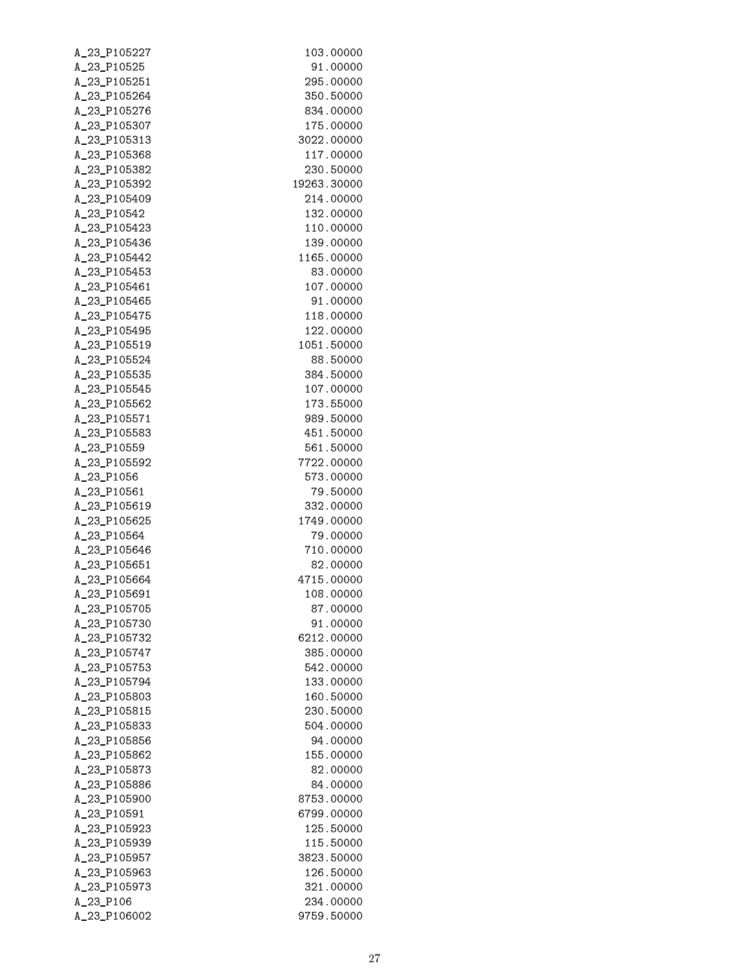| A_23_P105227                 | 103.00000              |
|------------------------------|------------------------|
| A_23_P10525                  | 91.00000               |
| A_23_P105251                 | 295.00000              |
| A_23_P105264                 | 350.50000              |
| A_23_P105276                 | 834.00000              |
| A_23_P105307                 | 175.00000              |
| A_23_P105313                 | 3022.00000             |
| A_23_P105368                 | 117.00000              |
| A_23_P105382                 | 230.50000              |
| A_23_P105392                 | 19263.30000            |
| A_23_P105409                 | 214.00000              |
| A_23_P10542                  | 132.00000              |
| A_23_P105423                 | 110.00000              |
| A_23_P105436                 | 139.00000              |
| A_23_P105442                 | 1165.00000             |
| A_23_P105453                 | 83.00000               |
| A_23_P105461                 | 107.00000              |
| A_23_P105465                 | 91.00000               |
| A_23_P105475                 | 118.00000              |
| A_23_P105495                 | 122.00000              |
| A_23_P105519                 | 1051.50000             |
| A_23_P105524                 | 88.50000               |
| A_23_P105535                 | 384.50000              |
| A_23_P105545                 | 107.00000              |
| A_23_P105562                 | 173.55000              |
| A_23_P105571                 | 989.50000              |
| A_23_P105583                 | 451.50000              |
| A_23_P10559                  | 561.50000              |
| A_23_P105592                 | 7722.00000             |
| A_23_P1056                   | 573.00000              |
| A_23_P10561                  | 79.50000               |
| A_23_P105619                 | 332.00000              |
| A_23_P105625                 | 1749.00000             |
| A_23_P10564                  | 79.00000               |
| A_23_P105646                 | 710.00000              |
| A_23_P105651                 | 82.00000               |
| A_23_P105664                 | 4715.00000             |
| A_23_P105691                 | 108.00000              |
| A_23_P105705                 | 87.00000               |
| A_23_P105730                 | 91.00000               |
| A_23_P105732                 | 6212.00000             |
| A_23_P105747                 | 385.00000              |
| A_23_P105753                 | 542.00000              |
| A_23_P105794                 | 133.00000<br>160.50000 |
| A_23_P105803                 |                        |
| A_23_P105815                 | 230.50000              |
| A_23_P105833                 | 504.00000              |
| A_23_P105856<br>A_23_P105862 | 94.00000<br>155.00000  |
| A_23_P105873                 | 82.00000               |
| A_23_P105886                 | 84.00000               |
| A_23_P105900                 | 8753.00000             |
| A_23_P10591                  | 6799.00000             |
| A_23_P105923                 | 125.50000              |
| A_23_P105939                 | 115.50000              |
| A_23_P105957                 | 3823.50000             |
| A_23_P105963                 | 126.50000              |
| A_23_P105973                 | 321.00000              |
| A_23_P106                    | 234.00000              |
| A_23_P106002                 | 9759.50000             |
|                              |                        |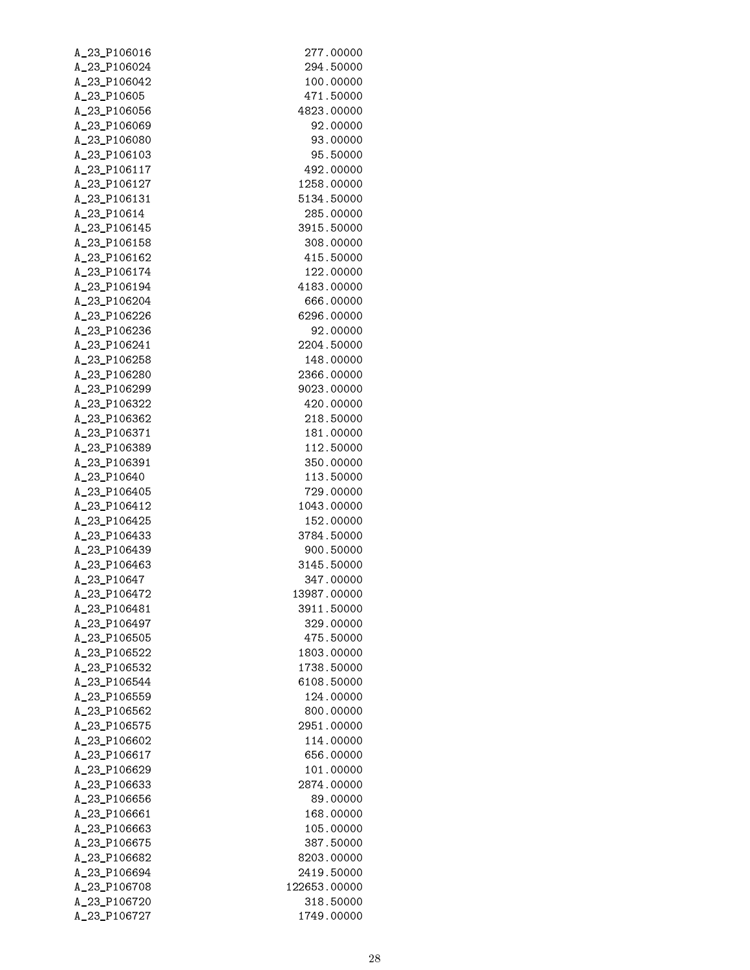| A_23_P106016 | 277.00000    |
|--------------|--------------|
| A_23_P106024 | 294,50000    |
| A_23_P106042 | 100.00000    |
| A_23_P10605  | 471.50000    |
| A_23_P106056 | 4823.00000   |
| A_23_P106069 | 92.00000     |
| A_23_P106080 | 93,00000     |
| A_23_P106103 | 95.50000     |
| A_23_P106117 | 492,00000    |
| A_23_P106127 | 1258.00000   |
| A_23_P106131 | 5134.50000   |
| A_23_P10614  | 285.00000    |
| A_23_P106145 | 3915.50000   |
| A_23_P106158 | 308.00000    |
| A_23_P106162 | 415,50000    |
| A_23_P106174 | 122.00000    |
| A_23_P106194 | 4183.00000   |
| A 23 P106204 | 666,00000    |
| A_23_P106226 | 6296.00000   |
| A_23_P106236 | 92.00000     |
| A_23_P106241 | 2204.50000   |
| A_23_P106258 | 148.00000    |
| A_23_P106280 | 2366.00000   |
| A_23_P106299 | 9023.00000   |
| A_23_P106322 | 420.00000    |
| A_23_P106362 | 218.50000    |
| A_23_P106371 | 181.00000    |
| A_23_P106389 | 112.50000    |
| A_23_P106391 | 350.00000    |
| A_23_P10640  | 113.50000    |
| A_23_P106405 | 729.00000    |
| A_23_P106412 | 1043.00000   |
| A_23_P106425 | 152.00000    |
| A_23_P106433 | 3784.50000   |
| A_23_P106439 | 900.50000    |
| A_23_P106463 | 3145.50000   |
| A_23_P10647  | 347.00000    |
| A_23_P106472 | 13987.00000  |
| A_23_P106481 | 3911.50000   |
| A_23_P106497 | 329.00000    |
| A_23_P106505 | 475,50000    |
| A_23_P106522 | 1803.00000   |
| A_23_P106532 | 1738.50000   |
| A_23_P106544 | 6108.50000   |
| A_23_P106559 | 124.00000    |
| A_23_P106562 | 800.00000    |
| A_23_P106575 | 2951.00000   |
| A_23_P106602 | 114.00000    |
| A_23_P106617 | 656,00000    |
| A_23_P106629 | 101.00000    |
| A_23_P106633 | 2874.00000   |
| A_23_P106656 | 89.00000     |
| A_23_P106661 | 168.00000    |
| A_23_P106663 | 105.00000    |
| A_23_P106675 | 387.50000    |
| A_23_P106682 | 8203.00000   |
| A_23_P106694 | 2419.50000   |
| A_23_P106708 | 122653.00000 |
| A_23_P106720 | 318,50000    |
| A_23_P106727 | 1749.00000   |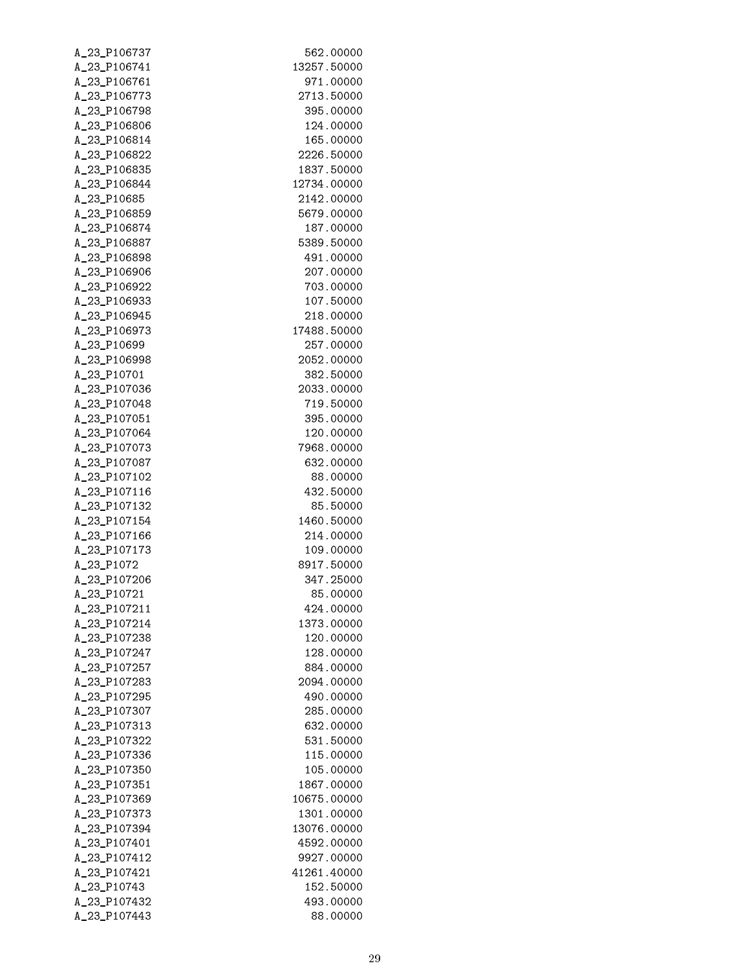| A_23_P106737                | 562.00000               |
|-----------------------------|-------------------------|
| A_23_P106741                | 13257.50000             |
| A_23_P106761                | 971.00000               |
| A_23_P106773                | 2713.50000              |
| A_23_P106798                | 395.00000               |
| A_23_P106806                | 124.00000               |
| A_23_P106814                | 165.00000               |
| A_23_P106822                | 2226.50000              |
| A_23_P106835                | 1837.50000              |
| A_23_P106844                | 12734.00000             |
| A_23_P10685                 | 2142.00000              |
| A_23_P106859                | 5679.00000              |
| A_23_P106874                | 187.00000               |
| A_23_P106887                | 5389.50000              |
| A_23_P106898                | 491.00000               |
| A_23_P106906                | 207.00000               |
| A_23_P106922                | 703.00000               |
| A_23_P106933                | 107.50000               |
| A_23_P106945                | 218.00000               |
| A_23_P106973<br>A_23_P10699 | 17488.50000             |
| A_23_P106998                | 257.00000<br>2052.00000 |
| A_23_P10701                 | 382.50000               |
| A_23_P107036                | 2033.00000              |
| A_23_P107048                | 719,50000               |
| A_23_P107051                | 395.00000               |
| A_23_P107064                | 120.00000               |
| A_23_P107073                | 7968.00000              |
| A_23_P107087                | 632.00000               |
| A_23_P107102                | 88,00000                |
| A_23_P107116                | 432,50000               |
| A_23_P107132                | 85,50000                |
| A_23_P107154                | 1460.50000              |
| A_23_P107166                | 214,00000               |
| A_23_P107173                | 109.00000               |
| A_23_P1072                  | 8917.50000              |
| A_23_P107206                | 347.25000               |
| A_23_P10721                 | 85.00000                |
| A_23_P107211                | 424.00000               |
| A_23_P107214                | 1373.00000              |
| A_23_P107238                | 120.00000               |
| A_23_P107247                | 128.00000               |
| A_23_P107257                | 884.00000               |
| A_23_P107283                | 2094.00000              |
| A_23_P107295                | 490.00000               |
| A_23_P107307                | 285.00000               |
| A_23_P107313                | 632.00000               |
| A_23_P107322                | 531.50000               |
| A_23_P107336                | 115.00000               |
| A_23_P107350                | 105.00000               |
| A_23_P107351                | 1867.00000              |
| A_23_P107369                | 10675.00000             |
| A_23_P107373                | 1301.00000              |
| A_23_P107394                | 13076.00000             |
| A_23_P107401                | 4592.00000              |
| A_23_P107412                | 9927.00000              |
| A_23_P107421                | 41261.40000             |
| A_23_P10743                 | 152.50000               |
| A_23_P107432                | 493.00000               |
| A_23_P107443                | 88.00000                |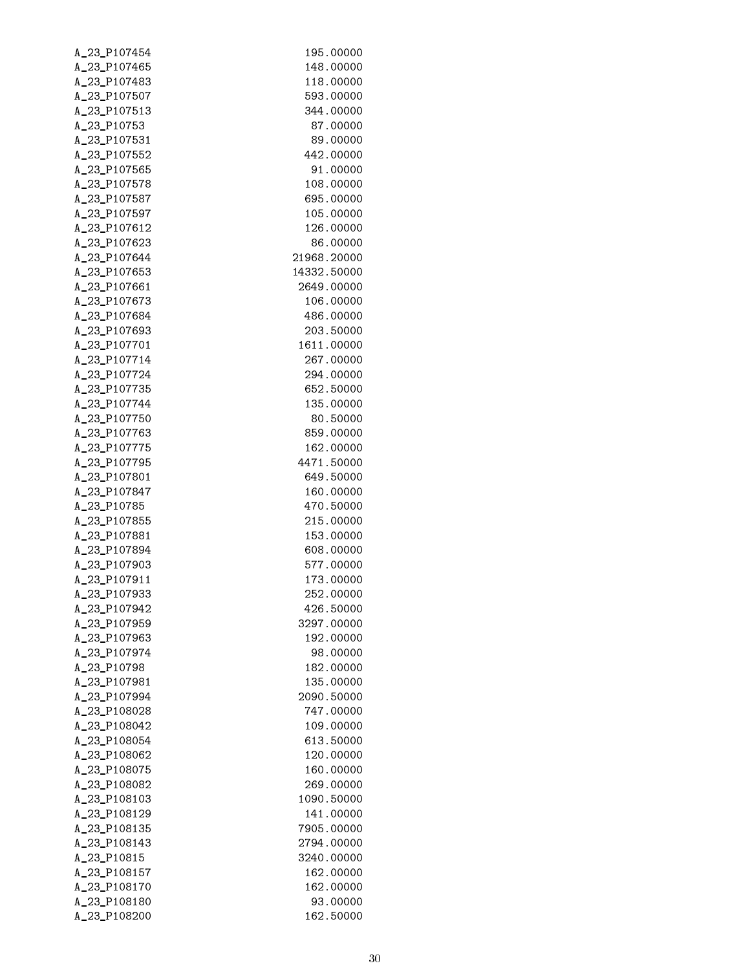| A_23_P107454 | 195.00000   |
|--------------|-------------|
| A_23_P107465 | 148.00000   |
| A_23_P107483 | 118.00000   |
| A_23_P107507 | 593.00000   |
| A_23_P107513 | 344.00000   |
| A_23_P10753  | 87.00000    |
| A_23_P107531 | 89.00000    |
| A_23_P107552 | 442.00000   |
| A_23_P107565 | 91.00000    |
| A_23_P107578 | 108.00000   |
| A_23_P107587 | 695,00000   |
| A_23_P107597 | 105.00000   |
| A_23_P107612 | 126.00000   |
| A_23_P107623 | 86,00000    |
| A_23_P107644 | 21968.20000 |
| A_23_P107653 | 14332.50000 |
| A_23_P107661 | 2649.00000  |
| A_23_P107673 | 106.00000   |
| A_23_P107684 | 486,00000   |
| A_23_P107693 | 203,50000   |
| A_23_P107701 | 1611.00000  |
| A_23_P107714 | 267.00000   |
| A_23_P107724 | 294.00000   |
| A_23_P107735 | 652,50000   |
| A_23_P107744 | 135.00000   |
| A_23_P107750 | 80.50000    |
| A_23_P107763 | 859.00000   |
| A_23_P107775 | 162.00000   |
| A_23_P107795 | 4471.50000  |
| A_23_P107801 | 649.50000   |
| A_23_P107847 | 160.00000   |
| A_23_P10785  | 470.50000   |
| A_23_P107855 | 215.00000   |
| A_23_P107881 | 153.00000   |
| A_23_P107894 | 608.00000   |
| A_23_P107903 | 577.00000   |
| A_23_P107911 | 173.00000   |
| A 23 P107933 | 252,00000   |
| A_23_P107942 | 426.50000   |
| A_23_P107959 | 3297.00000  |
| A_23_P107963 | 192.00000   |
| A_23_P107974 | 98.00000    |
| A_23_P10798  | 182.00000   |
| A_23_P107981 | 135.00000   |
| A_23_P107994 | 2090.50000  |
| A_23_P108028 | 747.00000   |
| A_23_P108042 | 109.00000   |
| A_23_P108054 | 613.50000   |
| A_23_P108062 | 120.00000   |
| A_23_P108075 | 160.00000   |
| A_23_P108082 | 269.00000   |
| A_23_P108103 | 1090.50000  |
| A_23_P108129 | 141.00000   |
| A_23_P108135 | 7905.00000  |
| A_23_P108143 | 2794.00000  |
| A_23_P10815  | 3240.00000  |
| A_23_P108157 | 162.00000   |
| A_23_P108170 | 162.00000   |
| A_23_P108180 | 93.00000    |
| A_23_P108200 | 162.50000   |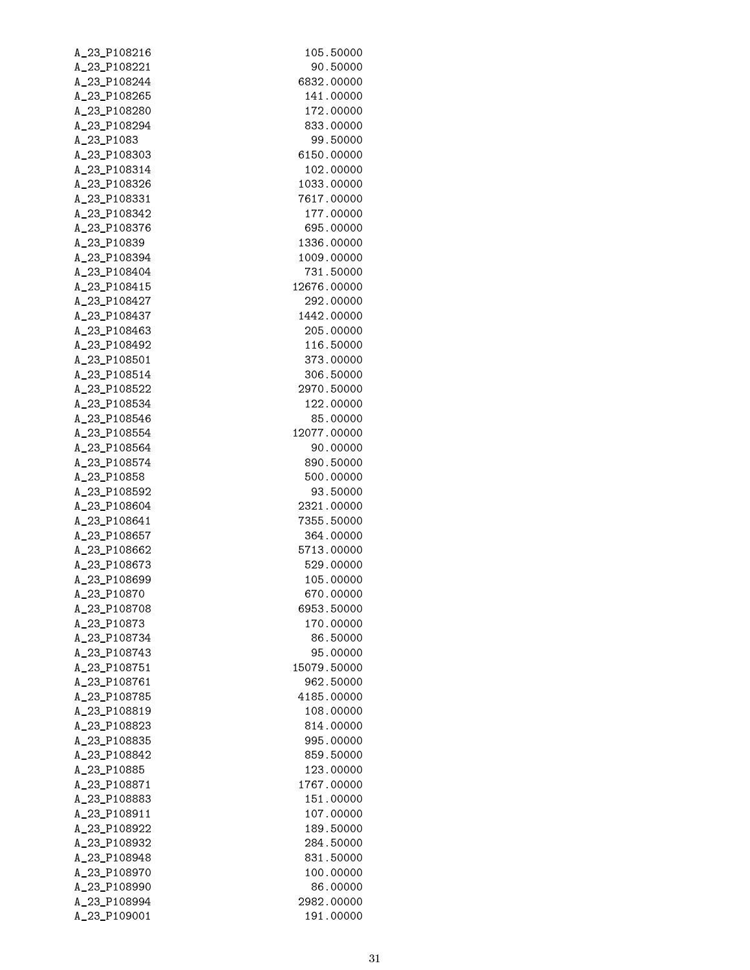| A_23_P108216                 | 105.50000              |
|------------------------------|------------------------|
| A_23_P108221                 | 90.50000               |
| A_23_P108244                 | 6832.00000             |
| A_23_P108265                 | 141.00000              |
| A_23_P108280                 | 172.00000              |
| A_23_P108294                 | 833.00000              |
| A_23_P1083                   | 99.50000               |
| A_23_P108303                 | 6150.00000             |
| A_23_P108314                 | 102.00000              |
| A_23_P108326                 | 1033.00000             |
| A_23_P108331                 | 7617.00000             |
| A_23_P108342                 | 177.00000              |
| A_23_P108376                 | 695.00000              |
| A_23_P10839                  | 1336.00000             |
| A_23_P108394                 | 1009.00000             |
| A_23_P108404                 | 731.50000              |
| A_23_P108415                 | 12676.00000            |
| A_23_P108427                 | 292.00000              |
| A_23_P108437                 | 1442.00000             |
| A_23_P108463                 | 205.00000              |
| A_23_P108492                 | 116.50000              |
| A_23_P108501                 | 373.00000              |
| A_23_P108514                 | 306.50000              |
| A_23_P108522                 | 2970.50000             |
| A_23_P108534                 | 122.00000              |
| A_23_P108546                 | 85.00000               |
| A_23_P108554                 | 12077.00000            |
| A_23_P108564                 | 90.00000               |
| A_23_P108574                 | 890.50000              |
| A_23_P10858                  | 500.00000              |
| A_23_P108592                 | 93.50000               |
| A_23_P108604                 | 2321.00000             |
| A_23_P108641                 | 7355.50000             |
| A_23_P108657                 | 364.00000              |
| A_23_P108662                 | 5713.00000             |
| A_23_P108673                 | 529.00000              |
| A_23_P108699                 | 105.00000              |
| A_23_P10870                  | 670.00000              |
| A_23_P108708                 | 6953.50000             |
| A_23_P10873                  | 170.00000              |
| A_23_P108734                 | 86.50000               |
| A_23_P108743                 | 95.00000               |
| A_23_P108751                 | 15079.50000            |
| A_23_P108761                 | 962.50000              |
| A_23_P108785                 | 4185.00000             |
| A_23_P108819                 | 108.00000              |
| A_23_P108823                 | 814.00000              |
| A_23_P108835                 | 995.00000              |
| A_23_P108842                 | 859.50000              |
| A_23_P10885                  | 123.00000              |
| A_23_P108871                 | 1767.00000             |
| A_23_P108883                 | 151.00000              |
| A_23_P108911                 | 107.00000              |
| A_23_P108922<br>A_23_P108932 | 189.50000<br>284.50000 |
| A_23_P108948                 | 831.50000              |
|                              |                        |
| A_23_P108970<br>A_23_P108990 | 100.00000<br>86.00000  |
| A_23_P108994                 | 2982.00000             |
| A_23_P109001                 | 191.00000              |
|                              |                        |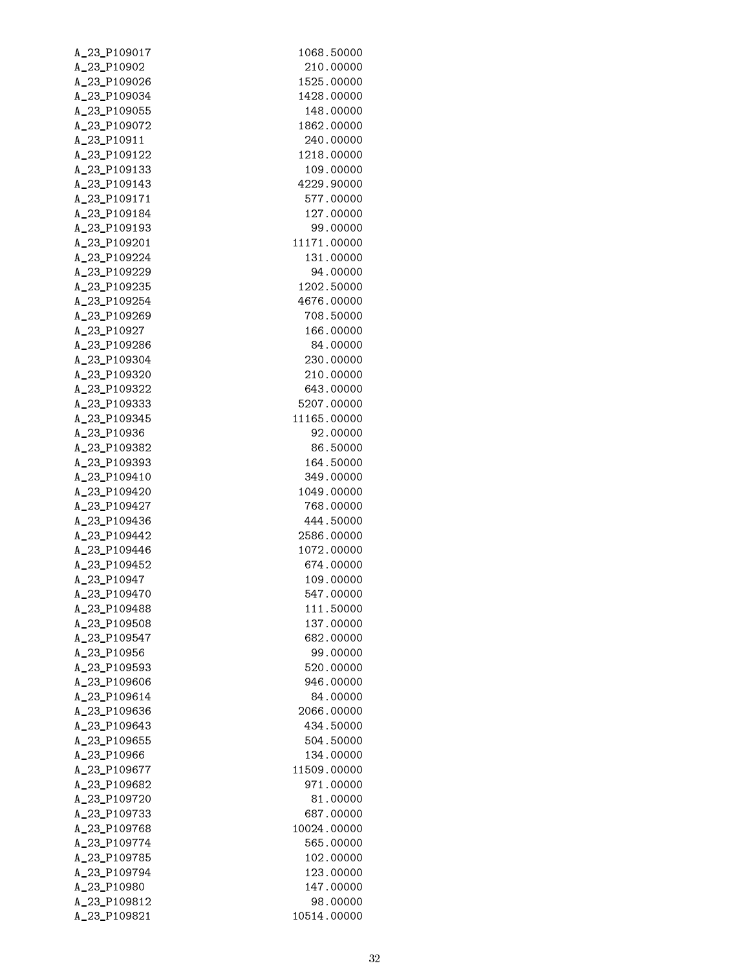| A_23_P109017 | 1068.50000  |
|--------------|-------------|
| A_23_P10902  | 210.00000   |
| A_23_P109026 | 1525.00000  |
| A_23_P109034 | 1428.00000  |
| A_23_P109055 | 148.00000   |
| A_23_P109072 | 1862.00000  |
| A_23_P10911  | 240.00000   |
| A_23_P109122 | 1218.00000  |
| A_23_P109133 | 109.00000   |
| A_23_P109143 | 4229.90000  |
| A_23_P109171 | 577.00000   |
| A_23_P109184 | 127.00000   |
| A_23_P109193 | 99.00000    |
| A_23_P109201 | 11171.00000 |
| A_23_P109224 | 131.00000   |
| A_23_P109229 | 94.00000    |
| A_23_P109235 | 1202.50000  |
| A_23_P109254 | 4676.00000  |
| A_23_P109269 | 708.50000   |
| A_23_P10927  | 166.00000   |
| A_23_P109286 | 84.00000    |
| A_23_P109304 | 230.00000   |
| A_23_P109320 | 210.00000   |
| A_23_P109322 | 643.00000   |
| A_23_P109333 | 5207.00000  |
| A_23_P109345 | 11165.00000 |
| A_23_P10936  | 92.00000    |
| A_23_P109382 | 86.50000    |
| A_23_P109393 | 164.50000   |
| A_23_P109410 | 349.00000   |
| A_23_P109420 | 1049.00000  |
| A_23_P109427 | 768.00000   |
| A_23_P109436 | 444.50000   |
| A_23_P109442 | 2586.00000  |
| A_23_P109446 | 1072.00000  |
| A_23_P109452 | 674.00000   |
| A_23_P10947  | 109.00000   |
| A_23_P109470 | 547.00000   |
| A_23_P109488 | 111.50000   |
| A_23_P109508 | 137.00000   |
| A_23_P109547 | 682,00000   |
| A_23_P10956  | 99.00000    |
| A_23_P109593 | 520.00000   |
| A_23_P109606 | 946.00000   |
| A_23_P109614 | 84.00000    |
| A_23_P109636 | 2066.00000  |
| A_23_P109643 | 434.50000   |
| A_23_P109655 | 504.50000   |
| A_23_P10966  | 134.00000   |
| A_23_P109677 | 11509.00000 |
| A_23_P109682 | 971.00000   |
| A_23_P109720 | 81.00000    |
| A_23_P109733 | 687.00000   |
| A_23_P109768 | 10024.00000 |
| A_23_P109774 | 565.00000   |
| A_23_P109785 | 102.00000   |
| A_23_P109794 | 123.00000   |
| A_23_P10980  | 147.00000   |
| A_23_P109812 | 98.00000    |
| A_23_P109821 | 10514.00000 |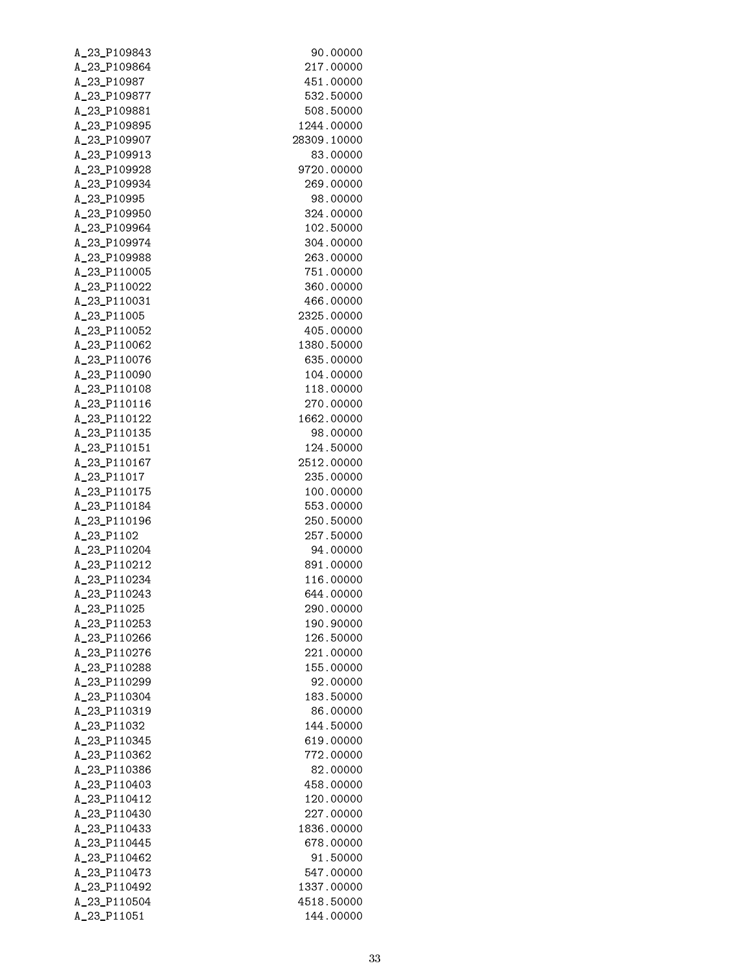| A_23_P109843 | 90.00000    |
|--------------|-------------|
| A_23_P109864 | 217.00000   |
| A_23_P10987  | 451.00000   |
| A_23_P109877 | 532,50000   |
| A_23_P109881 | 508,50000   |
| A_23_P109895 | 1244.00000  |
| A_23_P109907 | 28309.10000 |
| A_23_P109913 | 83,00000    |
| A_23_P109928 | 9720.00000  |
| A_23_P109934 | 269.00000   |
| A_23_P10995  | 98.00000    |
| A_23_P109950 | 324.00000   |
| A_23_P109964 | 102.50000   |
| A_23_P109974 | 304,00000   |
| A_23_P109988 | 263.00000   |
| A_23_P110005 | 751.00000   |
| A_23_P110022 | 360,00000   |
| A 23 P110031 | 466,00000   |
| A_23_P11005  | 2325.00000  |
| A_23_P110052 | 405.00000   |
| A_23_P110062 | 1380.50000  |
| A_23_P110076 | 635.00000   |
| A_23_P110090 | 104.00000   |
| A_23_P110108 | 118.00000   |
| A_23_P110116 | 270.00000   |
| A_23_P110122 | 1662.00000  |
| A_23_P110135 | 98.00000    |
| A_23_P110151 | 124.50000   |
| A_23_P110167 | 2512.00000  |
| A_23_P11017  | 235.00000   |
| A_23_P110175 | 100.00000   |
| A_23_P110184 | 553.00000   |
| A_23_P110196 | 250.50000   |
| A_23_P1102   | 257.50000   |
| A_23_P110204 | 94.00000    |
| A_23_P110212 | 891.00000   |
| A_23_P110234 | 116.00000   |
| A_23_P110243 | 644.00000   |
| A_23_P11025  | 290.00000   |
| A_23_P110253 | 190.90000   |
| A_23_P110266 | 126.50000   |
| A_23_P110276 | 221,00000   |
| A_23_P110288 | 155.00000   |
| A_23_P110299 | 92.00000    |
| A_23_P110304 | 183.50000   |
| A_23_P110319 | 86.00000    |
| A_23_P11032  | 144.50000   |
| A_23_P110345 | 619.00000   |
| A_23_P110362 | 772.00000   |
| A_23_P110386 | 82.00000    |
| A_23_P110403 | 458,00000   |
| A_23_P110412 | 120.00000   |
| A_23_P110430 | 227.00000   |
| A_23_P110433 | 1836.00000  |
| A_23_P110445 | 678.00000   |
| A_23_P110462 | 91.50000    |
| A_23_P110473 | 547.00000   |
| A_23_P110492 | 1337.00000  |
| A_23_P110504 | 4518.50000  |
| A_23_P11051  | 144.00000   |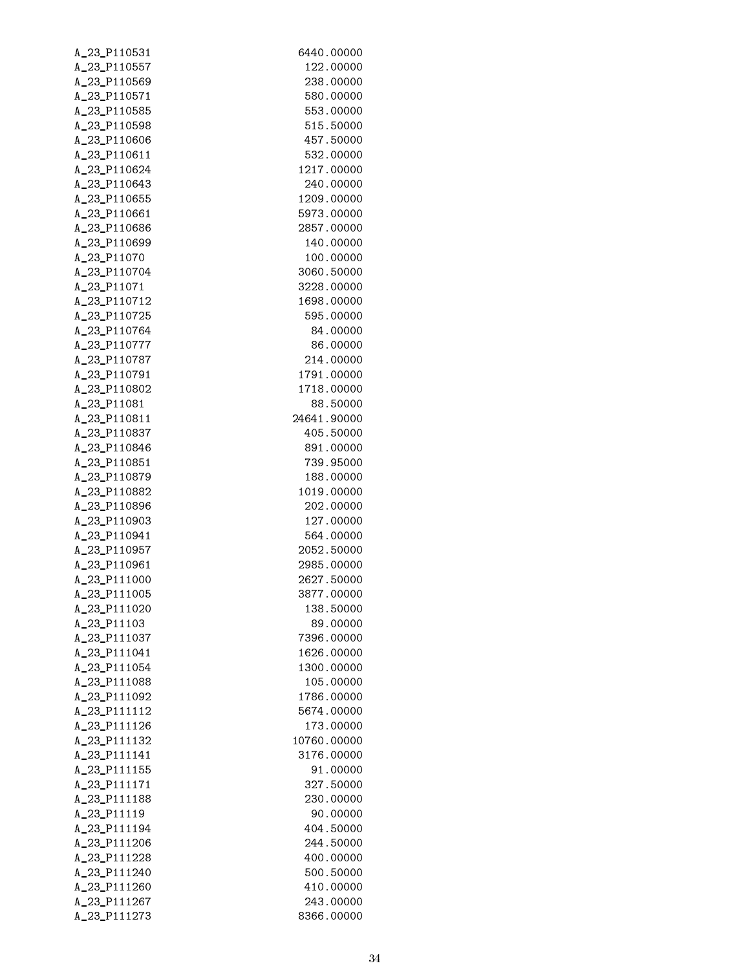| A_23_P110531 | 6440.00000  |
|--------------|-------------|
| A_23_P110557 | 122.00000   |
| A_23_P110569 | 238.00000   |
| A_23_P110571 | 580,00000   |
| A_23_P110585 | 553.00000   |
| A_23_P110598 | 515,50000   |
| A_23_P110606 | 457.50000   |
| A_23_P110611 | 532,00000   |
| A_23_P110624 | 1217.00000  |
| A_23_P110643 | 240.00000   |
| A_23_P110655 | 1209.00000  |
| A_23_P110661 | 5973.00000  |
| A_23_P110686 | 2857.00000  |
| A_23_P110699 | 140.00000   |
| A_23_P11070  | 100.00000   |
| A_23_P110704 | 3060.50000  |
| A_23_P11071  | 3228,00000  |
| A_23_P110712 | 1698.00000  |
| A_23_P110725 | 595.00000   |
| A_23_P110764 | 84.00000    |
| A_23_P110777 | 86.00000    |
| A_23_P110787 | 214.00000   |
| A_23_P110791 | 1791.00000  |
| A_23_P110802 | 1718.00000  |
| A_23_P11081  | 88,50000    |
| A_23_P110811 | 24641.90000 |
| A_23_P110837 | 405.50000   |
| A_23_P110846 | 891.00000   |
| A_23_P110851 | 739.95000   |
| A_23_P110879 | 188.00000   |
| A_23_P110882 | 1019.00000  |
|              |             |
| A_23_P110896 | 202.00000   |
| A_23_P110903 | 127.00000   |
| A_23_P110941 | 564.00000   |
| A_23_P110957 | 2052.50000  |
| A_23_P110961 | 2985.00000  |
| A_23_P111000 | 2627.50000  |
| A_23_P111005 | 3877.00000  |
| A_23_P111020 | 138.50000   |
| A_23_P11103  | 89,00000    |
| A_23_P111037 | 7396.00000  |
| A_23_P111041 | 1626.00000  |
| A_23_P111054 | 1300.00000  |
| A_23_P111088 | 105.00000   |
| A_23_P111092 | 1786.00000  |
| A_23_P111112 | 5674.00000  |
| A_23_P111126 | 173.00000   |
| A_23_P111132 | 10760.00000 |
| A_23_P111141 | 3176.00000  |
| A_23_P111155 | 91.00000    |
| A_23_P111171 | 327.50000   |
| A_23_P111188 | 230.00000   |
| A_23_P11119  | 90.00000    |
| A_23_P111194 | 404.50000   |
| A_23_P111206 | 244.50000   |
| A_23_P111228 | 400.00000   |
| A_23_P111240 | 500.50000   |
| A_23_P111260 | 410.00000   |
| A_23_P111267 | 243.00000   |
| A_23_P111273 | 8366.00000  |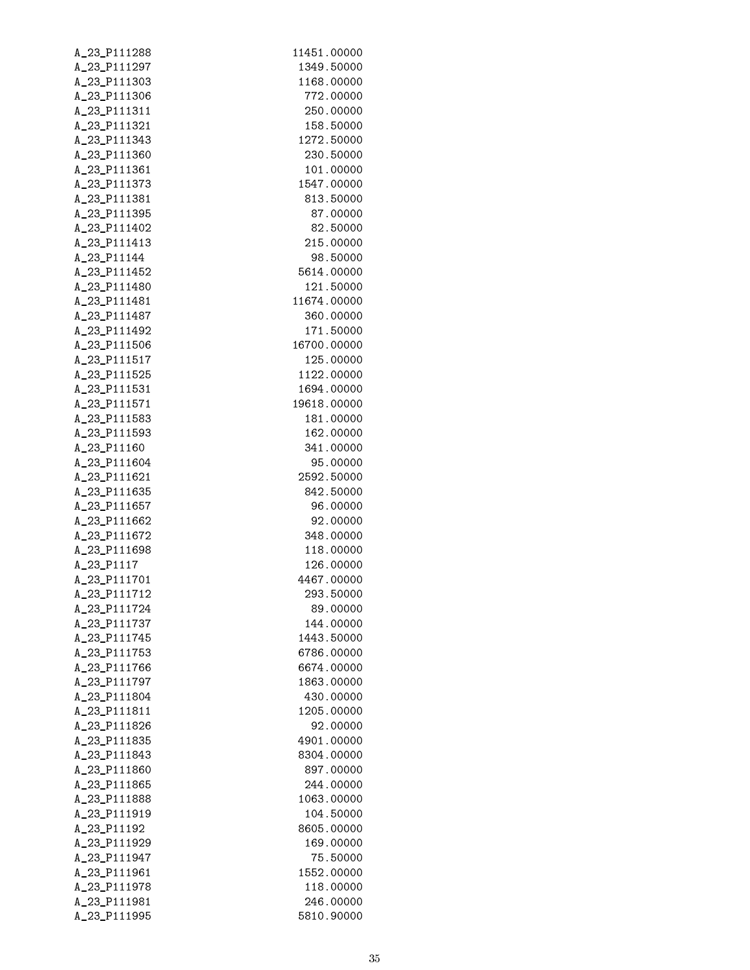| A_23_P111288                 | 11451.00000              |
|------------------------------|--------------------------|
| A_23_P111297                 | 1349.50000               |
| A_23_P111303                 | 1168.00000               |
| A_23_P111306                 | 772.00000                |
| A_23_P111311                 | 250.00000                |
| A_23_P111321                 | 158.50000                |
| A_23_P111343                 | 1272.50000               |
| A_23_P111360                 | 230.50000                |
| A_23_P111361                 | 101.00000                |
| A_23_P111373                 | 1547.00000               |
| A_23_P111381                 | 813.50000                |
| A_23_P111395                 | 87.00000                 |
| A_23_P111402                 | 82.50000                 |
| A_23_P111413                 | 215.00000                |
| A_23_P11144                  | 98.50000                 |
| A_23_P111452                 | 5614.00000               |
| A_23_P111480                 | 121.50000                |
| A_23_P111481                 | 11674.00000              |
| A_23_P111487                 | 360.00000                |
| A_23_P111492                 | 171.50000                |
| A_23_P111506                 | 16700.00000              |
| A_23_P111517                 | 125.00000                |
| A_23_P111525                 | 1122.00000               |
| A_23_P111531                 | 1694.00000               |
| A_23_P111571                 | 19618.00000              |
| A_23_P111583                 | 181.00000                |
| A_23_P111593                 | 162.00000                |
| A_23_P11160                  | 341.00000                |
| A_23_P111604                 | 95.00000                 |
| A_23_P111621                 | 2592.50000               |
| A_23_P111635                 | 842.50000                |
| A_23_P111657                 | 96.00000                 |
| A_23_P111662                 | 92.00000                 |
| A_23_P111672                 | 348.00000                |
| A_23_P111698                 | 118.00000                |
| A_23_P1117                   | 126.00000                |
| A_23_P111701                 | 4467.00000               |
| A 23 P111712                 | 293.50000                |
| A_23_P111724                 | 89.00000                 |
| A_23_P111737                 | 144.00000                |
| A_23_P111745<br>A_23_P111753 | 1443.50000<br>6786.00000 |
| A_23_P111766                 | 6674.00000               |
| A_23_P111797                 | 1863.00000               |
| A_23_P111804                 | 430.00000                |
| A_23_P111811                 | 1205.00000               |
| A_23_P111826                 | 92.00000                 |
| A_23_P111835                 | 4901.00000               |
| A_23_P111843                 | 8304.00000               |
| A_23_P111860                 | 897.00000                |
| A_23_P111865                 | 244.00000                |
| A_23_P111888                 | 1063.00000               |
| A_23_P111919                 | 104.50000                |
| A_23_P11192                  | 8605.00000               |
| A_23_P111929                 | 169.00000                |
| A_23_P111947                 | 75.50000                 |
| A_23_P111961                 | 1552.00000               |
| A_23_P111978                 | 118.00000                |
| A_23_P111981                 | 246.00000                |
| A_23_P111995                 | 5810.90000               |
|                              |                          |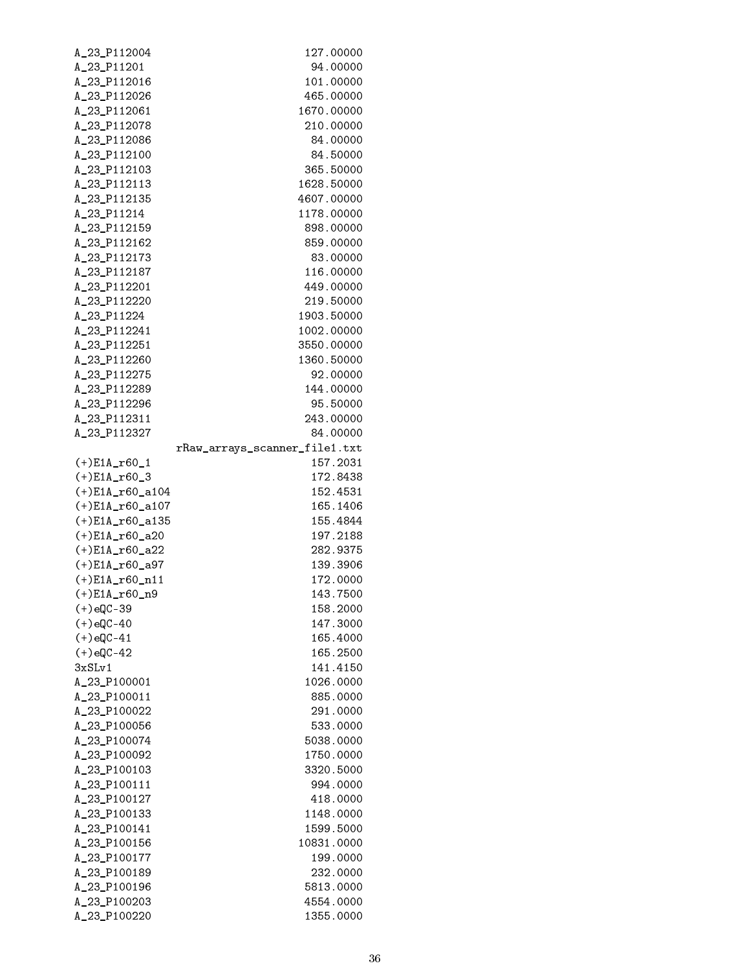| A_23_P112004                 | 127.00000                     |
|------------------------------|-------------------------------|
| A_23_P11201                  | 94.00000                      |
| A_23_P112016                 | 101.00000                     |
| A_23_P112026                 | 465.00000                     |
| A_23_P112061                 | 1670.00000                    |
| A_23_P112078                 | 210.00000                     |
| A_23_P112086                 | 84.00000                      |
| A_23_P112100                 | 84.50000                      |
| A_23_P112103                 | 365.50000                     |
| A_23_P112113                 | 1628.50000                    |
| A_23_P112135                 | 4607.00000                    |
| A_23_P11214                  | 1178.00000                    |
| A_23_P112159                 | 898.00000                     |
| A_23_P112162                 | 859.00000                     |
| A_23_P112173                 | 83.00000                      |
| A_23_P112187                 | 116.00000                     |
| A_23_P112201                 | 449.00000                     |
| A_23_P112220                 | 219.50000                     |
| A_23_P11224                  | 1903.50000                    |
| A_23_P112241                 | 1002.00000                    |
| A_23_P112251                 | 3550.00000                    |
| A_23_P112260                 | 1360.50000                    |
| A_23_P112275                 | 92.00000                      |
| A_23_P112289                 | 144.00000                     |
| A_23_P112296                 | 95.50000                      |
| A_23_P112311                 | 243.00000                     |
| A_23_P112327                 | 84.00000                      |
|                              | rRaw_arrays_scanner_file1.txt |
| $(+)$ E1A_r60_1              | 157.2031                      |
| $(+)E1A_160_3$               | 172.8438                      |
| $(+)$ E1A_r60_a104           | 152.4531                      |
| $(+)$ E1A_r60_a107           | 165.1406                      |
| $(+)$ E1A_r60_a135           | 155.4844                      |
| $(+) E1A_160_220$            | 197.2188                      |
| $(+) E1A_160_222$            | 282.9375                      |
| $(+) E1A_160_287$            | 139.3906                      |
| $(+)$ E1A_r60_n11            | 172.0000                      |
| $(+)E1A_160_n9$              | 143.7500                      |
| $(+)$ eQC-39                 | 158.2000                      |
| $(+)$ eQC-40                 | 147.3000                      |
| $(+)$ eQC-41                 | 165.4000                      |
| $(+)$ eQC-42                 | 165.2500                      |
| 3xSLv1                       | 141.4150                      |
| A_23_P100001                 | 1026.0000                     |
| A_23_P100011                 | 885.0000                      |
| A_23_P100022                 | 291.0000                      |
| A_23_P100056<br>A_23_P100074 | 533.0000                      |
|                              | 5038.0000                     |
| A_23_P100092<br>A_23_P100103 | 1750.0000<br>3320.5000        |
|                              |                               |
| A_23_P100111<br>A_23_P100127 | 994.0000<br>418.0000          |
| A_23_P100133                 | 1148.0000                     |
| A_23_P100141                 | 1599.5000                     |
| A_23_P100156                 | 10831.0000                    |
| A_23_P100177                 | 199.0000                      |
| A_23_P100189                 | 232.0000                      |
| A_23_P100196                 | 5813.0000                     |
| A_23_P100203                 | 4554.0000                     |
| A_23_P100220                 | 1355.0000                     |
|                              |                               |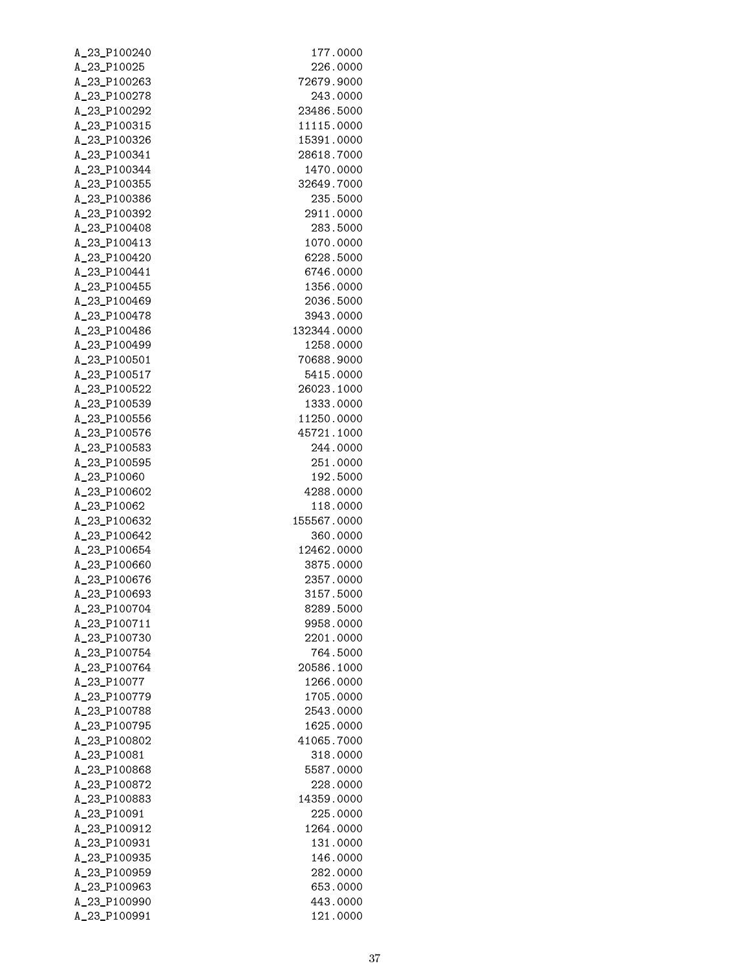| A_23_P100240 | 177.0000    |
|--------------|-------------|
| A_23_P10025  | 226.0000    |
| A_23_P100263 | 72679.9000  |
| A_23_P100278 | 243.0000    |
| A_23_P100292 | 23486.5000  |
| A_23_P100315 | 11115.0000  |
| A_23_P100326 | 15391.0000  |
| A_23_P100341 | 28618.7000  |
| A_23_P100344 | 1470.0000   |
| A_23_P100355 | 32649.7000  |
| A_23_P100386 | 235.5000    |
| A_23_P100392 | 2911.0000   |
| A_23_P100408 | 283.5000    |
| A_23_P100413 | 1070.0000   |
| A_23_P100420 | 6228.5000   |
| A_23_P100441 | 6746.0000   |
| A_23_P100455 | 1356.0000   |
| A_23_P100469 | 2036.5000   |
| A_23_P100478 | 3943.0000   |
| A_23_P100486 | 132344.0000 |
| A_23_P100499 | 1258.0000   |
| A_23_P100501 | 70688.9000  |
| A_23_P100517 | 5415.0000   |
| A_23_P100522 | 26023.1000  |
| A_23_P100539 | 1333.0000   |
| A_23_P100556 | 11250.0000  |
| A_23_P100576 | 45721.1000  |
| A_23_P100583 | 244.0000    |
| A_23_P100595 | 251.0000    |
| A_23_P10060  | 192.5000    |
| A_23_P100602 | 4288.0000   |
| A_23_P10062  | 118.0000    |
| A_23_P100632 | 155567.0000 |
| A_23_P100642 | 360.0000    |
| A_23_P100654 | 12462.0000  |
| A_23_P100660 | 3875.0000   |
| A_23_P100676 | 2357.0000   |
| A 23 P100693 | 3157.5000   |
| A 23 P100704 | 8289.5000   |
| A_23_P100711 | 9958.0000   |
| A_23_P100730 | 2201.0000   |
| A_23_P100754 | 764.5000    |
| A 23 P100764 | 20586.1000  |
| A_23_P10077  | 1266.0000   |
| A_23_P100779 | 1705.0000   |
| A_23_P100788 | 2543.0000   |
| A_23_P100795 | 1625.0000   |
| A_23_P100802 | 41065.7000  |
| A_23_P10081  | 318.0000    |
| A_23_P100868 | 5587.0000   |
| A_23_P100872 | 228.0000    |
| A_23_P100883 | 14359.0000  |
| A_23_P10091  | 225.0000    |
| A_23_P100912 | 1264.0000   |
| A_23_P100931 | 131.0000    |
| A_23_P100935 | 146.0000    |
| A_23_P100959 | 282.0000    |
| A_23_P100963 | 653.0000    |
| A_23_P100990 | 443.0000    |
| A_23_P100991 | 121.0000    |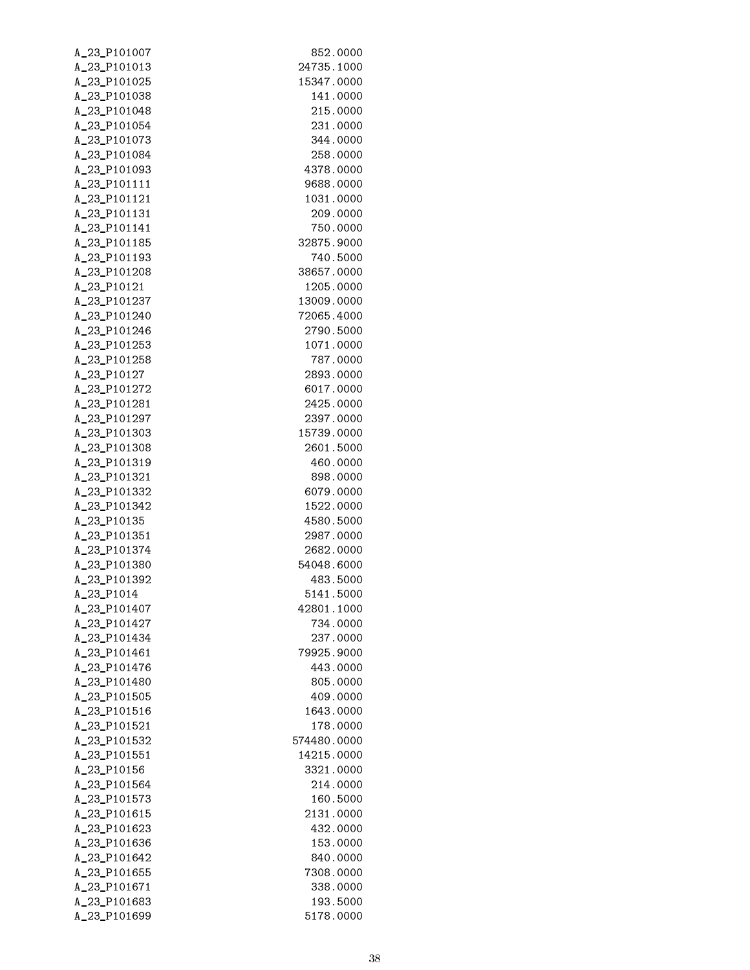| A_23_P101007                 | 852.0000                  |
|------------------------------|---------------------------|
| A_23_P101013                 | 24735.1000                |
| A_23_P101025                 | 15347.0000                |
| A_23_P101038                 | 141.0000                  |
| A_23_P101048                 | 215.0000                  |
| A_23_P101054                 | 231.0000                  |
| A_23_P101073                 | 344.0000                  |
| A_23_P101084                 | 258.0000                  |
| A_23_P101093                 | 4378.0000                 |
| A_23_P101111                 | 9688.0000                 |
| A_23_P101121                 | 1031.0000                 |
| A_23_P101131                 | 209.0000                  |
| A_23_P101141                 | 750.0000                  |
| A_23_P101185                 | 32875.9000                |
| A_23_P101193                 | 740.5000                  |
| A_23_P101208                 | 38657.0000                |
| A_23_P10121                  | 1205.0000                 |
| A_23_P101237                 | 13009.0000                |
| A_23_P101240                 | 72065.4000                |
| A_23_P101246                 | 2790.5000                 |
| A_23_P101253                 | 1071.0000                 |
| A_23_P101258                 | 787.0000                  |
| A_23_P10127                  | 2893.0000                 |
| A_23_P101272                 | 6017.0000                 |
| A_23_P101281                 | 2425.0000                 |
| A_23_P101297                 | 2397.0000                 |
| A_23_P101303                 | 15739.0000                |
| A_23_P101308                 | 2601.5000                 |
| A_23_P101319                 | 460.0000                  |
| A_23_P101321                 | 898.0000                  |
| A_23_P101332                 | 6079.0000                 |
| A_23_P101342                 | 1522.0000                 |
| A_23_P10135                  | 4580.5000                 |
| A_23_P101351                 | 2987.0000                 |
| A_23_P101374                 | 2682.0000                 |
| A_23_P101380                 | 54048.6000                |
| A_23_P101392                 | 483.5000                  |
| A_23_P1014                   | 5141.5000                 |
| A_23_P101407                 | 42801.1000                |
| A_23_P101427                 | 734.0000                  |
| A_23_P101434                 | 237.0000                  |
| A_23_P101461<br>A 23 P101476 | 79925.9000                |
|                              | 443.0000                  |
| A_23_P101480<br>A_23_P101505 | 805.0000<br>409.0000      |
| A_23_P101516                 | 1643.0000                 |
| A_23_P101521                 | 178.0000                  |
| A_23_P101532                 |                           |
| A_23_P101551                 | 574480.0000<br>14215.0000 |
| A_23_P10156                  | 3321.0000                 |
| A_23_P101564                 | 214.0000                  |
| A_23_P101573                 | 160.5000                  |
| A_23_P101615                 | 2131.0000                 |
| A_23_P101623                 | 432.0000                  |
| A_23_P101636                 | 153.0000                  |
| A_23_P101642                 | 840.0000                  |
| A_23_P101655                 | 7308.0000                 |
| A_23_P101671                 | 338.0000                  |
| A_23_P101683                 | 193.5000                  |
| A_23_P101699                 | 5178.0000                 |
|                              |                           |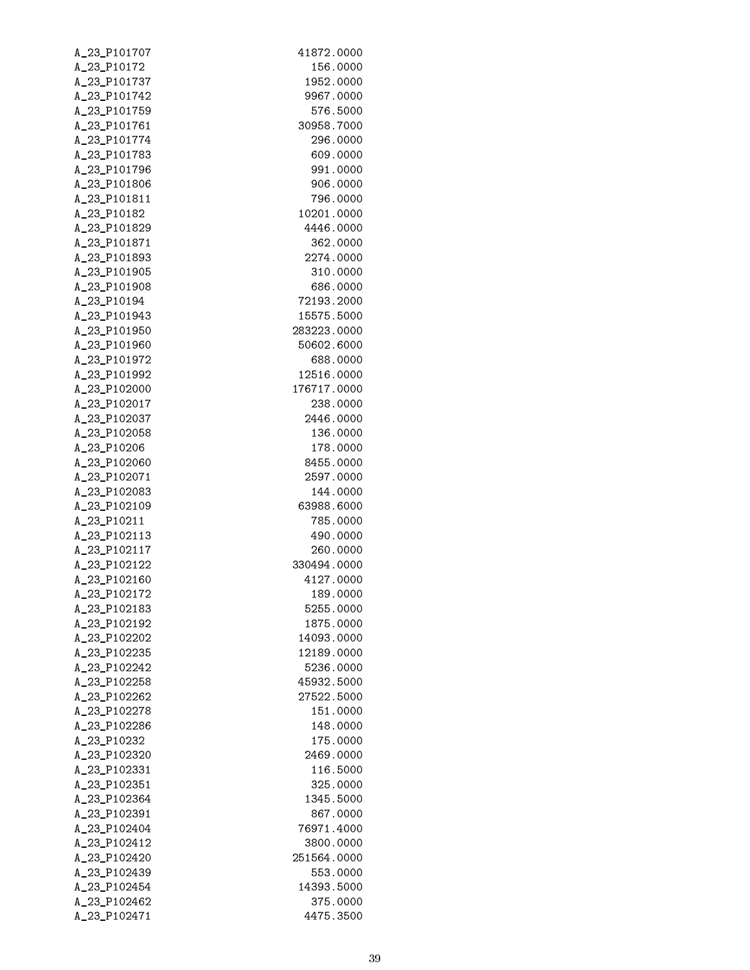| A_23_P101707                 | 41872.0000              |
|------------------------------|-------------------------|
| A_23_P10172                  | 156.0000                |
| A_23_P101737                 | 1952.0000               |
| A_23_P101742                 | 9967.0000               |
| A_23_P101759                 | 576.5000                |
| A_23_P101761                 | 30958.7000              |
| A_23_P101774                 | 296.0000                |
| A_23_P101783                 | 609.0000                |
| A_23_P101796                 | 991.0000                |
| A_23_P101806                 | 906.0000                |
| A_23_P101811                 | 796.0000                |
| A_23_P10182                  | 10201.0000              |
| A_23_P101829                 | 4446.0000               |
| A_23_P101871                 | 362.0000                |
| A_23_P101893                 | 2274.0000               |
| A_23_P101905                 | 310.0000                |
| A_23_P101908<br>A_23_P10194  | 686.0000<br>72193.2000  |
| A_23_P101943                 | 15575.5000              |
| A_23_P101950                 | 283223.0000             |
| A_23_P101960                 | 50602.6000              |
| A_23_P101972                 | 688.0000                |
| A_23_P101992                 | 12516.0000              |
| A_23_P102000                 | 176717.0000             |
| A_23_P102017                 | 238.0000                |
| A_23_P102037                 | 2446.0000               |
| A_23_P102058                 | 136.0000                |
| A_23_P10206                  | 178.0000                |
| A_23_P102060                 | 8455.0000               |
| A_23_P102071                 | 2597.0000               |
| A_23_P102083                 | 144.0000                |
| A_23_P102109                 | 63988.6000              |
| A_23_P10211                  | 785.0000                |
| A_23_P102113                 | 490.0000                |
| A_23_P102117                 | 260.0000                |
| A_23_P102122                 | 330494.0000             |
| A_23_P102160                 | 4127.0000               |
| A_23_P102172                 | 189.0000                |
| A_23_P102183                 | 5255.0000               |
| A_23_P102192                 | 1875.0000               |
| A_23_P102202                 | 14093.0000              |
| A_23_P102235<br>A_23_P102242 | 12189.0000<br>5236.0000 |
| A_23_P102258                 | 45932.5000              |
| A_23_P102262                 | 27522.5000              |
| A_23_P102278                 | 151.0000                |
| A_23_P102286                 | 148.0000                |
| A_23_P10232                  | 175.0000                |
| A_23_P102320                 | 2469.0000               |
| A_23_P102331                 | 116.5000                |
| A_23_P102351                 | 325.0000                |
| A_23_P102364                 | 1345.5000               |
| A_23_P102391                 | 867.0000                |
| A_23_P102404                 | 76971.4000              |
| A_23_P102412                 | 3800.0000               |
| A_23_P102420                 | 251564.0000             |
| A_23_P102439                 | 553.0000                |
| A_23_P102454                 | 14393.5000              |
| A_23_P102462                 | 375.0000                |
| A_23_P102471                 | 4475.3500               |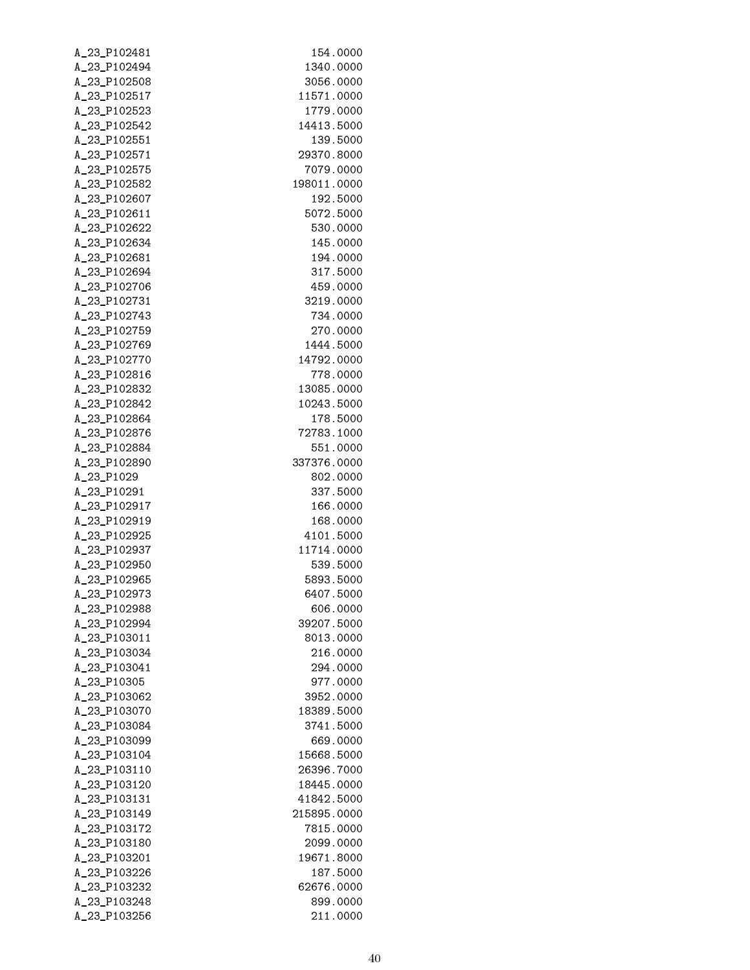| A_23_P102481 | 154.0000    |
|--------------|-------------|
| A_23_P102494 | 1340.0000   |
| A_23_P102508 | 3056.0000   |
| A_23_P102517 | 11571.0000  |
| A_23_P102523 | 1779.0000   |
| A_23_P102542 | 14413.5000  |
| A_23_P102551 | 139.5000    |
| A_23_P102571 | 29370.8000  |
| A_23_P102575 | 7079.0000   |
| A_23_P102582 | 198011.0000 |
| A_23_P102607 | 192.5000    |
| A_23_P102611 | 5072.5000   |
| A_23_P102622 | 530.0000    |
| A_23_P102634 | 145.0000    |
| A_23_P102681 | 194.0000    |
| A_23_P102694 | 317.5000    |
| A_23_P102706 | 459.0000    |
| A_23_P102731 | 3219.0000   |
| A_23_P102743 | 734.0000    |
| A_23_P102759 | 270.0000    |
| A_23_P102769 | 1444.5000   |
| A_23_P102770 | 14792.0000  |
| A_23_P102816 | 778.0000    |
| A_23_P102832 | 13085.0000  |
| A_23_P102842 | 10243.5000  |
| A_23_P102864 | 178.5000    |
| A_23_P102876 | 72783.1000  |
| A_23_P102884 | 551.0000    |
| A_23_P102890 | 337376.0000 |
| A_23_P1029   | 802.0000    |
| A_23_P10291  | 337.5000    |
| A_23_P102917 | 166.0000    |
| A_23_P102919 | 168,0000    |
| A_23_P102925 | 4101.5000   |
| A_23_P102937 | 11714.0000  |
| A_23_P102950 | 539.5000    |
| A_23_P102965 | 5893.5000   |
| A_23_P102973 | 6407.5000   |
| A_23_P102988 | 606.0000    |
| A_23_P102994 | 39207.5000  |
| A_23_P103011 | 8013.0000   |
| A_23_P103034 | 216.0000    |
| A_23_P103041 | 294.0000    |
| A_23_P10305  | 977.0000    |
| A_23_P103062 | 3952.0000   |
| A_23_P103070 | 18389.5000  |
| A_23_P103084 | 3741.5000   |
| A_23_P103099 | 669.0000    |
| A_23_P103104 | 15668.5000  |
| A_23_P103110 | 26396.7000  |
| A_23_P103120 | 18445.0000  |
| A_23_P103131 | 41842.5000  |
| A_23_P103149 | 215895.0000 |
| A_23_P103172 | 7815.0000   |
| A_23_P103180 | 2099.0000   |
| A_23_P103201 | 19671.8000  |
| A_23_P103226 | 187.5000    |
| A_23_P103232 | 62676.0000  |
| A_23_P103248 | 899.0000    |
| A_23_P103256 | 211.0000    |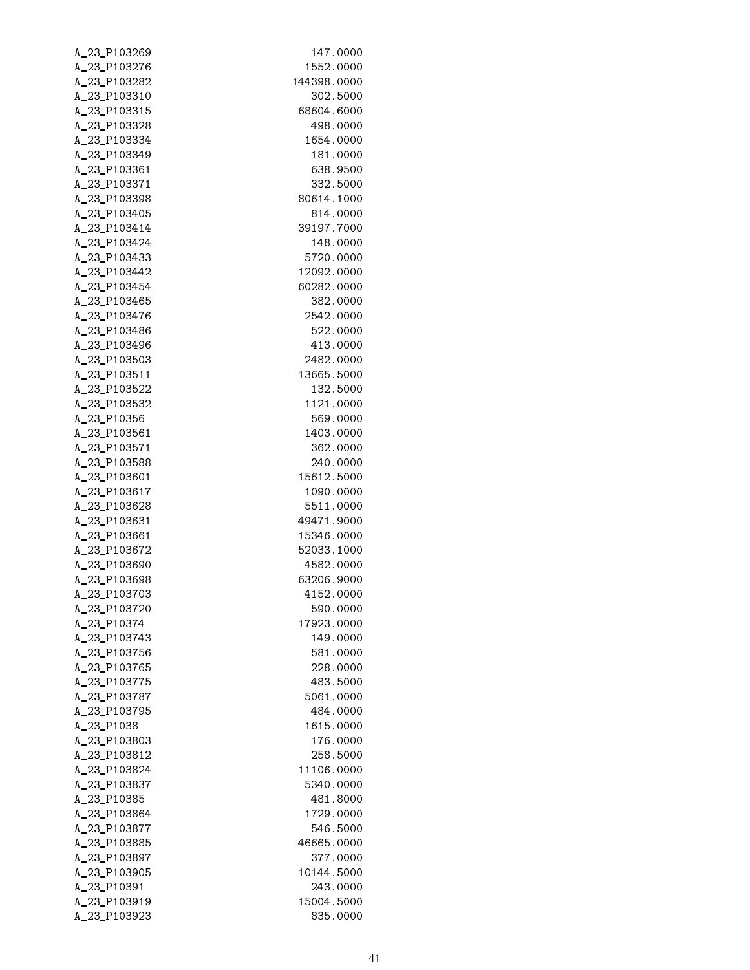| A_23_P103269                 | 147.0000                |
|------------------------------|-------------------------|
| A_23_P103276                 | 1552.0000               |
| A_23_P103282                 | 144398.0000             |
| A_23_P103310                 | 302.5000                |
| A_23_P103315                 | 68604.6000              |
| A_23_P103328                 | 498.0000                |
| A_23_P103334                 | 1654.0000               |
| A_23_P103349                 | 181.0000                |
| A_23_P103361                 | 638.9500                |
| A_23_P103371                 | 332.5000                |
| A_23_P103398                 | 80614.1000              |
| A_23_P103405                 | 814.0000                |
| A_23_P103414                 | 39197.7000              |
| A_23_P103424                 | 148.0000                |
| A_23_P103433                 | 5720.0000               |
| A_23_P103442                 | 12092.0000              |
| A_23_P103454                 | 60282.0000              |
| A_23_P103465                 | 382.0000                |
| A_23_P103476                 | 2542.0000               |
| A_23_P103486                 | 522.0000                |
| A_23_P103496                 | 413.0000                |
| A_23_P103503                 | 2482.0000               |
| A_23_P103511                 | 13665.5000              |
| A_23_P103522                 | 132.5000                |
| A_23_P103532                 | 1121.0000               |
| A_23_P10356                  | 569.0000                |
| A_23_P103561                 | 1403.0000               |
| A_23_P103571                 | 362.0000                |
| A_23_P103588                 | 240.0000                |
| A_23_P103601                 | 15612.5000              |
| A_23_P103617                 | 1090.0000               |
| A_23_P103628                 | 5511.0000               |
| A_23_P103631                 | 49471.9000              |
| A_23_P103661                 | 15346.0000              |
| A_23_P103672                 | 52033.1000              |
| A_23_P103690                 | 4582.0000               |
| A_23_P103698                 | 63206.9000              |
| A_23_P103703                 | 4152.0000               |
| A 23 P103720                 | 590.0000                |
| A_23_P10374                  | 17923.0000              |
| A_23_P103743                 | 149.0000                |
| A 23 P103756                 | 581.0000                |
| A 23 P103765                 | 228.0000                |
| A_23_P103775                 | 483.5000                |
| A_23_P103787                 | 5061.0000               |
| A_23_P103795                 | 484.0000                |
| A_23_P1038                   | 1615.0000               |
| A_23_P103803                 | 176.0000                |
| A_23_P103812                 | 258.5000                |
| A_23_P103824<br>A_23_P103837 | 11106.0000<br>5340.0000 |
| A_23_P10385                  | 481.8000                |
| A_23_P103864                 | 1729.0000               |
| A_23_P103877                 | 546.5000                |
| A_23_P103885                 | 46665.0000              |
| A_23_P103897                 | 377.0000                |
| A_23_P103905                 | 10144.5000              |
| A_23_P10391                  | 243.0000                |
| A_23_P103919                 | 15004.5000              |
| A_23_P103923                 | 835.0000                |
|                              |                         |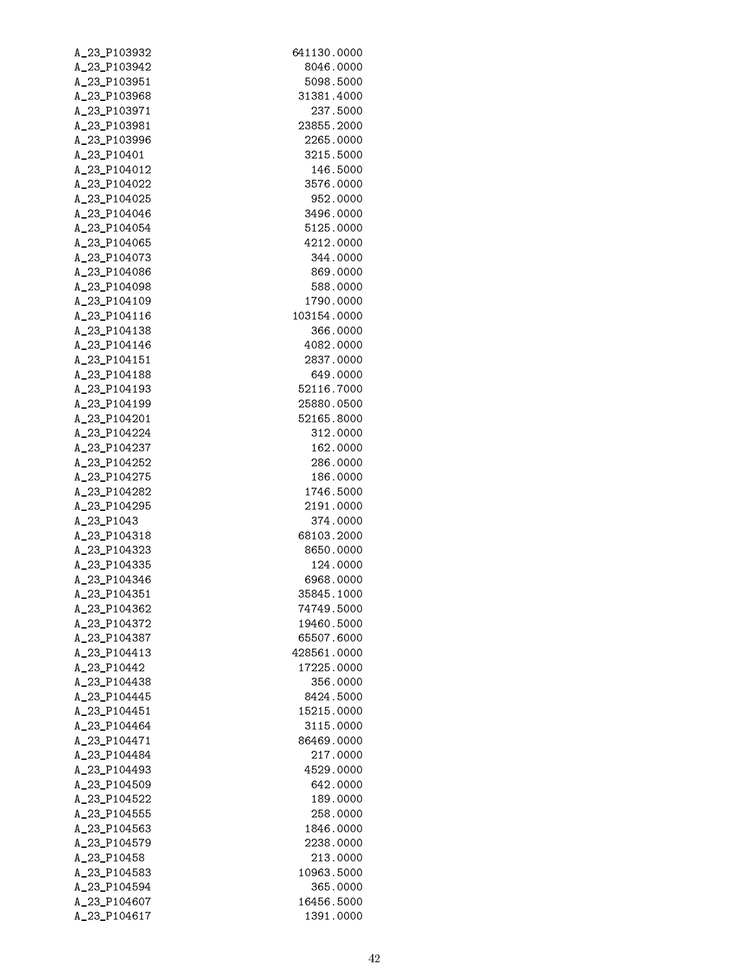| A_23_P103932                 | 641130.0000           |
|------------------------------|-----------------------|
| A_23_P103942                 | 8046.0000             |
| A_23_P103951                 | 5098.5000             |
| A_23_P103968                 | 31381.4000            |
| A_23_P103971                 | 237.5000              |
| A_23_P103981                 | 23855.2000            |
| A_23_P103996                 | 2265.0000             |
| A_23_P10401                  | 3215.5000             |
| A_23_P104012                 | 146.5000              |
| A_23_P104022                 | 3576.0000             |
| A_23_P104025                 | 952.0000              |
| A_23_P104046                 | 3496.0000             |
| A_23_P104054                 | 5125.0000             |
| A_23_P104065                 | 4212.0000             |
| A_23_P104073                 | 344.0000              |
| A_23_P104086                 | 869,0000              |
| A_23_P104098                 | 588.0000              |
| A_23_P104109                 | 1790.0000             |
| A_23_P104116                 | 103154.0000           |
| A_23_P104138                 | 366.0000              |
| A_23_P104146                 | 4082.0000             |
| A_23_P104151                 | 2837.0000             |
| A_23_P104188                 | 649.0000              |
| A_23_P104193                 | 52116.7000            |
| A_23_P104199                 | 25880.0500            |
| A_23_P104201                 | 52165.8000            |
| A_23_P104224                 | 312.0000              |
| A_23_P104237                 | 162.0000              |
| A_23_P104252                 | 286.0000              |
| A_23_P104275                 | 186.0000              |
| A_23_P104282                 | 1746.5000             |
| A_23_P104295                 | 2191.0000             |
| A_23_P1043                   | 374.0000              |
| A_23_P104318                 | 68103.2000            |
| A_23_P104323                 | 8650.0000             |
| A_23_P104335                 | 124.0000              |
| A_23_P104346                 | 6968.0000             |
| A_23_P104351                 | 35845,1000            |
| A_23_P104362                 | 74749.5000            |
| A_23_P104372                 | 19460.5000            |
| A 23 P104387                 | 65507.6000            |
| A 23 P104413                 | 428561.0000           |
| A 23 P10442                  | 17225.0000            |
| A_23_P104438                 | 356.0000              |
| A_23_P104445                 | 8424.5000             |
| A_23_P104451                 | 15215.0000            |
| A_23_P104464                 | 3115.0000             |
| A_23_P104471                 | 86469.0000            |
| A_23_P104484                 | 217.0000              |
| A_23_P104493                 | 4529.0000             |
| A_23_P104509                 | 642.0000              |
| A_23_P104522                 | 189.0000              |
| A_23_P104555<br>A_23_P104563 | 258.0000<br>1846.0000 |
| A_23_P104579                 | 2238.0000             |
| A_23_P10458                  | 213.0000              |
| A_23_P104583                 | 10963.5000            |
| A_23_P104594                 | 365.0000              |
| A_23_P104607                 | 16456.5000            |
| A_23_P104617                 | 1391.0000             |
|                              |                       |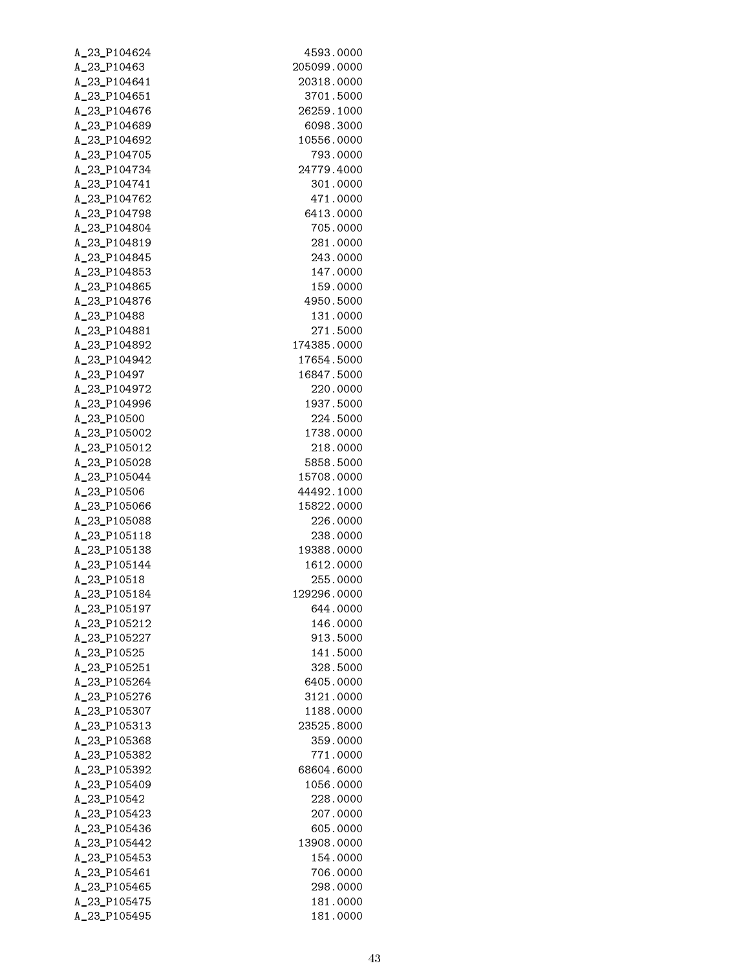| A_23_P104624                 | 4593.0000             |
|------------------------------|-----------------------|
| A_23_P10463                  | 205099.0000           |
| A_23_P104641                 | 20318.0000            |
| A_23_P104651                 | 3701.5000             |
| A_23_P104676                 | 26259.1000            |
| A_23_P104689                 | 6098.3000             |
| A_23_P104692                 | 10556.0000            |
| A_23_P104705                 | 793.0000              |
| A_23_P104734                 | 24779.4000            |
| A_23_P104741                 | 301.0000              |
| A_23_P104762                 | 471.0000              |
| A_23_P104798<br>A_23_P104804 | 6413.0000<br>705.0000 |
| A_23_P104819                 | 281.0000              |
| A_23_P104845                 | 243.0000              |
| A_23_P104853                 | 147.0000              |
| A_23_P104865                 | 159.0000              |
| A_23_P104876                 | 4950.5000             |
| A_23_P10488                  | 131.0000              |
| A_23_P104881                 | 271.5000              |
| A_23_P104892                 | 174385.0000           |
| A_23_P104942                 | 17654.5000            |
| A_23_P10497                  | 16847.5000            |
| A_23_P104972                 | 220.0000              |
| A_23_P104996                 | 1937.5000             |
| A_23_P10500                  | 224.5000              |
| A_23_P105002                 | 1738.0000             |
| A_23_P105012                 | 218.0000              |
| A_23_P105028                 | 5858.5000             |
| A_23_P105044                 | 15708.0000            |
| A_23_P10506                  | 44492.1000            |
| A_23_P105066                 | 15822.0000            |
| A_23_P105088                 | 226.0000              |
| A_23_P105118                 | 238.0000              |
| A_23_P105138                 | 19388.0000            |
| A_23_P105144                 | 1612.0000             |
| A_23_P10518                  | 255.0000              |
| A_23_P105184                 | 129296.0000           |
| A_23_P105197<br>A_23_P105212 | 644.0000<br>146.0000  |
| A_23_P105227                 | 913.5000              |
| A_23_P10525                  | 141.5000              |
| A_23_P105251                 | 328.5000              |
| A_23_P105264                 | 6405.0000             |
| A_23_P105276                 | 3121.0000             |
| A_23_P105307                 | 1188.0000             |
| A_23_P105313                 | 23525.8000            |
| A_23_P105368                 | 359.0000              |
| A_23_P105382                 | 771.0000              |
| A_23_P105392                 | 68604.6000            |
| A_23_P105409                 | 1056.0000             |
| A_23_P10542                  | 228.0000              |
| A_23_P105423                 | 207.0000              |
| A_23_P105436                 | 605.0000              |
| A_23_P105442                 | 13908.0000            |
| A_23_P105453                 | 154.0000              |
| A_23_P105461                 | 706.0000              |
| A_23_P105465                 | 298.0000              |
| A_23_P105475                 | 181.0000              |
| A_23_P105495                 | 181.0000              |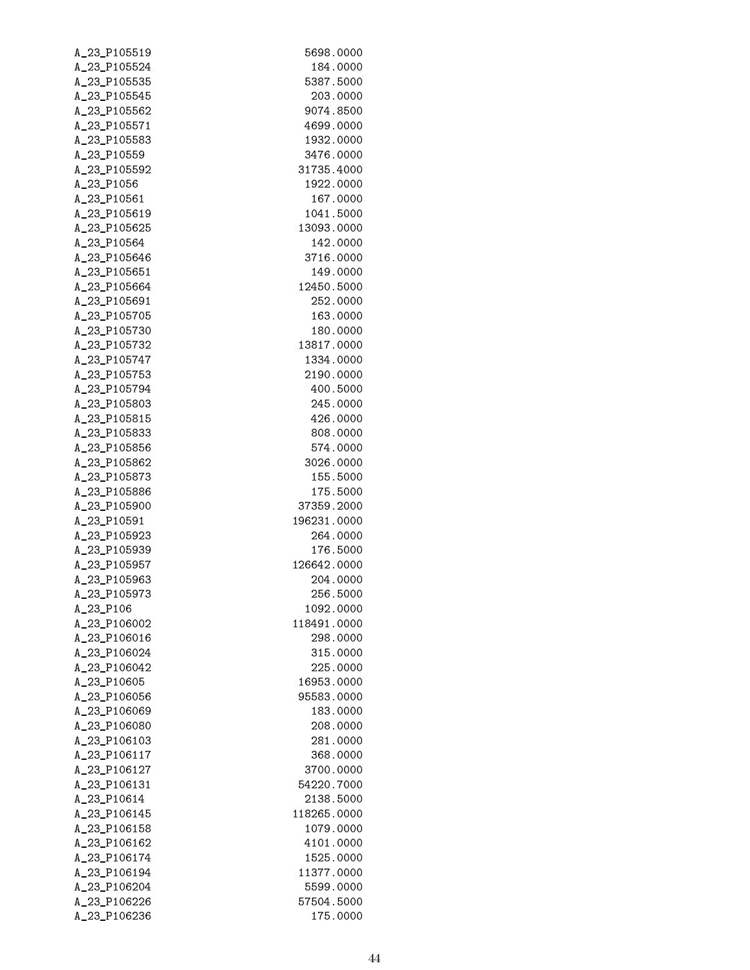| A_23_P105519                 | 5698.0000                 |
|------------------------------|---------------------------|
| A_23_P105524                 | 184.0000                  |
| A_23_P105535                 | 5387.5000                 |
| A_23_P105545                 | 203.0000                  |
| A_23_P105562                 | 9074.8500                 |
| A_23_P105571                 | 4699.0000                 |
| A_23_P105583                 | 1932.0000                 |
| A_23_P10559                  | 3476.0000                 |
| A_23_P105592                 | 31735.4000                |
| A_23_P1056                   | 1922.0000                 |
| A_23_P10561                  | 167.0000                  |
| A_23_P105619                 | 1041.5000<br>13093.0000   |
| A_23_P105625<br>A_23_P10564  | 142.0000                  |
| A_23_P105646                 | 3716.0000                 |
| A_23_P105651                 | 149.0000                  |
| A_23_P105664                 | 12450.5000                |
| A_23_P105691                 | 252.0000                  |
| A_23_P105705                 | 163.0000                  |
| A_23_P105730                 | 180.0000                  |
| A_23_P105732                 | 13817.0000                |
| A_23_P105747                 | 1334.0000                 |
| A_23_P105753                 | 2190.0000                 |
| A_23_P105794                 | 400.5000                  |
| A_23_P105803                 | 245.0000                  |
| A_23_P105815                 | 426.0000                  |
| A_23_P105833                 | 808.0000                  |
| A_23_P105856                 | 574.0000                  |
| A_23_P105862                 | 3026.0000                 |
| A_23_P105873                 | 155.5000                  |
| A_23_P105886                 | 175.5000                  |
| A_23_P105900<br>A_23_P10591  | 37359.2000<br>196231.0000 |
| A_23_P105923                 | 264.0000                  |
| A_23_P105939                 | 176.5000                  |
| A_23_P105957                 | 126642.0000               |
| A_23_P105963                 | 204.0000                  |
| A_23_P105973                 | 256.5000                  |
| A_23_P106                    | 1092.0000                 |
| A_23_P106002                 | 118491.0000               |
| A_23_P106016                 | 298.0000                  |
| A_23_P106024                 | 315.0000                  |
| A_23_P106042                 | 225.0000                  |
| A_23_P10605                  | 16953.0000                |
| A_23_P106056                 | 95583.0000                |
| A_23_P106069                 | 183.0000                  |
| A_23_P106080                 | 208.0000                  |
| A_23_P106103<br>A_23_P106117 | 281.0000                  |
| A_23_P106127                 | 368.0000<br>3700.0000     |
| A_23_P106131                 | 54220.7000                |
| A_23_P10614                  | 2138.5000                 |
| A_23_P106145                 | 118265.0000               |
| A_23_P106158                 | 1079.0000                 |
| A_23_P106162                 | 4101.0000                 |
| A_23_P106174                 | 1525.0000                 |
| A_23_P106194                 | 11377.0000                |
| A_23_P106204                 | 5599.0000                 |
| A_23_P106226                 | 57504.5000                |
| A_23_P106236                 | 175.0000                  |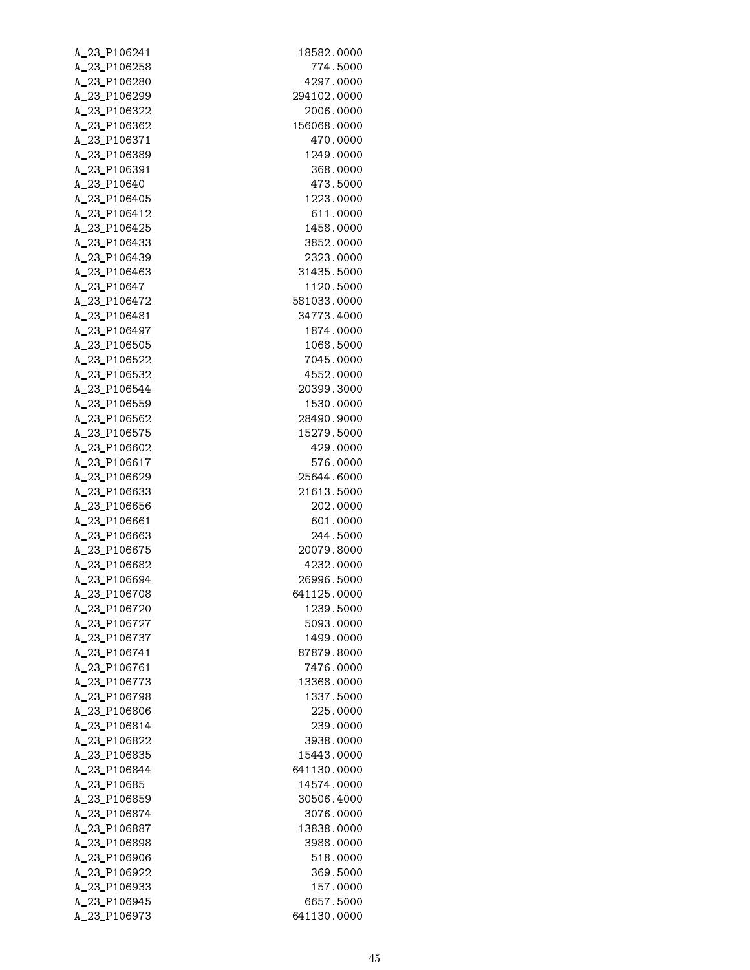| A_23_P106241 | 18582.0000  |
|--------------|-------------|
| A_23_P106258 | 774.5000    |
| A_23_P106280 | 4297.0000   |
| A_23_P106299 | 294102.0000 |
| A_23_P106322 | 2006.0000   |
| A_23_P106362 | 156068.0000 |
| A_23_P106371 | 470.0000    |
| A_23_P106389 | 1249.0000   |
| A_23_P106391 | 368.0000    |
| A_23_P10640  | 473.5000    |
| A_23_P106405 | 1223.0000   |
| A_23_P106412 | 611.0000    |
| A_23_P106425 | 1458.0000   |
| A_23_P106433 | 3852.0000   |
| A_23_P106439 | 2323.0000   |
| A_23_P106463 | 31435.5000  |
| A_23_P10647  | 1120.5000   |
| A_23_P106472 | 581033.0000 |
| A_23_P106481 | 34773.4000  |
| A_23_P106497 | 1874.0000   |
| A_23_P106505 | 1068.5000   |
| A_23_P106522 | 7045.0000   |
| A_23_P106532 | 4552.0000   |
| A_23_P106544 | 20399.3000  |
| A_23_P106559 | 1530.0000   |
| A_23_P106562 | 28490.9000  |
| A_23_P106575 | 15279.5000  |
| A_23_P106602 | 429.0000    |
| A_23_P106617 | 576.0000    |
| A_23_P106629 | 25644.6000  |
| A_23_P106633 | 21613.5000  |
| A_23_P106656 | 202.0000    |
| A_23_P106661 | 601.0000    |
| A_23_P106663 | 244.5000    |
| A_23_P106675 | 20079.8000  |
| A_23_P106682 | 4232.0000   |
| A_23_P106694 | 26996.5000  |
| A 23 P106708 | 641125,0000 |
| A 23 P106720 | 1239.5000   |
| A 23 P106727 | 5093.0000   |
| A_23_P106737 | 1499.0000   |
| A_23_P106741 | 87879.8000  |
| A_23_P106761 | 7476.0000   |
| A_23_P106773 | 13368.0000  |
| A_23_P106798 | 1337.5000   |
| A_23_P106806 | 225.0000    |
| A_23_P106814 | 239.0000    |
| A_23_P106822 | 3938.0000   |
| A_23_P106835 | 15443.0000  |
| A_23_P106844 | 641130.0000 |
| A_23_P10685  | 14574.0000  |
| A_23_P106859 | 30506.4000  |
| A_23_P106874 | 3076.0000   |
| A_23_P106887 | 13838.0000  |
| A_23_P106898 | 3988.0000   |
| A_23_P106906 | 518.0000    |
| A_23_P106922 | 369.5000    |
| A_23_P106933 | 157.0000    |
| A_23_P106945 | 6657.5000   |
| A_23_P106973 | 641130.0000 |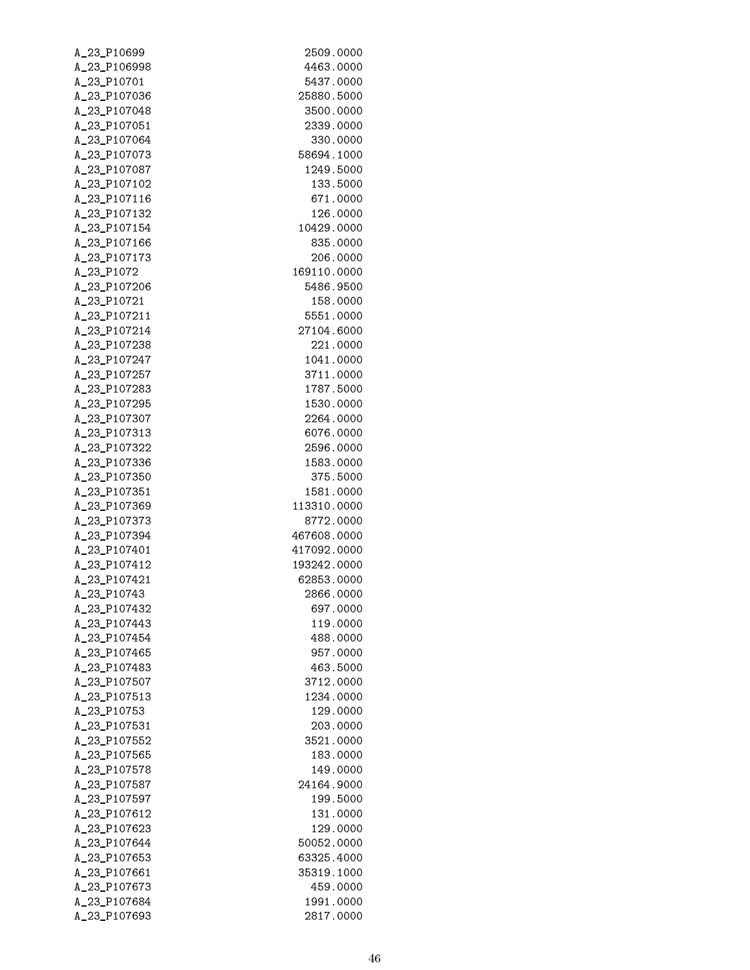| A_23_P10699                  | 2509.0000                |
|------------------------------|--------------------------|
| A_23_P106998                 | 4463.0000                |
| A_23_P10701                  | 5437.0000                |
| A_23_P107036                 | 25880.5000               |
| A_23_P107048                 | 3500.0000                |
| A_23_P107051                 | 2339.0000                |
| A_23_P107064                 | 330.0000                 |
| A_23_P107073                 | 58694.1000               |
| A_23_P107087                 | 1249.5000                |
| A_23_P107102                 | 133.5000                 |
| A_23_P107116                 | 671.0000                 |
| A_23_P107132                 | 126.0000                 |
| A_23_P107154                 | 10429.0000               |
| A_23_P107166                 | 835.0000                 |
| A_23_P107173                 | 206.0000                 |
| A_23_P1072                   | 169110.0000              |
| A_23_P107206                 | 5486.9500                |
| A_23_P10721                  | 158.0000                 |
| A_23_P107211<br>A_23_P107214 | 5551.0000<br>27104.6000  |
| A_23_P107238                 |                          |
| A_23_P107247                 | 221.0000<br>1041.0000    |
| A_23_P107257                 | 3711.0000                |
| A_23_P107283                 | 1787.5000                |
| A_23_P107295                 | 1530.0000                |
| A_23_P107307                 | 2264.0000                |
| A_23_P107313                 | 6076.0000                |
| A_23_P107322                 | 2596.0000                |
| A_23_P107336                 | 1583.0000                |
| A_23_P107350                 | 375.5000                 |
| A_23_P107351                 | 1581.0000                |
| A_23_P107369                 | 113310.0000              |
| A_23_P107373                 | 8772.0000                |
| A_23_P107394                 | 467608.0000              |
| A_23_P107401                 | 417092.0000              |
| A_23_P107412                 | 193242.0000              |
| A_23_P107421                 | 62853.0000               |
| A_23_P10743                  | 2866.0000                |
| A 23 P107432                 | 697.0000                 |
| A_23_P107443                 | 119.0000                 |
| A_23_P107454                 | 488.0000                 |
| A_23_P107465                 | 957.0000                 |
| A 23 P107483                 | 463.5000                 |
| A_23_P107507                 | 3712.0000                |
| A_23_P107513                 | 1234.0000                |
| A_23_P10753                  | 129.0000                 |
| A_23_P107531                 | 203.0000                 |
| A_23_P107552                 | 3521.0000                |
| A_23_P107565                 | 183.0000                 |
| A_23_P107578                 | 149.0000                 |
| A_23_P107587                 | 24164.9000               |
| A_23_P107597                 | 199.5000                 |
| A_23_P107612                 | 131.0000                 |
| A_23_P107623                 | 129.0000                 |
| A_23_P107644                 | 50052.0000               |
| A_23_P107653<br>A_23_P107661 | 63325.4000<br>35319.1000 |
| A_23_P107673                 | 459.0000                 |
| A_23_P107684                 | 1991.0000                |
| A_23_P107693                 | 2817.0000                |
|                              |                          |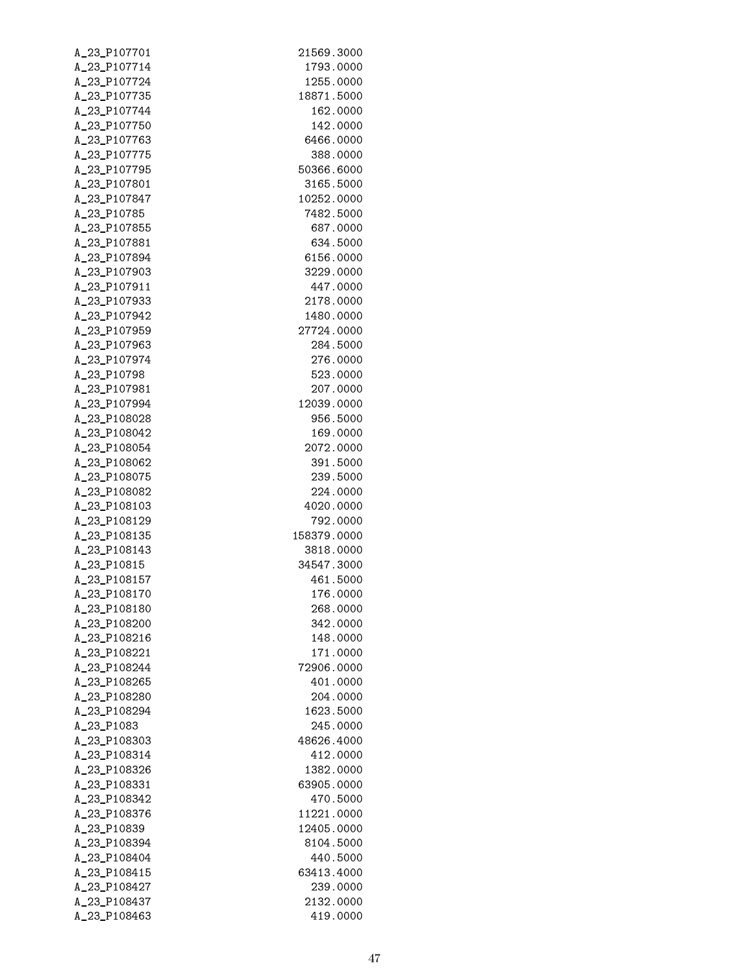| A_23_P107701                 | 21569.3000           |
|------------------------------|----------------------|
| A_23_P107714                 | 1793.0000            |
| A_23_P107724                 | 1255.0000            |
| A_23_P107735                 | 18871.5000           |
| A_23_P107744                 | 162.0000             |
| A_23_P107750                 | 142.0000             |
| A_23_P107763                 | 6466.0000            |
| A_23_P107775                 | 388.0000             |
| A_23_P107795                 | 50366.6000           |
| A_23_P107801                 | 3165.5000            |
| A_23_P107847                 | 10252.0000           |
| A_23_P10785                  | 7482.5000            |
| A_23_P107855                 | 687.0000             |
| A_23_P107881                 | 634.5000             |
| A_23_P107894                 | 6156.0000            |
| A_23_P107903                 | 3229.0000            |
| A_23_P107911                 | 447.0000             |
| A_23_P107933                 | 2178.0000            |
| A_23_P107942                 | 1480.0000            |
| A_23_P107959                 | 27724.0000           |
| A_23_P107963<br>A_23_P107974 | 284.5000<br>276.0000 |
| A_23_P10798                  | 523.0000             |
| A_23_P107981                 | 207.0000             |
| A_23_P107994                 | 12039.0000           |
| A_23_P108028                 | 956.5000             |
| A_23_P108042                 | 169.0000             |
| A_23_P108054                 | 2072.0000            |
| A_23_P108062                 | 391.5000             |
| A_23_P108075                 | 239.5000             |
| A_23_P108082                 | 224.0000             |
| A_23_P108103                 | 4020.0000            |
| A_23_P108129                 | 792.0000             |
| A_23_P108135                 | 158379.0000          |
| A_23_P108143                 | 3818.0000            |
| A_23_P10815                  | 34547.3000           |
| A_23_P108157                 | 461.5000             |
| A_23_P108170                 | 176.0000             |
| A_23_P108180                 | 268.0000             |
| A_23_P108200                 | 342.0000             |
| A_23_P108216                 | 148.0000             |
| A_23_P108221                 | 171.0000             |
| A_23_P108244                 | 72906.0000           |
| A_23_P108265                 | 401.0000             |
| A_23_P108280                 | 204.0000             |
| A_23_P108294                 | 1623.5000            |
| A_23_P1083                   | 245.0000             |
| A_23_P108303                 | 48626.4000           |
| A_23_P108314                 | 412.0000             |
| A_23_P108326                 | 1382.0000            |
| A_23_P108331                 | 63905.0000           |
| A_23_P108342                 | 470.5000             |
| A_23_P108376                 | 11221.0000           |
| A_23_P10839                  | 12405.0000           |
| A_23_P108394                 | 8104.5000            |
| A_23_P108404                 | 440.5000             |
| A_23_P108415                 | 63413.4000           |
| A_23_P108427                 | 239.0000             |
| A_23_P108437                 | 2132.0000            |
| A_23_P108463                 | 419.0000             |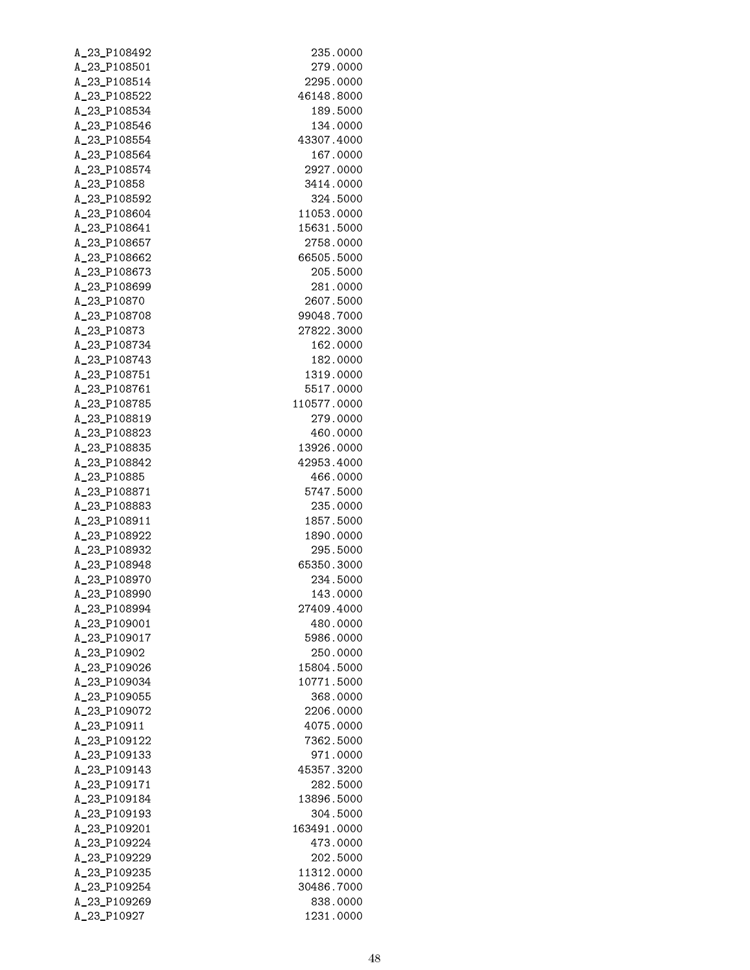| A_23_P108492                 | 235.0000             |
|------------------------------|----------------------|
| A_23_P108501                 | 279.0000             |
| A_23_P108514                 | 2295.0000            |
| A_23_P108522                 | 46148.8000           |
| A_23_P108534                 | 189.5000             |
| A_23_P108546                 | 134.0000             |
| A_23_P108554                 | 43307.4000           |
| A_23_P108564                 | 167.0000             |
| A_23_P108574                 | 2927.0000            |
| A_23_P10858                  | 3414.0000            |
| A_23_P108592                 | 324.5000             |
| A_23_P108604                 | 11053.0000           |
| A_23_P108641                 | 15631.5000           |
| A_23_P108657                 | 2758.0000            |
| A_23_P108662                 | 66505.5000           |
| A_23_P108673                 | 205.5000             |
| A_23_P108699                 | 281.0000             |
| A_23_P10870                  | 2607.5000            |
| A_23_P108708                 | 99048.7000           |
| A_23_P10873                  | 27822.3000           |
| A_23_P108734                 | 162.0000             |
| A_23_P108743                 | 182.0000             |
| A_23_P108751<br>A_23_P108761 | 1319.0000            |
| A_23_P108785                 | 5517.0000            |
| A_23_P108819                 | 110577.0000          |
| A_23_P108823                 | 279.0000<br>460.0000 |
| A_23_P108835                 | 13926.0000           |
| A_23_P108842                 | 42953.4000           |
| A_23_P10885                  | 466.0000             |
| A_23_P108871                 | 5747.5000            |
| A_23_P108883                 | 235.0000             |
| A_23_P108911                 | 1857.5000            |
| A_23_P108922                 | 1890.0000            |
| A 23 P108932                 | 295.5000             |
| A_23_P108948                 | 65350.3000           |
| A_23_P108970                 | 234.5000             |
| A_23_P108990                 | 143.0000             |
| A_23_P108994                 | 27409.4000           |
| A_23_P109001                 | 480.0000             |
| A_23_P109017                 | 5986.0000            |
| A_23_P10902                  | 250.0000             |
| A 23 P109026                 | 15804.5000           |
| A_23_P109034                 | 10771.5000           |
| A_23_P109055                 | 368.0000             |
| A_23_P109072                 | 2206.0000            |
| A_23_P10911                  | 4075.0000            |
| A_23_P109122                 | 7362.5000            |
| A_23_P109133                 | 971.0000             |
| A_23_P109143                 | 45357.3200           |
| A_23_P109171                 | 282.5000             |
| A_23_P109184                 | 13896.5000           |
| A_23_P109193                 | 304.5000             |
| A_23_P109201                 | 163491.0000          |
| A_23_P109224                 | 473.0000             |
| A_23_P109229                 | 202.5000             |
| A_23_P109235                 | 11312.0000           |
| A_23_P109254                 | 30486.7000           |
| A_23_P109269                 | 838.0000             |
| A_23_P10927                  | 1231.0000            |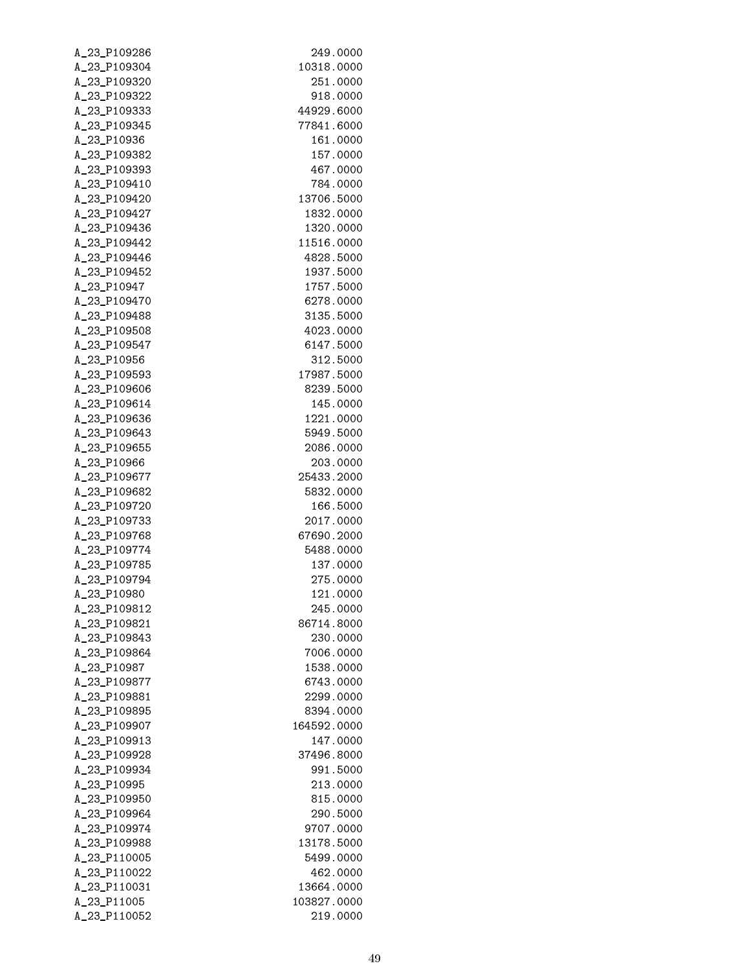| A_23_P109286                 | 249.0000               |
|------------------------------|------------------------|
| A_23_P109304                 | 10318.0000             |
| A_23_P109320                 | 251.0000               |
| A_23_P109322                 | 918.0000               |
| A_23_P109333                 | 44929.6000             |
| A_23_P109345                 | 77841.6000             |
| A_23_P10936                  | 161.0000               |
| A_23_P109382                 | 157.0000               |
| A_23_P109393                 | 467.0000               |
| A_23_P109410                 | 784.0000               |
| A_23_P109420                 | 13706.5000             |
| A_23_P109427                 | 1832.0000              |
| A_23_P109436                 | 1320.0000              |
| A_23_P109442                 | 11516.0000             |
| A_23_P109446                 | 4828.5000              |
| A_23_P109452                 | 1937.5000              |
| A_23_P10947                  | 1757.5000              |
| A_23_P109470                 | 6278.0000              |
| A_23_P109488                 | 3135.5000              |
| A_23_P109508                 | 4023.0000              |
| A_23_P109547                 | 6147.5000              |
| A_23_P10956                  | 312.5000               |
| A_23_P109593                 | 17987.5000             |
| A_23_P109606                 | 8239.5000              |
| A_23_P109614                 | 145.0000               |
| A_23_P109636                 | 1221.0000              |
| A_23_P109643                 | 5949.5000              |
| A_23_P109655                 | 2086.0000              |
| A_23_P10966                  | 203.0000               |
| A_23_P109677                 | 25433.2000             |
| A_23_P109682                 | 5832.0000              |
| A_23_P109720                 | 166.5000               |
| A_23_P109733                 | 2017.0000              |
| A_23_P109768                 | 67690.2000             |
| A_23_P109774                 | 5488.0000              |
| A_23_P109785                 | 137.0000               |
| A_23_P109794                 | 275.0000               |
| A_23_P10980                  | 121,0000               |
| A_23_P109812<br>A_23_P109821 | 245.0000<br>86714.8000 |
| A_23_P109843                 | 230.0000               |
| A_23_P109864                 | 7006.0000              |
| A_23_P10987                  | 1538.0000              |
| A_23_P109877                 | 6743.0000              |
| A_23_P109881                 | 2299.0000              |
| A_23_P109895                 | 8394.0000              |
| A_23_P109907                 | 164592.0000            |
| A_23_P109913                 | 147.0000               |
| A_23_P109928                 | 37496.8000             |
| A_23_P109934                 | 991.5000               |
| A_23_P10995                  | 213.0000               |
| A_23_P109950                 | 815.0000               |
| A_23_P109964                 | 290.5000               |
| A_23_P109974                 | 9707.0000              |
| A_23_P109988                 | 13178.5000             |
| A_23_P110005                 | 5499.0000              |
| A_23_P110022                 | 462.0000               |
| A_23_P110031                 | 13664.0000             |
| A_23_P11005                  | 103827.0000            |
| A_23_P110052                 | 219.0000               |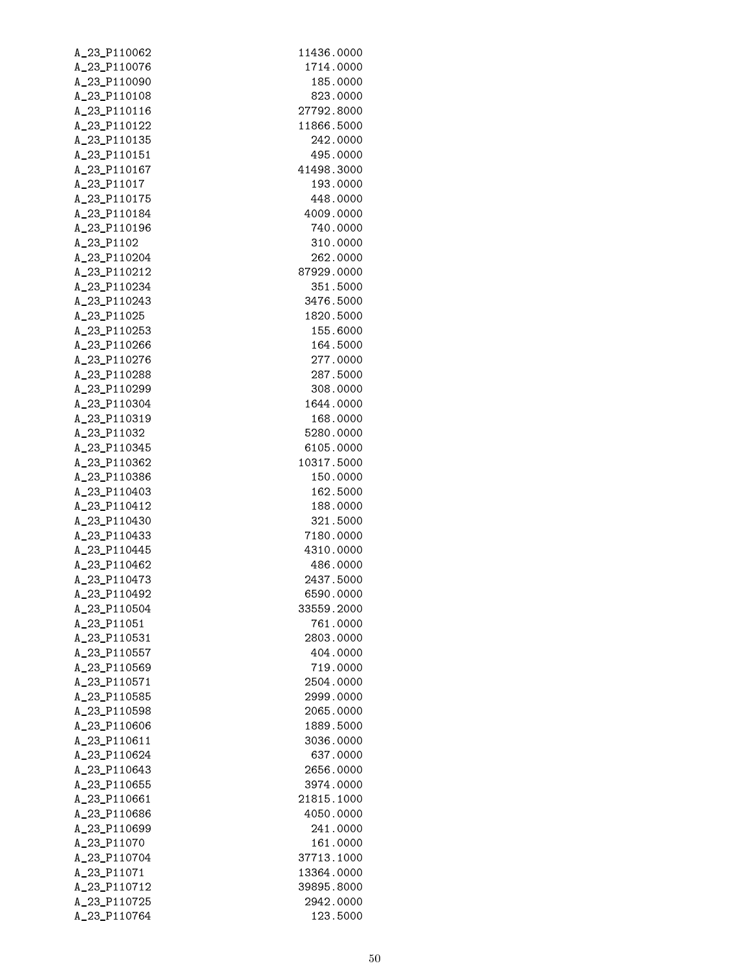| A_23_P110062                 | 11436.0000             |
|------------------------------|------------------------|
| A_23_P110076                 | 1714.0000              |
| A_23_P110090                 | 185.0000               |
| A_23_P110108                 | 823.0000               |
| A_23_P110116                 | 27792.8000             |
| A_23_P110122                 | 11866.5000             |
| A_23_P110135                 | 242.0000               |
| A_23_P110151                 | 495.0000               |
| A_23_P110167                 | 41498.3000             |
| A_23_P11017                  | 193.0000               |
| A_23_P110175<br>A_23_P110184 | 448.0000<br>4009.0000  |
| A_23_P110196                 | 740.0000               |
| A_23_P1102                   | 310.0000               |
| A_23_P110204                 | 262.0000               |
| A_23_P110212                 | 87929.0000             |
| A_23_P110234                 | 351.5000               |
| A_23_P110243                 | 3476.5000              |
| A_23_P11025                  | 1820.5000              |
| A_23_P110253                 | 155.6000               |
| A_23_P110266                 | 164.5000               |
| A_23_P110276                 | 277.0000               |
| A_23_P110288                 | 287.5000               |
| A_23_P110299                 | 308.0000               |
| A_23_P110304                 | 1644.0000              |
| A_23_P110319                 | 168.0000               |
| A_23_P11032                  | 5280.0000              |
| A_23_P110345                 | 6105.0000              |
| A_23_P110362                 | 10317.5000             |
| A_23_P110386                 | 150.0000               |
| A_23_P110403                 | 162.5000               |
| A_23_P110412<br>A_23_P110430 | 188.0000<br>321.5000   |
| A_23_P110433                 | 7180.0000              |
| A_23_P110445                 | 4310.0000              |
| A_23_P110462                 | 486.0000               |
| A_23_P110473                 | 2437.5000              |
| A_23_P110492                 | 6590.0000              |
| A_23_P110504                 | 33559.2000             |
| A_23_P11051                  | 761.0000               |
| A_23_P110531                 | 2803.0000              |
| A_23_P110557                 | 404.0000               |
| A_23_P110569                 | 719.0000               |
| A_23_P110571                 | 2504.0000              |
| A_23_P110585                 | 2999.0000              |
| A_23_P110598                 | 2065.0000              |
| A_23_P110606                 | 1889.5000              |
| A_23_P110611                 | 3036.0000              |
| A_23_P110624                 | 637,0000               |
| A_23_P110643<br>A_23_P110655 | 2656.0000<br>3974.0000 |
| A_23_P110661                 | 21815.1000             |
| A_23_P110686                 | 4050.0000              |
| A_23_P110699                 | 241.0000               |
| A_23_P11070                  | 161.0000               |
| A_23_P110704                 | 37713.1000             |
| A_23_P11071                  | 13364.0000             |
| A_23_P110712                 | 39895.8000             |
| A_23_P110725                 | 2942.0000              |
| A_23_P110764                 | 123.5000               |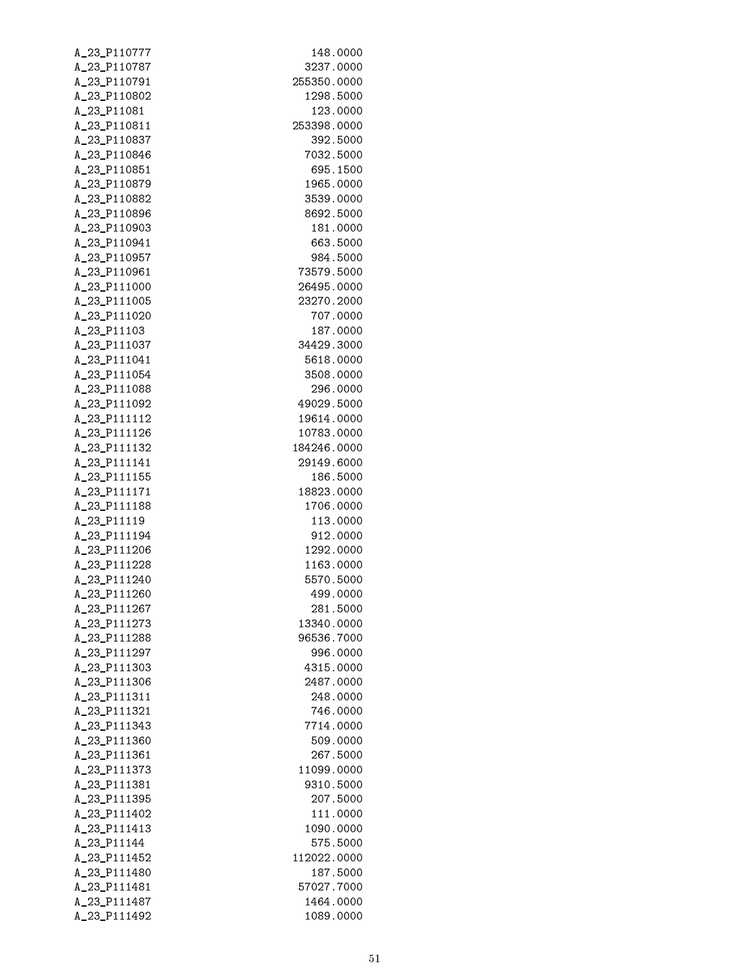| A_23_P110787<br>3237.0000<br>A_23_P110791<br>255350.0000<br>A_23_P110802<br>1298.5000<br>A_23_P11081<br>123.0000<br>A_23_P110811<br>253398.0000<br>A_23_P110837<br>392.5000<br>A_23_P110846<br>7032.5000<br>A_23_P110851<br>695.1500<br>A_23_P110879<br>1965.0000<br>A_23_P110882<br>3539.0000<br>8692.5000<br>A_23_P110896<br>A_23_P110903<br>181.0000<br>A_23_P110941<br>663.5000<br>A_23_P110957<br>984.5000<br>A_23_P110961<br>73579.5000<br>A_23_P111000<br>26495.0000<br>A_23_P111005<br>23270.2000<br>A_23_P111020<br>707.0000<br>A_23_P11103<br>187.0000<br>A_23_P111037<br>34429.3000<br>A_23_P111041<br>5618.0000<br>A_23_P111054<br>3508.0000<br>A_23_P111088<br>296.0000<br>A_23_P111092<br>49029.5000<br>A_23_P111112<br>19614.0000<br>A_23_P111126<br>10783.0000<br>A_23_P111132<br>184246.0000<br>A_23_P111141<br>29149.6000<br>A_23_P111155<br>186.5000<br>A_23_P111171<br>18823.0000<br>A_23_P111188<br>1706.0000<br>A_23_P11119<br>113.0000<br>A_23_P111194<br>912.0000<br>A_23_P111206<br>1292.0000<br>A_23_P111228<br>1163.0000<br>A_23_P111240<br>5570.5000<br>A_23_P111260<br>499.0000<br>A_23_P111267<br>281.5000<br>A_23_P111273<br>13340.0000<br>A_23_P111288<br>96536.7000<br>A_23_P111297<br>996.0000<br>A_23_P111303<br>4315.0000<br>A_23_P111306<br>2487.0000<br>A_23_P111311<br>248.0000<br>A_23_P111321<br>746.0000<br>A_23_P111343<br>7714.0000<br>A_23_P111360<br>509.0000<br>A_23_P111361<br>267.5000<br>A_23_P111373<br>11099.0000<br>A_23_P111381<br>9310.5000 |  |
|----------------------------------------------------------------------------------------------------------------------------------------------------------------------------------------------------------------------------------------------------------------------------------------------------------------------------------------------------------------------------------------------------------------------------------------------------------------------------------------------------------------------------------------------------------------------------------------------------------------------------------------------------------------------------------------------------------------------------------------------------------------------------------------------------------------------------------------------------------------------------------------------------------------------------------------------------------------------------------------------------------------------------------------------------------------------------------------------------------------------------------------------------------------------------------------------------------------------------------------------------------------------------------------------------------------------------------------------------------------------------------------------------------------------------------------------------------------------------------------------------|--|
|                                                                                                                                                                                                                                                                                                                                                                                                                                                                                                                                                                                                                                                                                                                                                                                                                                                                                                                                                                                                                                                                                                                                                                                                                                                                                                                                                                                                                                                                                                    |  |
|                                                                                                                                                                                                                                                                                                                                                                                                                                                                                                                                                                                                                                                                                                                                                                                                                                                                                                                                                                                                                                                                                                                                                                                                                                                                                                                                                                                                                                                                                                    |  |
|                                                                                                                                                                                                                                                                                                                                                                                                                                                                                                                                                                                                                                                                                                                                                                                                                                                                                                                                                                                                                                                                                                                                                                                                                                                                                                                                                                                                                                                                                                    |  |
|                                                                                                                                                                                                                                                                                                                                                                                                                                                                                                                                                                                                                                                                                                                                                                                                                                                                                                                                                                                                                                                                                                                                                                                                                                                                                                                                                                                                                                                                                                    |  |
|                                                                                                                                                                                                                                                                                                                                                                                                                                                                                                                                                                                                                                                                                                                                                                                                                                                                                                                                                                                                                                                                                                                                                                                                                                                                                                                                                                                                                                                                                                    |  |
|                                                                                                                                                                                                                                                                                                                                                                                                                                                                                                                                                                                                                                                                                                                                                                                                                                                                                                                                                                                                                                                                                                                                                                                                                                                                                                                                                                                                                                                                                                    |  |
|                                                                                                                                                                                                                                                                                                                                                                                                                                                                                                                                                                                                                                                                                                                                                                                                                                                                                                                                                                                                                                                                                                                                                                                                                                                                                                                                                                                                                                                                                                    |  |
|                                                                                                                                                                                                                                                                                                                                                                                                                                                                                                                                                                                                                                                                                                                                                                                                                                                                                                                                                                                                                                                                                                                                                                                                                                                                                                                                                                                                                                                                                                    |  |
|                                                                                                                                                                                                                                                                                                                                                                                                                                                                                                                                                                                                                                                                                                                                                                                                                                                                                                                                                                                                                                                                                                                                                                                                                                                                                                                                                                                                                                                                                                    |  |
|                                                                                                                                                                                                                                                                                                                                                                                                                                                                                                                                                                                                                                                                                                                                                                                                                                                                                                                                                                                                                                                                                                                                                                                                                                                                                                                                                                                                                                                                                                    |  |
|                                                                                                                                                                                                                                                                                                                                                                                                                                                                                                                                                                                                                                                                                                                                                                                                                                                                                                                                                                                                                                                                                                                                                                                                                                                                                                                                                                                                                                                                                                    |  |
|                                                                                                                                                                                                                                                                                                                                                                                                                                                                                                                                                                                                                                                                                                                                                                                                                                                                                                                                                                                                                                                                                                                                                                                                                                                                                                                                                                                                                                                                                                    |  |
|                                                                                                                                                                                                                                                                                                                                                                                                                                                                                                                                                                                                                                                                                                                                                                                                                                                                                                                                                                                                                                                                                                                                                                                                                                                                                                                                                                                                                                                                                                    |  |
|                                                                                                                                                                                                                                                                                                                                                                                                                                                                                                                                                                                                                                                                                                                                                                                                                                                                                                                                                                                                                                                                                                                                                                                                                                                                                                                                                                                                                                                                                                    |  |
|                                                                                                                                                                                                                                                                                                                                                                                                                                                                                                                                                                                                                                                                                                                                                                                                                                                                                                                                                                                                                                                                                                                                                                                                                                                                                                                                                                                                                                                                                                    |  |
|                                                                                                                                                                                                                                                                                                                                                                                                                                                                                                                                                                                                                                                                                                                                                                                                                                                                                                                                                                                                                                                                                                                                                                                                                                                                                                                                                                                                                                                                                                    |  |
|                                                                                                                                                                                                                                                                                                                                                                                                                                                                                                                                                                                                                                                                                                                                                                                                                                                                                                                                                                                                                                                                                                                                                                                                                                                                                                                                                                                                                                                                                                    |  |
|                                                                                                                                                                                                                                                                                                                                                                                                                                                                                                                                                                                                                                                                                                                                                                                                                                                                                                                                                                                                                                                                                                                                                                                                                                                                                                                                                                                                                                                                                                    |  |
|                                                                                                                                                                                                                                                                                                                                                                                                                                                                                                                                                                                                                                                                                                                                                                                                                                                                                                                                                                                                                                                                                                                                                                                                                                                                                                                                                                                                                                                                                                    |  |
|                                                                                                                                                                                                                                                                                                                                                                                                                                                                                                                                                                                                                                                                                                                                                                                                                                                                                                                                                                                                                                                                                                                                                                                                                                                                                                                                                                                                                                                                                                    |  |
|                                                                                                                                                                                                                                                                                                                                                                                                                                                                                                                                                                                                                                                                                                                                                                                                                                                                                                                                                                                                                                                                                                                                                                                                                                                                                                                                                                                                                                                                                                    |  |
|                                                                                                                                                                                                                                                                                                                                                                                                                                                                                                                                                                                                                                                                                                                                                                                                                                                                                                                                                                                                                                                                                                                                                                                                                                                                                                                                                                                                                                                                                                    |  |
|                                                                                                                                                                                                                                                                                                                                                                                                                                                                                                                                                                                                                                                                                                                                                                                                                                                                                                                                                                                                                                                                                                                                                                                                                                                                                                                                                                                                                                                                                                    |  |
|                                                                                                                                                                                                                                                                                                                                                                                                                                                                                                                                                                                                                                                                                                                                                                                                                                                                                                                                                                                                                                                                                                                                                                                                                                                                                                                                                                                                                                                                                                    |  |
|                                                                                                                                                                                                                                                                                                                                                                                                                                                                                                                                                                                                                                                                                                                                                                                                                                                                                                                                                                                                                                                                                                                                                                                                                                                                                                                                                                                                                                                                                                    |  |
|                                                                                                                                                                                                                                                                                                                                                                                                                                                                                                                                                                                                                                                                                                                                                                                                                                                                                                                                                                                                                                                                                                                                                                                                                                                                                                                                                                                                                                                                                                    |  |
|                                                                                                                                                                                                                                                                                                                                                                                                                                                                                                                                                                                                                                                                                                                                                                                                                                                                                                                                                                                                                                                                                                                                                                                                                                                                                                                                                                                                                                                                                                    |  |
|                                                                                                                                                                                                                                                                                                                                                                                                                                                                                                                                                                                                                                                                                                                                                                                                                                                                                                                                                                                                                                                                                                                                                                                                                                                                                                                                                                                                                                                                                                    |  |
|                                                                                                                                                                                                                                                                                                                                                                                                                                                                                                                                                                                                                                                                                                                                                                                                                                                                                                                                                                                                                                                                                                                                                                                                                                                                                                                                                                                                                                                                                                    |  |
|                                                                                                                                                                                                                                                                                                                                                                                                                                                                                                                                                                                                                                                                                                                                                                                                                                                                                                                                                                                                                                                                                                                                                                                                                                                                                                                                                                                                                                                                                                    |  |
|                                                                                                                                                                                                                                                                                                                                                                                                                                                                                                                                                                                                                                                                                                                                                                                                                                                                                                                                                                                                                                                                                                                                                                                                                                                                                                                                                                                                                                                                                                    |  |
|                                                                                                                                                                                                                                                                                                                                                                                                                                                                                                                                                                                                                                                                                                                                                                                                                                                                                                                                                                                                                                                                                                                                                                                                                                                                                                                                                                                                                                                                                                    |  |
|                                                                                                                                                                                                                                                                                                                                                                                                                                                                                                                                                                                                                                                                                                                                                                                                                                                                                                                                                                                                                                                                                                                                                                                                                                                                                                                                                                                                                                                                                                    |  |
|                                                                                                                                                                                                                                                                                                                                                                                                                                                                                                                                                                                                                                                                                                                                                                                                                                                                                                                                                                                                                                                                                                                                                                                                                                                                                                                                                                                                                                                                                                    |  |
|                                                                                                                                                                                                                                                                                                                                                                                                                                                                                                                                                                                                                                                                                                                                                                                                                                                                                                                                                                                                                                                                                                                                                                                                                                                                                                                                                                                                                                                                                                    |  |
|                                                                                                                                                                                                                                                                                                                                                                                                                                                                                                                                                                                                                                                                                                                                                                                                                                                                                                                                                                                                                                                                                                                                                                                                                                                                                                                                                                                                                                                                                                    |  |
|                                                                                                                                                                                                                                                                                                                                                                                                                                                                                                                                                                                                                                                                                                                                                                                                                                                                                                                                                                                                                                                                                                                                                                                                                                                                                                                                                                                                                                                                                                    |  |
|                                                                                                                                                                                                                                                                                                                                                                                                                                                                                                                                                                                                                                                                                                                                                                                                                                                                                                                                                                                                                                                                                                                                                                                                                                                                                                                                                                                                                                                                                                    |  |
|                                                                                                                                                                                                                                                                                                                                                                                                                                                                                                                                                                                                                                                                                                                                                                                                                                                                                                                                                                                                                                                                                                                                                                                                                                                                                                                                                                                                                                                                                                    |  |
|                                                                                                                                                                                                                                                                                                                                                                                                                                                                                                                                                                                                                                                                                                                                                                                                                                                                                                                                                                                                                                                                                                                                                                                                                                                                                                                                                                                                                                                                                                    |  |
|                                                                                                                                                                                                                                                                                                                                                                                                                                                                                                                                                                                                                                                                                                                                                                                                                                                                                                                                                                                                                                                                                                                                                                                                                                                                                                                                                                                                                                                                                                    |  |
|                                                                                                                                                                                                                                                                                                                                                                                                                                                                                                                                                                                                                                                                                                                                                                                                                                                                                                                                                                                                                                                                                                                                                                                                                                                                                                                                                                                                                                                                                                    |  |
|                                                                                                                                                                                                                                                                                                                                                                                                                                                                                                                                                                                                                                                                                                                                                                                                                                                                                                                                                                                                                                                                                                                                                                                                                                                                                                                                                                                                                                                                                                    |  |
|                                                                                                                                                                                                                                                                                                                                                                                                                                                                                                                                                                                                                                                                                                                                                                                                                                                                                                                                                                                                                                                                                                                                                                                                                                                                                                                                                                                                                                                                                                    |  |
|                                                                                                                                                                                                                                                                                                                                                                                                                                                                                                                                                                                                                                                                                                                                                                                                                                                                                                                                                                                                                                                                                                                                                                                                                                                                                                                                                                                                                                                                                                    |  |
|                                                                                                                                                                                                                                                                                                                                                                                                                                                                                                                                                                                                                                                                                                                                                                                                                                                                                                                                                                                                                                                                                                                                                                                                                                                                                                                                                                                                                                                                                                    |  |
|                                                                                                                                                                                                                                                                                                                                                                                                                                                                                                                                                                                                                                                                                                                                                                                                                                                                                                                                                                                                                                                                                                                                                                                                                                                                                                                                                                                                                                                                                                    |  |
| A_23_P111395<br>207.5000                                                                                                                                                                                                                                                                                                                                                                                                                                                                                                                                                                                                                                                                                                                                                                                                                                                                                                                                                                                                                                                                                                                                                                                                                                                                                                                                                                                                                                                                           |  |
| A_23_P111402<br>111.0000                                                                                                                                                                                                                                                                                                                                                                                                                                                                                                                                                                                                                                                                                                                                                                                                                                                                                                                                                                                                                                                                                                                                                                                                                                                                                                                                                                                                                                                                           |  |
| A_23_P111413<br>1090.0000                                                                                                                                                                                                                                                                                                                                                                                                                                                                                                                                                                                                                                                                                                                                                                                                                                                                                                                                                                                                                                                                                                                                                                                                                                                                                                                                                                                                                                                                          |  |
| A_23_P11144<br>575.5000<br>A_23_P111452                                                                                                                                                                                                                                                                                                                                                                                                                                                                                                                                                                                                                                                                                                                                                                                                                                                                                                                                                                                                                                                                                                                                                                                                                                                                                                                                                                                                                                                            |  |
| 112022.0000<br>A_23_P111480<br>187.5000                                                                                                                                                                                                                                                                                                                                                                                                                                                                                                                                                                                                                                                                                                                                                                                                                                                                                                                                                                                                                                                                                                                                                                                                                                                                                                                                                                                                                                                            |  |
| A_23_P111481<br>57027.7000                                                                                                                                                                                                                                                                                                                                                                                                                                                                                                                                                                                                                                                                                                                                                                                                                                                                                                                                                                                                                                                                                                                                                                                                                                                                                                                                                                                                                                                                         |  |
| A_23_P111487<br>1464.0000                                                                                                                                                                                                                                                                                                                                                                                                                                                                                                                                                                                                                                                                                                                                                                                                                                                                                                                                                                                                                                                                                                                                                                                                                                                                                                                                                                                                                                                                          |  |
| A_23_P111492<br>1089.0000                                                                                                                                                                                                                                                                                                                                                                                                                                                                                                                                                                                                                                                                                                                                                                                                                                                                                                                                                                                                                                                                                                                                                                                                                                                                                                                                                                                                                                                                          |  |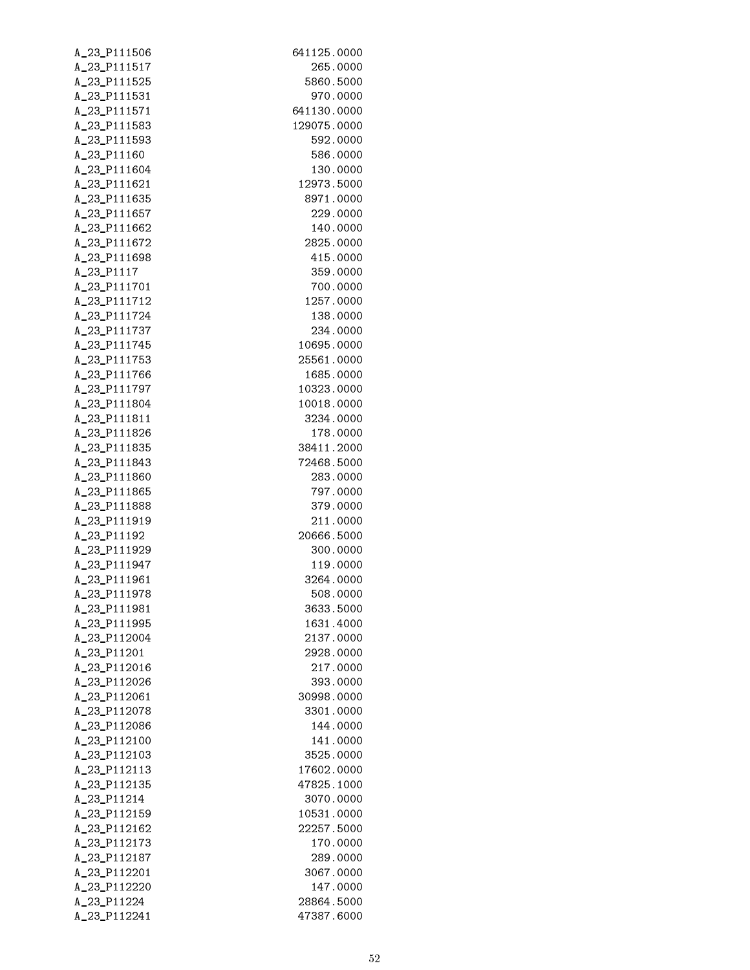| A_23_P111506                 | 641125.0000          |
|------------------------------|----------------------|
| A_23_P111517                 | 265.0000             |
| A_23_P111525                 | 5860.5000            |
| A_23_P111531                 | 970.0000             |
| A_23_P111571                 | 641130.0000          |
| A_23_P111583                 | 129075.0000          |
| A_23_P111593                 | 592.0000             |
| A_23_P11160                  | 586.0000             |
| A_23_P111604                 | 130.0000             |
| A_23_P111621                 | 12973.5000           |
| A_23_P111635                 | 8971.0000            |
| A_23_P111657                 | 229.0000             |
| A_23_P111662                 | 140.0000             |
| A_23_P111672                 | 2825.0000            |
| A_23_P111698                 | 415.0000             |
| A_23_P1117                   | 359.0000             |
| A_23_P111701                 | 700.0000             |
| A_23_P111712                 | 1257.0000            |
| A_23_P111724                 | 138.0000<br>234.0000 |
| A_23_P111737<br>A_23_P111745 | 10695.0000           |
| A_23_P111753                 | 25561.0000           |
| A_23_P111766                 | 1685.0000            |
| A_23_P111797                 | 10323.0000           |
| A_23_P111804                 | 10018.0000           |
| A_23_P111811                 | 3234.0000            |
| A_23_P111826                 | 178.0000             |
| A_23_P111835                 | 38411.2000           |
| A_23_P111843                 | 72468.5000           |
| A_23_P111860                 | 283.0000             |
| A_23_P111865                 | 797.0000             |
| A_23_P111888                 | 379.0000             |
| A_23_P111919                 | 211.0000             |
| A_23_P11192                  | 20666.5000           |
| A_23_P111929                 | 300.0000             |
| A_23_P111947                 | 119.0000             |
| A_23_P111961                 | 3264.0000            |
| A_23_P111978                 | 508.0000             |
| A_23_P111981                 | 3633.5000            |
| A_23_P111995                 | 1631.4000            |
| A_23_P112004                 | 2137.0000            |
| A_23_P11201                  | 2928.0000            |
| A_23_P112016                 | 217.0000             |
| A_23_P112026                 | 393.0000             |
| A_23_P112061                 | 30998.0000           |
| A_23_P112078                 | 3301.0000            |
| A_23_P112086                 | 144.0000             |
| A_23_P112100                 | 141.0000             |
| A_23_P112103                 | 3525.0000            |
| A_23_P112113                 | 17602.0000           |
| A_23_P112135                 | 47825.1000           |
| A_23_P11214                  | 3070.0000            |
| A_23_P112159                 | 10531.0000           |
| A_23_P112162<br>A_23_P112173 | 22257.5000           |
| A_23_P112187                 | 170.0000<br>289.0000 |
| A_23_P112201                 | 3067.0000            |
| A_23_P112220                 | 147.0000             |
| A_23_P11224                  | 28864.5000           |
| A_23_P112241                 | 47387.6000           |
|                              |                      |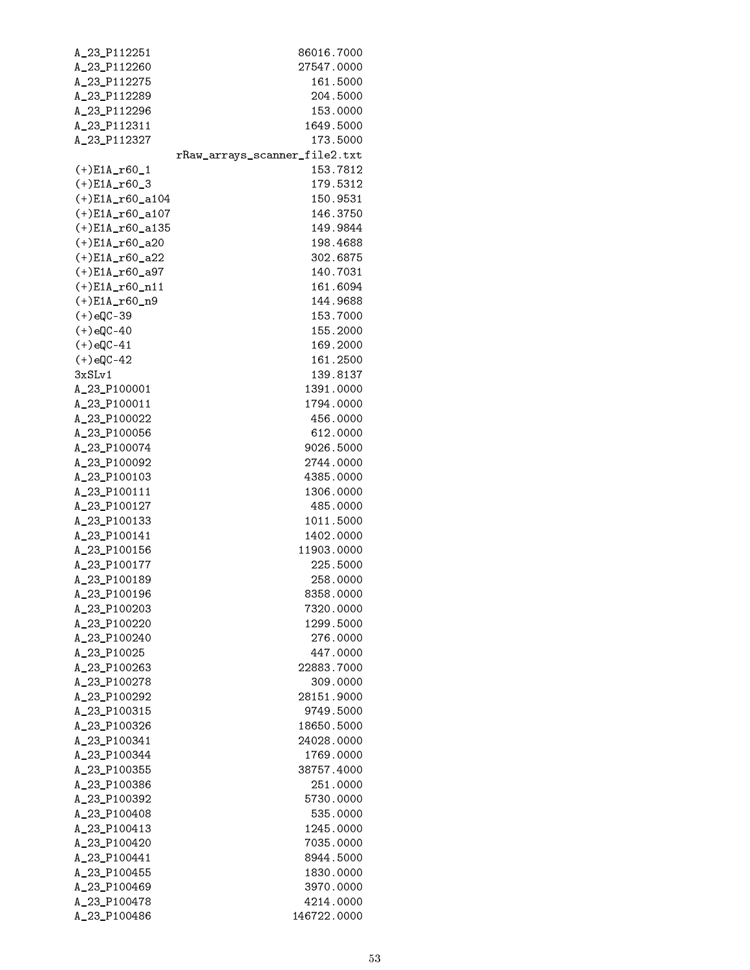| A_23_P112251       | 86016.7000                    |
|--------------------|-------------------------------|
| A_23_P112260       | 27547.0000                    |
| A_23_P112275       | 161.5000                      |
| A_23_P112289       | 204.5000                      |
| A_23_P112296       | 153.0000                      |
| A_23_P112311       | 1649.5000                     |
| A_23_P112327       | 173.5000                      |
|                    | rRaw_arrays_scanner_file2.txt |
| (+)E1A_r60_1       | 153.7812                      |
| $(+)$ E1A_r60_3    | 179.5312                      |
| $(+)$ E1A_r60_a104 | 150.9531                      |
| $(+)$ E1A_r60_a107 | 146.3750                      |
| $(+)$ E1A_r60_a135 | 149.9844                      |
| $(+)$ E1A_r60_a20  | 198.4688                      |
| $(+) E1A_160_222$  | 302.6875                      |
| $(+) E1A_160_497$  | 140.7031                      |
| $(+) E1A_160_111$  | 161.6094                      |
| $(+) E1A_160_n9$   | 144.9688                      |
| $(+)$ eQC-39       | 153.7000                      |
| $(+)$ eQC-40       |                               |
|                    | 155.2000                      |
| $(+)$ eQC-41       | 169.2000                      |
| $(+)$ eQC-42       | 161.2500                      |
| 3xSLv1             | 139.8137                      |
| A_23_P100001       | 1391.0000                     |
| A_23_P100011       | 1794.0000                     |
| A_23_P100022       | 456.0000                      |
| A_23_P100056       | 612.0000                      |
| A_23_P100074       | 9026.5000                     |
| A_23_P100092       | 2744.0000                     |
| A_23_P100103       | 4385.0000                     |
| A_23_P100111       | 1306.0000                     |
| A_23_P100127       | 485.0000                      |
| A_23_P100133       | 1011.5000                     |
| A_23_P100141       | 1402.0000                     |
| A_23_P100156       | 11903.0000                    |
| A_23_P100177       | 225.5000                      |
| A_23_P100189       | 258.0000                      |
| A_23_P100196       | 8358,0000                     |
| A_23_P100203       | 7320.0000                     |
| A_23_P100220       | 1299.5000                     |
| A_23_P100240       | 276.0000                      |
| A_23_P10025        | 447.0000                      |
| A_23_P100263       | 22883.7000                    |
| A_23_P100278       | 309.0000                      |
| A_23_P100292       | 28151.9000                    |
| A_23_P100315       | 9749.5000                     |
| A_23_P100326       | 18650.5000                    |
| A_23_P100341       | 24028.0000                    |
| A_23_P100344       | 1769.0000                     |
| A_23_P100355       | 38757.4000                    |
| A_23_P100386       | 251.0000                      |
| A_23_P100392       | 5730.0000                     |
| A_23_P100408       | 535.0000                      |
| A_23_P100413       | 1245.0000                     |
| A_23_P100420       | 7035.0000                     |
| A_23_P100441       | 8944.5000                     |
| A_23_P100455       | 1830.0000                     |
| A_23_P100469       | 3970.0000                     |
| A_23_P100478       | 4214.0000                     |
|                    |                               |
| A_23_P100486       | 146722.0000                   |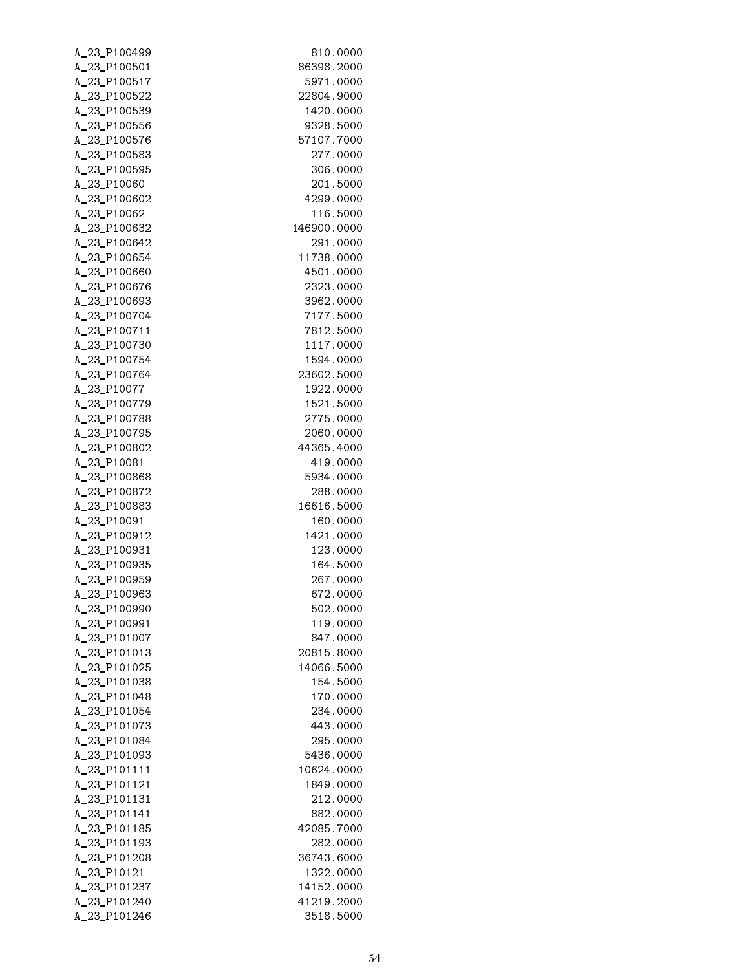| A_23_P100499                 | 810.0000               |
|------------------------------|------------------------|
| A_23_P100501                 | 86398.2000             |
| A_23_P100517                 | 5971.0000              |
| A_23_P100522                 | 22804.9000             |
| A_23_P100539                 | 1420.0000              |
| A_23_P100556                 | 9328.5000              |
| A_23_P100576                 | 57107.7000             |
| A_23_P100583                 | 277.0000               |
| A_23_P100595                 | 306.0000               |
| A_23_P10060                  | 201.5000               |
| A_23_P100602                 | 4299.0000              |
| A_23_P10062                  | 116.5000               |
| A_23_P100632                 | 146900.0000            |
| A_23_P100642                 | 291.0000               |
| A_23_P100654                 | 11738.0000             |
| A_23_P100660                 | 4501.0000              |
| A_23_P100676                 | 2323.0000              |
| A_23_P100693                 | 3962.0000              |
| A_23_P100704<br>A_23_P100711 | 7177.5000              |
| A_23_P100730                 | 7812.5000<br>1117.0000 |
| A_23_P100754                 | 1594.0000              |
| A_23_P100764                 | 23602.5000             |
| A_23_P10077                  | 1922.0000              |
| A_23_P100779                 | 1521.5000              |
| A_23_P100788                 | 2775.0000              |
| A_23_P100795                 | 2060.0000              |
| A_23_P100802                 | 44365.4000             |
| A_23_P10081                  | 419.0000               |
| A_23_P100868                 | 5934.0000              |
| A_23_P100872                 | 288.0000               |
| A_23_P100883                 | 16616.5000             |
| A_23_P10091                  | 160.0000               |
| A_23_P100912                 | 1421.0000              |
| A_23_P100931                 | 123.0000               |
| A_23_P100935                 | 164.5000               |
| A_23_P100959                 | 267.0000               |
| A_23_P100963                 | 672.0000               |
| A_23_P100990                 | 502.0000               |
| A_23_P100991                 | 119.0000               |
| A_23_P101007                 | 847.0000               |
| A_23_P101013                 | 20815.8000             |
| A_23_P101025                 | 14066.5000             |
| A_23_P101038                 | 154.5000               |
| A_23_P101048                 | 170.0000               |
| A_23_P101054                 | 234.0000               |
| A_23_P101073                 | 443.0000               |
| A_23_P101084                 | 295.0000               |
| A_23_P101093                 | 5436.0000              |
| A_23_P101111                 | 10624.0000             |
| A_23_P101121                 | 1849.0000              |
| A_23_P101131                 | 212.0000               |
| A_23_P101141<br>A_23_P101185 | 882.0000<br>42085.7000 |
| A_23_P101193                 | 282.0000               |
| A_23_P101208                 | 36743.6000             |
| A_23_P10121                  | 1322.0000              |
| A_23_P101237                 | 14152.0000             |
| A_23_P101240                 | 41219.2000             |
| A_23_P101246                 | 3518.5000              |
|                              |                        |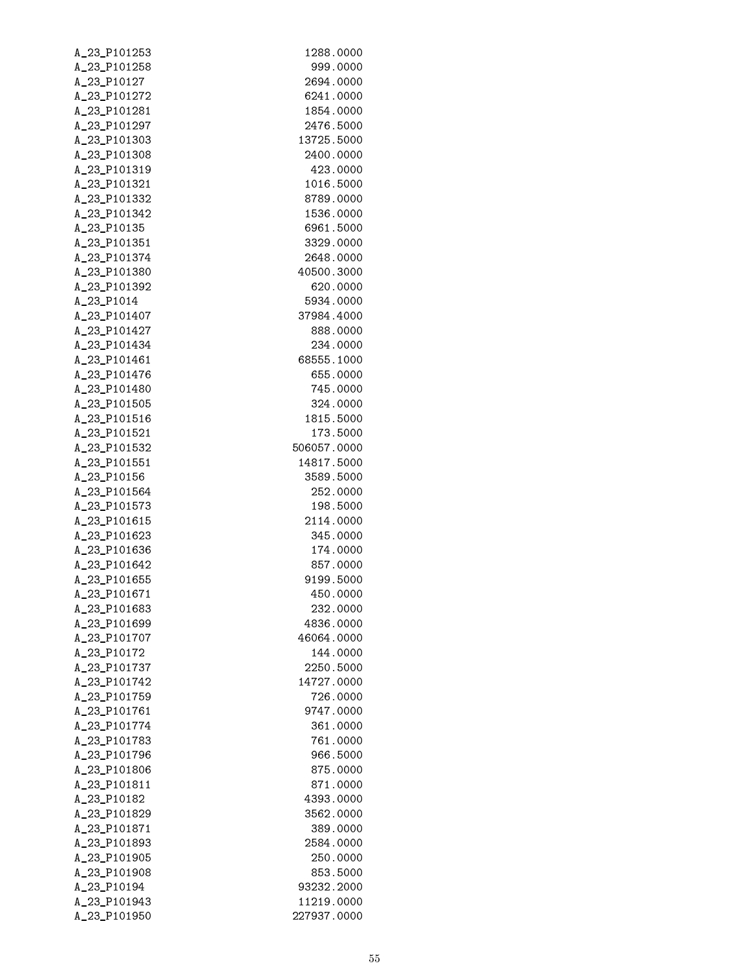| A_23_P101253                 | 1288.0000                |
|------------------------------|--------------------------|
| A_23_P101258                 | 999.0000                 |
| A_23_P10127                  | 2694.0000                |
| A_23_P101272                 | 6241.0000                |
| A_23_P101281                 | 1854.0000                |
| A_23_P101297                 | 2476.5000                |
| A_23_P101303                 | 13725.5000               |
| A_23_P101308                 | 2400.0000                |
| A_23_P101319                 | 423.0000                 |
| A_23_P101321                 | 1016.5000                |
| A_23_P101332                 | 8789.0000                |
| A_23_P101342                 | 1536.0000                |
| A_23_P10135                  | 6961.5000                |
| A_23_P101351                 | 3329.0000                |
| A_23_P101374                 | 2648.0000                |
| A_23_P101380                 | 40500.3000               |
| A_23_P101392                 | 620.0000                 |
| A_23_P1014                   | 5934.0000                |
| A_23_P101407                 | 37984.4000               |
| A_23_P101427                 | 888.0000                 |
| A_23_P101434<br>A_23_P101461 | 234.0000<br>68555.1000   |
| A_23_P101476                 | 655.0000                 |
| A_23_P101480                 | 745.0000                 |
| A_23_P101505                 | 324.0000                 |
| A_23_P101516                 | 1815.5000                |
| A_23_P101521                 | 173.5000                 |
| A_23_P101532                 | 506057.0000              |
| A_23_P101551                 | 14817.5000               |
| A_23_P10156                  | 3589.5000                |
| A_23_P101564                 | 252.0000                 |
| A_23_P101573                 | 198.5000                 |
| A_23_P101615                 | 2114.0000                |
| A_23_P101623                 | 345.0000                 |
| A_23_P101636                 | 174.0000                 |
| A_23_P101642                 | 857.0000                 |
| A_23_P101655                 | 9199.5000                |
| A_23_P101671                 | 450.0000                 |
| A_23_P101683                 | 232.0000                 |
| A_23_P101699                 | 4836.0000                |
| A_23_P101707                 | 46064.0000               |
| A_23_P10172                  | 144.0000                 |
| A_23_P101737                 | 2250.5000                |
| A_23_P101742                 | 14727.0000               |
| A_23_P101759                 | 726.0000                 |
| A_23_P101761                 | 9747.0000                |
| A_23_P101774                 | 361.0000                 |
| A_23_P101783                 | 761.0000                 |
| A_23_P101796                 | 966.5000                 |
| A_23_P101806                 | 875.0000                 |
| A_23_P101811                 | 871.0000                 |
| A_23_P10182                  | 4393.0000                |
| A_23_P101829                 | 3562.0000                |
| A_23_P101871                 | 389.0000                 |
| A_23_P101893                 | 2584.0000                |
| A_23_P101905                 | 250.0000                 |
| A_23_P101908                 | 853.5000                 |
| A_23_P10194<br>A_23_P101943  | 93232.2000<br>11219.0000 |
| A_23_P101950                 | 227937.0000              |
|                              |                          |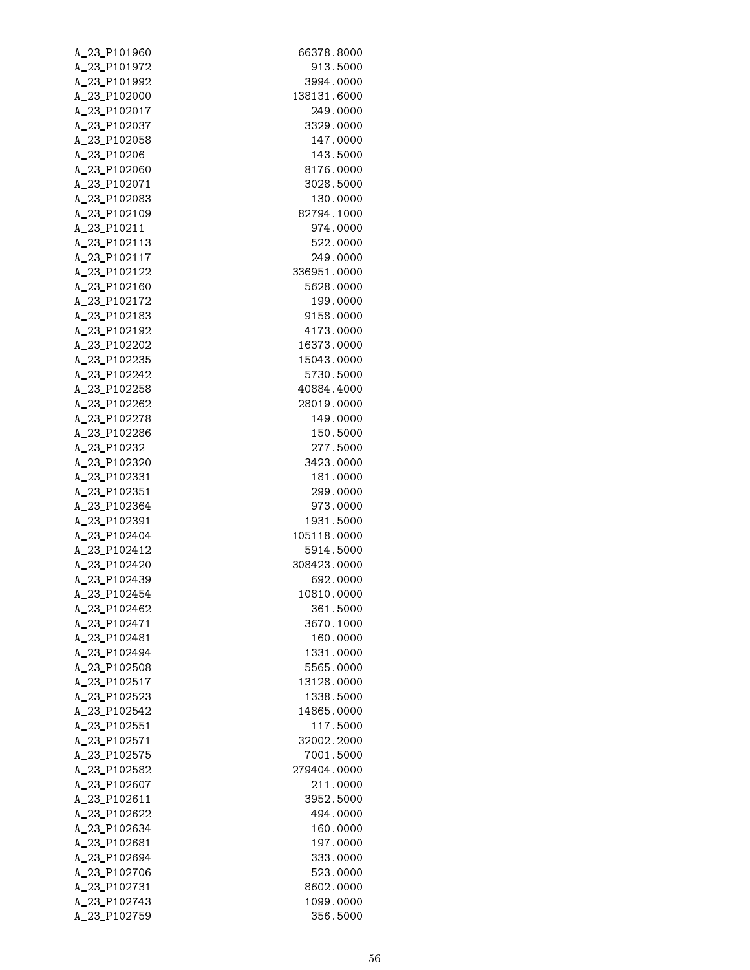| A_23_P101960                | 66378.8000            |
|-----------------------------|-----------------------|
| A_23_P101972                | 913.5000              |
| A_23_P101992                | 3994.0000             |
| A_23_P102000                | 138131.6000           |
| A_23_P102017                | 249.0000              |
| A_23_P102037                | 3329.0000             |
| A_23_P102058                | 147.0000              |
| A_23_P10206                 | 143.5000              |
| A_23_P102060                | 8176.0000             |
| A_23_P102071                | 3028.5000             |
| A_23_P102083                | 130.0000              |
| A_23_P102109                | 82794.1000            |
| A_23_P10211                 | 974.0000              |
| A_23_P102113                | 522.0000              |
| A_23_P102117                | 249.0000              |
| A_23_P102122                | 336951.0000           |
| A_23_P102160                | 5628.0000             |
| A_23_P102172                | 199.0000              |
| A_23_P102183                | 9158.0000             |
| A_23_P102192                | 4173.0000             |
| A_23_P102202                | 16373.0000            |
| A_23_P102235                | 15043.0000            |
| A_23_P102242                | 5730.5000             |
| A_23_P102258                | 40884.4000            |
| A_23_P102262                | 28019.0000            |
| A_23_P102278                | 149.0000              |
| A_23_P102286                | 150.5000              |
| A_23_P10232<br>A_23_P102320 | 277.5000<br>3423.0000 |
| A_23_P102331                | 181.0000              |
| A_23_P102351                | 299.0000              |
| A_23_P102364                | 973.0000              |
| A_23_P102391                | 1931.5000             |
| A_23_P102404                | 105118.0000           |
| A_23_P102412                | 5914.5000             |
| A_23_P102420                | 308423.0000           |
| A_23_P102439                | 692.0000              |
| A_23_P102454                | 10810.0000            |
| A_23_P102462                | 361.5000              |
| A_23_P102471                | 3670.1000             |
| A_23_P102481                | 160.0000              |
| A_23_P102494                | 1331.0000             |
| A_23_P102508                | 5565.0000             |
| A_23_P102517                | 13128.0000            |
| A_23_P102523                | 1338.5000             |
| A_23_P102542                | 14865.0000            |
| A_23_P102551                | 117.5000              |
| A_23_P102571                | 32002.2000            |
| A_23_P102575                | 7001.5000             |
| A_23_P102582                | 279404.0000           |
| A_23_P102607                | 211.0000              |
| A_23_P102611                | 3952.5000             |
| A_23_P102622                | 494.0000              |
| A_23_P102634                | 160.0000              |
| A_23_P102681                | 197.0000              |
| A_23_P102694                | 333.0000              |
| A_23_P102706                | 523.0000              |
| A_23_P102731                | 8602.0000             |
| A_23_P102743                | 1099.0000             |
| A_23_P102759                | 356.5000              |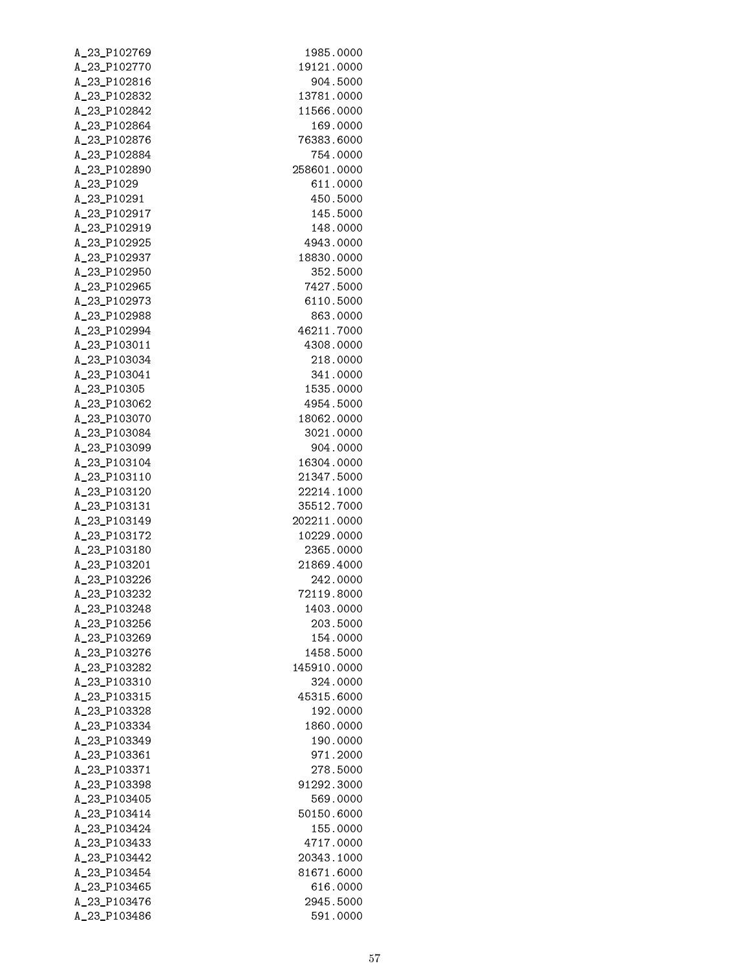| A_23_P102769                 | 1985.0000               |
|------------------------------|-------------------------|
| A_23_P102770                 | 19121.0000              |
| A_23_P102816                 | 904.5000                |
| A_23_P102832                 | 13781.0000              |
| A_23_P102842                 | 11566.0000              |
| A_23_P102864                 | 169.0000                |
| A_23_P102876                 | 76383.6000              |
| A_23_P102884                 | 754.0000                |
| A_23_P102890                 | 258601.0000             |
| A_23_P1029                   | 611.0000                |
| A_23_P10291                  | 450.5000                |
| A_23_P102917                 | 145.5000<br>148.0000    |
| A_23_P102919<br>A_23_P102925 | 4943.0000               |
| A_23_P102937                 | 18830.0000              |
| A_23_P102950                 | 352.5000                |
| A_23_P102965                 | 7427.5000               |
| A_23_P102973                 | 6110.5000               |
| A_23_P102988                 | 863.0000                |
| A_23_P102994                 | 46211.7000              |
| A_23_P103011                 | 4308.0000               |
| A_23_P103034                 | 218.0000                |
| A_23_P103041                 | 341.0000                |
| A_23_P10305                  | 1535.0000               |
| A_23_P103062                 | 4954.5000               |
| A_23_P103070                 | 18062.0000              |
| A_23_P103084                 | 3021.0000               |
| A_23_P103099                 | 904.0000                |
| A_23_P103104                 | 16304.0000              |
| A_23_P103110                 | 21347.5000              |
| A_23_P103120                 | 22214.1000              |
| A_23_P103131                 | 35512.7000              |
| A_23_P103149                 | 202211.0000             |
| A_23_P103172<br>A_23_P103180 | 10229.0000<br>2365.0000 |
| A_23_P103201                 | 21869.4000              |
| A_23_P103226                 | 242.0000                |
| A_23_P103232                 | 72119.8000              |
| A_23_P103248                 | 1403.0000               |
| A_23_P103256                 | 203.5000                |
| A_23_P103269                 | 154.0000                |
| A_23_P103276                 | 1458.5000               |
| A_23_P103282                 | 145910.0000             |
| A_23_P103310                 | 324.0000                |
| A_23_P103315                 | 45315.6000              |
| A_23_P103328                 | 192.0000                |
| A_23_P103334                 | 1860.0000               |
| A_23_P103349                 | 190.0000                |
| A_23_P103361                 | 971.2000                |
| A_23_P103371                 | 278.5000                |
| A_23_P103398                 | 91292.3000              |
| A_23_P103405                 | 569.0000                |
| A_23_P103414                 | 50150.6000              |
| A_23_P103424                 | 155.0000                |
| A_23_P103433<br>A_23_P103442 | 4717.0000<br>20343.1000 |
| A_23_P103454                 | 81671.6000              |
| A_23_P103465                 | 616.0000                |
| A_23_P103476                 | 2945.5000               |
| A_23_P103486                 | 591.0000                |
|                              |                         |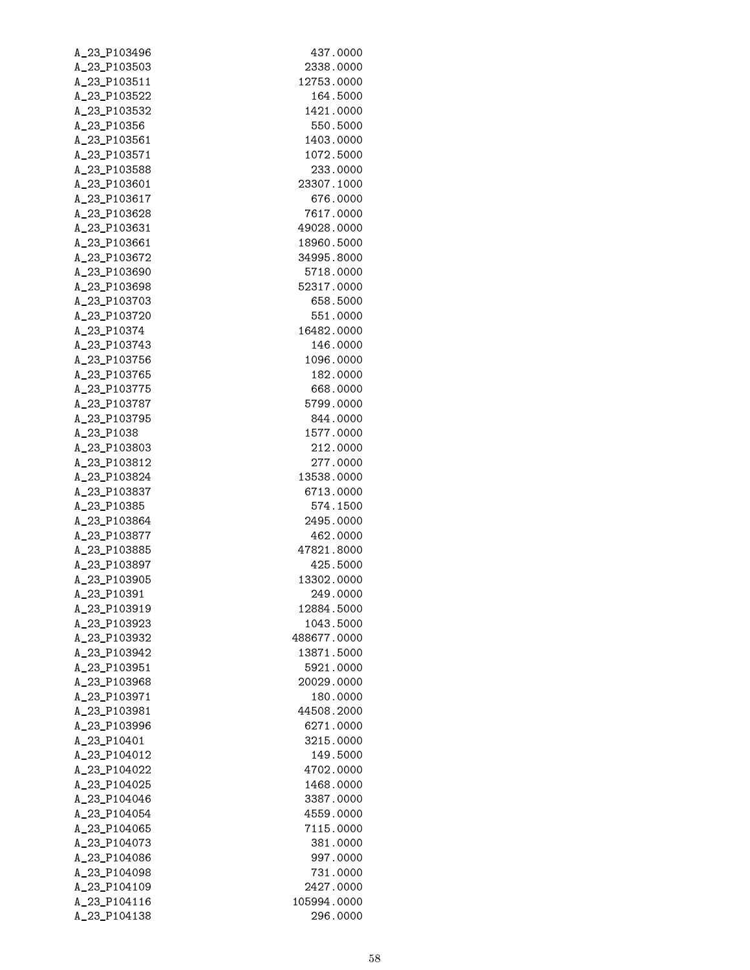| A_23_P103496 | 437.0000    |
|--------------|-------------|
| A_23_P103503 | 2338.0000   |
| A_23_P103511 | 12753.0000  |
| A_23_P103522 | 164.5000    |
| A_23_P103532 | 1421.0000   |
| A_23_P10356  | 550.5000    |
| A_23_P103561 | 1403.0000   |
| A_23_P103571 | 1072.5000   |
| A_23_P103588 | 233.0000    |
| A_23_P103601 | 23307.1000  |
| A_23_P103617 | 676.0000    |
| A_23_P103628 | 7617.0000   |
| A_23_P103631 | 49028.0000  |
| A_23_P103661 | 18960.5000  |
| A_23_P103672 | 34995.8000  |
| A_23_P103690 | 5718.0000   |
| A_23_P103698 | 52317.0000  |
| A_23_P103703 | 658.5000    |
| A_23_P103720 | 551.0000    |
| A_23_P10374  | 16482.0000  |
| A_23_P103743 | 146.0000    |
| A_23_P103756 | 1096.0000   |
| A_23_P103765 | 182.0000    |
| A_23_P103775 | 668.0000    |
| A_23_P103787 | 5799.0000   |
| A_23_P103795 | 844.0000    |
| A_23_P1038   | 1577.0000   |
| A_23_P103803 | 212.0000    |
| A_23_P103812 | 277.0000    |
| A_23_P103824 | 13538.0000  |
| A_23_P103837 | 6713.0000   |
| A_23_P10385  | 574.1500    |
| A_23_P103864 | 2495.0000   |
| A_23_P103877 | 462.0000    |
| A_23_P103885 | 47821.8000  |
| A_23_P103897 | 425.5000    |
| A_23_P103905 | 13302.0000  |
| A 23 P10391  | 249.0000    |
| A_23_P103919 | 12884.5000  |
| A 23 P103923 | 1043.5000   |
| A_23_P103932 | 488677.0000 |
| A_23_P103942 | 13871.5000  |
| A_23_P103951 | 5921.0000   |
| A_23_P103968 | 20029.0000  |
| A_23_P103971 | 180.0000    |
| A_23_P103981 | 44508.2000  |
| A_23_P103996 | 6271.0000   |
| A_23_P10401  | 3215.0000   |
| A 23 P104012 | 149.5000    |
| A_23_P104022 | 4702.0000   |
| A_23_P104025 | 1468.0000   |
| A_23_P104046 | 3387.0000   |
| A_23_P104054 | 4559.0000   |
| A_23_P104065 | 7115.0000   |
| A_23_P104073 | 381.0000    |
| A_23_P104086 | 997.0000    |
| A_23_P104098 | 731.0000    |
| A_23_P104109 | 2427.0000   |
| A_23_P104116 | 105994.0000 |
| A_23_P104138 | 296.0000    |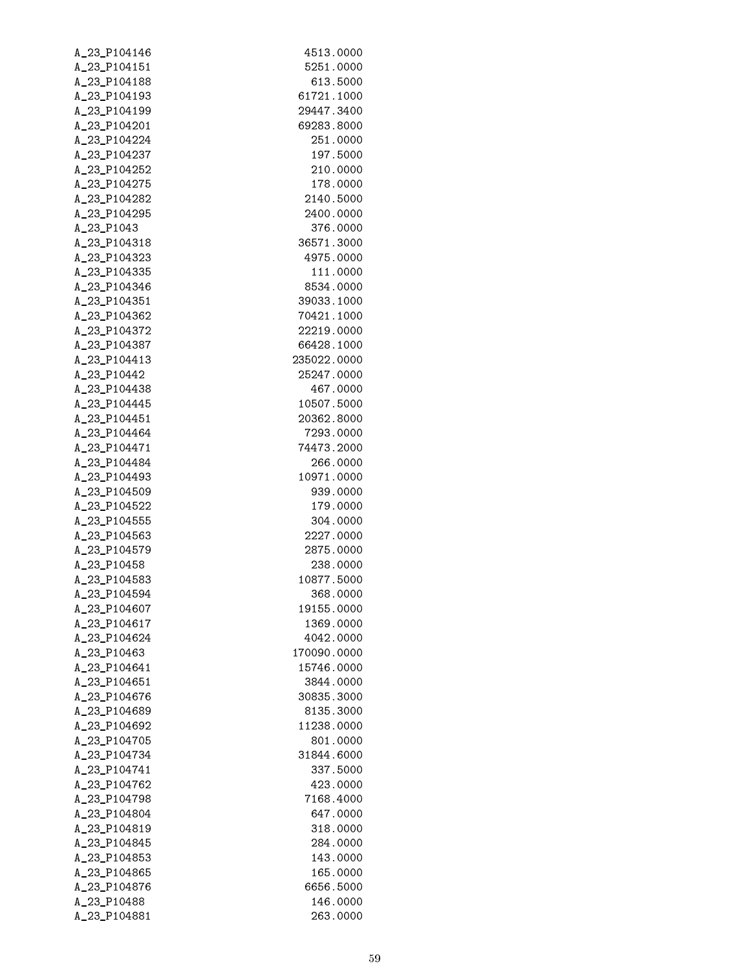| A_23_P104146 | 4513.0000            |
|--------------|----------------------|
| A_23_P104151 | 5251.0000            |
| A_23_P104188 | 613.5000             |
| A_23_P104193 | 61721.1000           |
| A_23_P104199 | 29447.3400           |
| A_23_P104201 | 69283.8000           |
| A_23_P104224 | 251.0000             |
| A_23_P104237 | 197.5000             |
| A_23_P104252 | 210.0000             |
| A_23_P104275 | 178.0000             |
| A_23_P104282 | 2140.5000            |
| A_23_P104295 | 2400.0000            |
| A_23_P1043   | 376.0000             |
| A_23_P104318 | 36571.3000           |
| A_23_P104323 | 4975.0000            |
| A_23_P104335 | 111.0000             |
| A_23_P104346 | 8534.0000            |
| A_23_P104351 | 39033.1000           |
| A_23_P104362 | 70421.1000           |
| A_23_P104372 | 22219.0000           |
| A_23_P104387 | 66428.1000           |
| A_23_P104413 | 235022.0000          |
| A_23_P10442  | 25247.0000           |
| A_23_P104438 | 467.0000             |
| A_23_P104445 | 10507.5000           |
| A_23_P104451 | 20362.8000           |
| A_23_P104464 | 7293.0000            |
| A_23_P104471 | 74473.2000           |
| A_23_P104484 | 266.0000             |
| A_23_P104493 | 10971.0000           |
| A_23_P104509 | 939.0000             |
| A_23_P104522 | 179.0000             |
| A_23_P104555 | 304.0000             |
| A_23_P104563 | 2227.0000            |
| A_23_P104579 | 2875.0000            |
| A_23_P10458  | 238.0000             |
| A_23_P104583 | 10877.5000           |
| A 23 P104594 | 368.0000             |
| A_23_P104607 | 19155.0000           |
| A_23_P104617 | 1369.0000            |
| A_23_P104624 | 4042.0000            |
| A_23_P10463  | 170090.0000          |
| A_23_P104641 | 15746.0000           |
| A_23_P104651 | 3844.0000            |
| A_23_P104676 | 30835.3000           |
| A_23_P104689 | 8135.3000            |
| A_23_P104692 | 11238.0000           |
| A_23_P104705 | 801.0000             |
| A_23_P104734 | 31844.6000           |
| A_23_P104741 | 337.5000             |
| A_23_P104762 | 423.0000             |
| A_23_P104798 | 7168.4000            |
| A_23_P104804 | 647.0000             |
| A_23_P104819 | 318.0000             |
| A_23_P104845 | 284.0000             |
| A_23_P104853 | 143.0000<br>165.0000 |
| A_23_P104865 | 6656.5000            |
| A_23_P104876 | 146.0000             |
| A_23_P10488  |                      |
| A_23_P104881 | 263.0000             |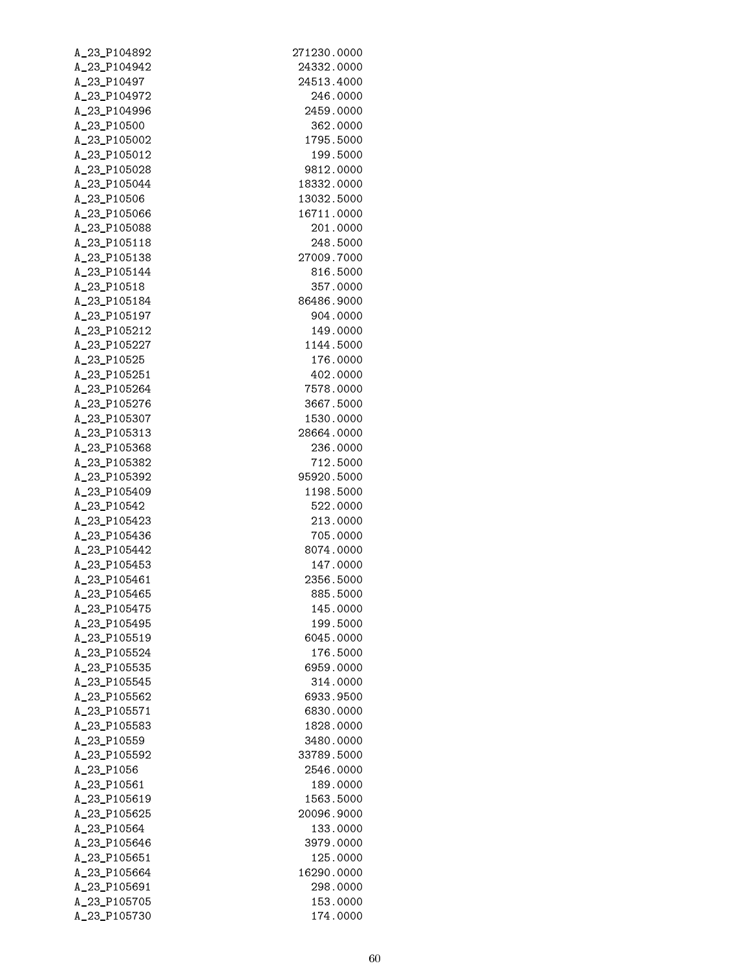| A_23_P104892                 | 271230.0000           |
|------------------------------|-----------------------|
| A_23_P104942                 | 24332.0000            |
| A_23_P10497                  | 24513.4000            |
| A_23_P104972                 | 246.0000              |
| A_23_P104996                 | 2459.0000             |
| A_23_P10500                  | 362.0000              |
| A_23_P105002                 | 1795.5000             |
| A_23_P105012                 | 199.5000              |
| A_23_P105028                 | 9812.0000             |
| A_23_P105044                 | 18332.0000            |
| A_23_P10506                  | 13032.5000            |
| A_23_P105066                 | 16711.0000            |
| A_23_P105088                 | 201.0000              |
| A_23_P105118                 | 248.5000              |
| A_23_P105138                 | 27009.7000            |
| A_23_P105144                 | 816.5000              |
| A_23_P10518                  | 357.0000              |
| A_23_P105184                 | 86486.9000            |
| A_23_P105197                 | 904.0000              |
| A_23_P105212                 | 149.0000              |
| A_23_P105227                 | 1144.5000             |
| A_23_P10525                  | 176.0000              |
| A_23_P105251                 | 402.0000              |
| A_23_P105264                 | 7578.0000             |
| A_23_P105276                 | 3667.5000             |
| A_23_P105307                 | 1530.0000             |
| A_23_P105313                 | 28664.0000            |
| A_23_P105368                 | 236.0000              |
| A_23_P105382                 | 712.5000              |
| A_23_P105392                 | 95920.5000            |
| A_23_P105409                 | 1198.5000             |
| A_23_P10542                  | 522.0000              |
| A_23_P105423                 | 213.0000              |
| A_23_P105436                 | 705.0000              |
| A_23_P105442                 | 8074.0000             |
| A_23_P105453                 | 147.0000              |
| A_23_P105461                 | 2356.5000             |
| A 23 P105465                 | 885.5000              |
| A_23_P105475                 | 145.0000              |
| A_23_P105495                 | 199.5000              |
| A_23_P105519                 | 6045.0000<br>176.5000 |
| A_23_P105524<br>A_23_P105535 | 6959.0000             |
| A_23_P105545                 | 314.0000              |
| A_23_P105562                 | 6933.9500             |
| A_23_P105571                 | 6830.0000             |
| A_23_P105583                 | 1828.0000             |
| A_23_P10559                  | 3480.0000             |
| A_23_P105592                 | 33789.5000            |
| A_23_P1056                   | 2546.0000             |
| A_23_P10561                  | 189.0000              |
| A_23_P105619                 | 1563.5000             |
| A_23_P105625                 | 20096.9000            |
| A_23_P10564                  | 133.0000              |
| A_23_P105646                 | 3979.0000             |
| A_23_P105651                 | 125.0000              |
| A_23_P105664                 | 16290.0000            |
| A_23_P105691                 | 298.0000              |
| A_23_P105705                 | 153.0000              |
| A_23_P105730                 | 174.0000              |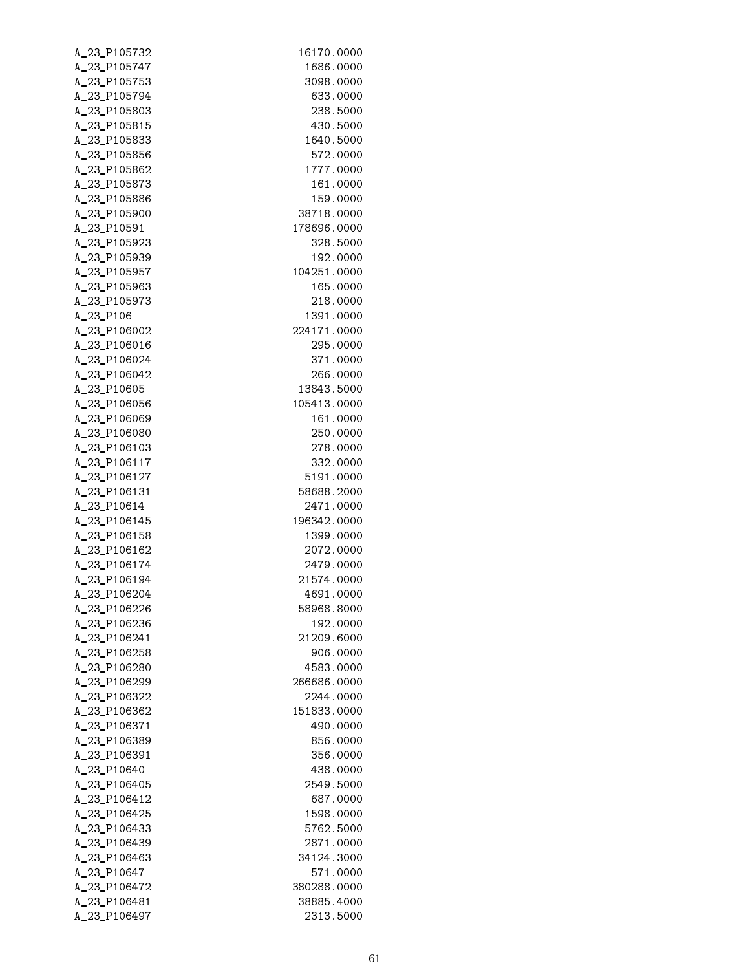| A_23_P105732                 | 16170.0000              |
|------------------------------|-------------------------|
| A_23_P105747                 | 1686.0000               |
| A_23_P105753                 | 3098.0000               |
| A_23_P105794                 | 633.0000                |
| A_23_P105803                 | 238.5000                |
| A_23_P105815                 | 430.5000                |
| A_23_P105833                 | 1640.5000               |
| A_23_P105856                 | 572.0000                |
| A_23_P105862                 | 1777.0000               |
| A_23_P105873                 | 161.0000                |
| A_23_P105886                 | 159.0000                |
| A_23_P105900                 | 38718.0000              |
| A_23_P10591                  | 178696.0000<br>328.5000 |
| A_23_P105923<br>A_23_P105939 | 192.0000                |
| A_23_P105957                 | 104251.0000             |
| A_23_P105963                 | 165.0000                |
| A_23_P105973                 | 218.0000                |
| A_23_P106                    | 1391.0000               |
| A_23_P106002                 | 224171.0000             |
| A_23_P106016                 | 295.0000                |
| A_23_P106024                 | 371.0000                |
| A_23_P106042                 | 266.0000                |
| A_23_P10605                  | 13843.5000              |
| A_23_P106056                 | 105413.0000             |
| A_23_P106069                 | 161.0000                |
| A_23_P106080                 | 250.0000                |
| A_23_P106103                 | 278.0000                |
| A_23_P106117                 | 332.0000                |
| A_23_P106127                 | 5191.0000               |
| A_23_P106131                 | 58688.2000              |
| A_23_P10614                  | 2471.0000               |
| A_23_P106145                 | 196342.0000             |
| A_23_P106158                 | 1399.0000               |
| A_23_P106162                 | 2072.0000               |
| A_23_P106174                 | 2479.0000               |
| A_23_P106194                 | 21574.0000              |
| A_23_P106204                 | 4691.0000               |
| A_23_P106226                 | 58968.8000              |
| A_23_P106236                 | 192.0000                |
| A_23_P106241<br>A_23_P106258 | 21209.6000<br>906.0000  |
| A_23_P106280                 | 4583.0000               |
| A_23_P106299                 | 266686.0000             |
| A_23_P106322                 | 2244.0000               |
| A_23_P106362                 | 151833.0000             |
| A_23_P106371                 | 490.0000                |
| A_23_P106389                 | 856.0000                |
| A_23_P106391                 | 356.0000                |
| A_23_P10640                  | 438.0000                |
| A_23_P106405                 | 2549.5000               |
| A_23_P106412                 | 687.0000                |
| A_23_P106425                 | 1598.0000               |
| A_23_P106433                 | 5762.5000               |
| A_23_P106439                 | 2871.0000               |
| A_23_P106463                 | 34124.3000              |
| A_23_P10647                  | 571.0000                |
| A_23_P106472                 | 380288.0000             |
| A_23_P106481                 | 38885.4000              |
| A_23_P106497                 | 2313.5000               |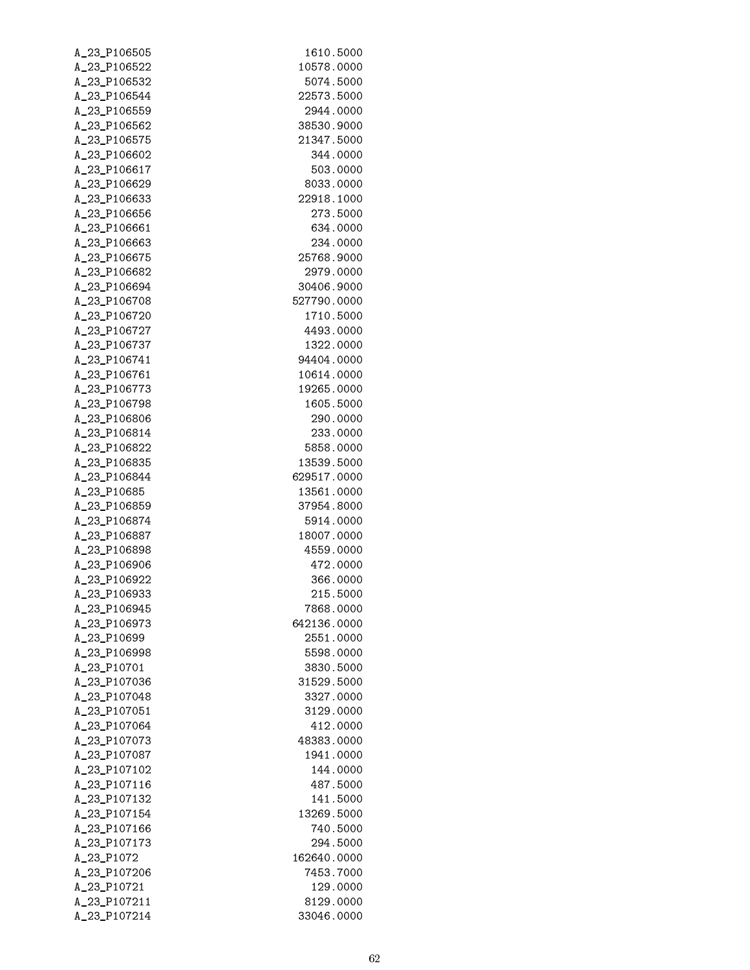| A_23_P106505 | 1610.5000   |
|--------------|-------------|
| A_23_P106522 | 10578.0000  |
| A_23_P106532 | 5074.5000   |
| A_23_P106544 | 22573.5000  |
| A_23_P106559 | 2944.0000   |
| A_23_P106562 | 38530.9000  |
| A_23_P106575 | 21347.5000  |
| A_23_P106602 | 344.0000    |
| A_23_P106617 | 503.0000    |
| A_23_P106629 | 8033.0000   |
| A_23_P106633 | 22918.1000  |
| A_23_P106656 | 273.5000    |
| A_23_P106661 | 634.0000    |
| A_23_P106663 | 234.0000    |
| A_23_P106675 | 25768.9000  |
| A_23_P106682 | 2979.0000   |
| A 23 P106694 | 30406.9000  |
| A_23_P106708 | 527790.0000 |
| A_23_P106720 | 1710.5000   |
| A_23_P106727 | 4493.0000   |
| A_23_P106737 | 1322.0000   |
| A_23_P106741 | 94404.0000  |
| A_23_P106761 | 10614.0000  |
| A_23_P106773 | 19265.0000  |
| A_23_P106798 | 1605.5000   |
| A_23_P106806 | 290.0000    |
| A_23_P106814 | 233.0000    |
| A_23_P106822 | 5858.0000   |
| A_23_P106835 | 13539.5000  |
| A_23_P106844 | 629517.0000 |
| A_23_P10685  | 13561.0000  |
| A_23_P106859 | 37954.8000  |
| A_23_P106874 | 5914.0000   |
| A_23_P106887 | 18007.0000  |
| A 23 P106898 | 4559.0000   |
| A_23_P106906 | 472.0000    |
| A_23_P106922 | 366.0000    |
| A_23_P106933 | 215.5000    |
| A_23_P106945 | 7868.0000   |
| A_23_P106973 | 642136.0000 |
| A_23_P10699  | 2551.0000   |
| A_23_P106998 | 5598.0000   |
| A_23_P10701  | 3830.5000   |
| A_23_P107036 | 31529.5000  |
| A_23_P107048 | 3327.0000   |
| A_23_P107051 | 3129.0000   |
| A_23_P107064 | 412.0000    |
| A_23_P107073 | 48383.0000  |
| A_23_P107087 | 1941.0000   |
| A_23_P107102 | 144.0000    |
| A_23_P107116 | 487.5000    |
| A_23_P107132 | 141.5000    |
| A_23_P107154 | 13269.5000  |
| A_23_P107166 | 740.5000    |
| A_23_P107173 | 294.5000    |
| A_23_P1072   | 162640.0000 |
| A_23_P107206 | 7453.7000   |
| A_23_P10721  | 129.0000    |
| A_23_P107211 | 8129.0000   |
| A_23_P107214 | 33046.0000  |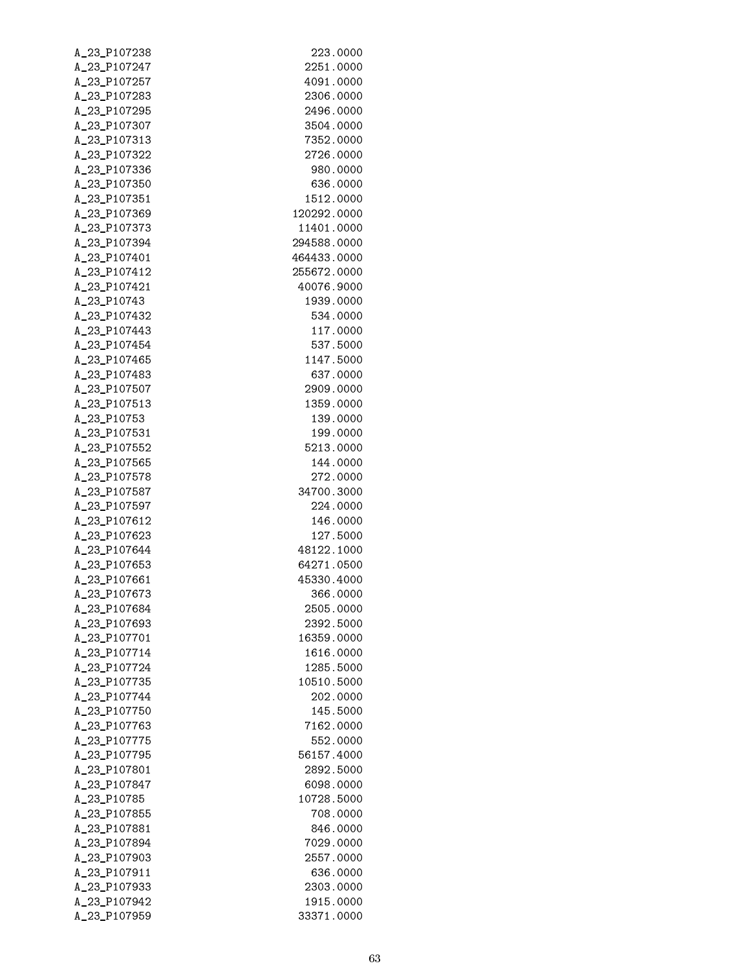| A_23_P107238                 | 223.0000              |
|------------------------------|-----------------------|
| A_23_P107247                 | 2251.0000             |
| A_23_P107257                 | 4091.0000             |
| A_23_P107283                 | 2306.0000             |
| A_23_P107295                 | 2496.0000             |
| A_23_P107307                 | 3504.0000             |
| A_23_P107313                 | 7352.0000             |
| A_23_P107322                 | 2726.0000             |
| A_23_P107336                 | 980.0000              |
| A_23_P107350                 | 636.0000              |
| A_23_P107351                 | 1512.0000             |
| A_23_P107369                 | 120292.0000           |
| A_23_P107373                 | 11401.0000            |
| A_23_P107394                 | 294588.0000           |
| A_23_P107401                 | 464433.0000           |
| A_23_P107412                 | 255672.0000           |
| A_23_P107421                 | 40076.9000            |
| A_23_P10743                  | 1939.0000             |
| A_23_P107432                 | 534.0000              |
| A_23_P107443                 | 117.0000              |
| A_23_P107454                 | 537.5000              |
| A_23_P107465                 | 1147.5000             |
| A_23_P107483                 | 637.0000              |
| A_23_P107507                 | 2909.0000             |
| A_23_P107513                 | 1359.0000             |
| A_23_P10753                  | 139.0000              |
| A_23_P107531<br>A_23_P107552 | 199.0000              |
| A_23_P107565                 | 5213.0000<br>144.0000 |
| A_23_P107578                 | 272.0000              |
| A_23_P107587                 | 34700.3000            |
| A_23_P107597                 | 224.0000              |
| A_23_P107612                 | 146.0000              |
| A_23_P107623                 | 127.5000              |
| A_23_P107644                 | 48122.1000            |
| A_23_P107653                 | 64271.0500            |
| A_23_P107661                 | 45330.4000            |
| A_23_P107673                 | 366.0000              |
| A_23_P107684                 | 2505.0000             |
| A_23_P107693                 | 2392.5000             |
| A_23_P107701                 | 16359.0000            |
| A 23 P107714                 | 1616.0000             |
| A 23 P107724                 | 1285.5000             |
| A_23_P107735                 | 10510.5000            |
| A_23_P107744                 | 202.0000              |
| A_23_P107750                 | 145.5000              |
| A_23_P107763                 | 7162.0000             |
| A_23_P107775                 | 552.0000              |
| A_23_P107795                 | 56157.4000            |
| A_23_P107801                 | 2892.5000             |
| A_23_P107847                 | 6098.0000             |
| A_23_P10785                  | 10728.5000            |
| A_23_P107855                 | 708.0000              |
| A_23_P107881                 | 846.0000              |
| A_23_P107894                 | 7029.0000             |
| A_23_P107903                 | 2557.0000             |
| A_23_P107911                 | 636.0000              |
| A_23_P107933                 | 2303.0000             |
| A_23_P107942                 | 1915.0000             |
| A_23_P107959                 | 33371.0000            |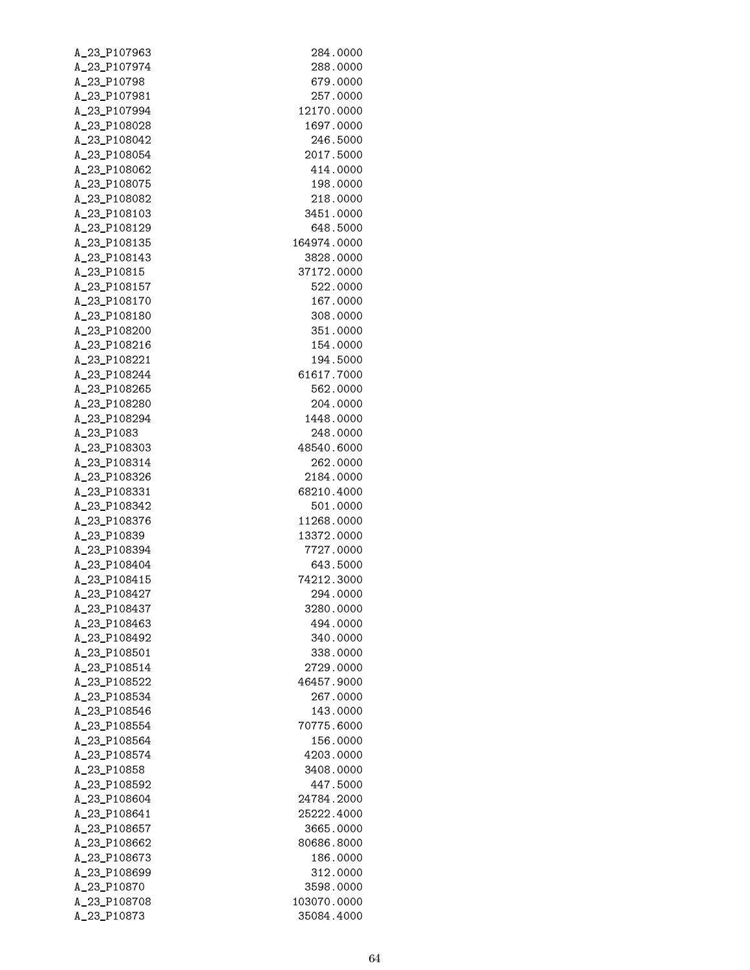| A_23_P107963                 | 284.0000               |
|------------------------------|------------------------|
| A_23_P107974                 | 288.0000               |
| A_23_P10798                  | 679.0000               |
| A_23_P107981                 | 257.0000               |
| A_23_P107994                 | 12170.0000             |
| A_23_P108028                 | 1697.0000              |
| A_23_P108042                 | 246.5000               |
| A_23_P108054                 | 2017.5000              |
| A_23_P108062                 | 414.0000               |
| A_23_P108075                 | 198.0000               |
| A_23_P108082                 | 218.0000               |
| A_23_P108103                 | 3451.0000              |
| A_23_P108129                 | 648.5000               |
| A_23_P108135                 | 164974.0000            |
| A_23_P108143                 | 3828.0000              |
| A_23_P10815                  | 37172.0000             |
| A_23_P108157                 | 522.0000               |
| A_23_P108170<br>A_23_P108180 | 167.0000               |
| A_23_P108200                 | 308.0000               |
| A_23_P108216                 | 351.0000               |
| A_23_P108221                 | 154.0000               |
| A_23_P108244                 | 194.5000<br>61617.7000 |
| A_23_P108265                 | 562.0000               |
| A_23_P108280                 | 204.0000               |
| A_23_P108294                 | 1448.0000              |
| A_23_P1083                   | 248.0000               |
| A_23_P108303                 | 48540.6000             |
| A_23_P108314                 | 262.0000               |
| A_23_P108326                 | 2184.0000              |
| A_23_P108331                 | 68210.4000             |
| A_23_P108342                 | 501.0000               |
| A_23_P108376                 | 11268.0000             |
| A_23_P10839                  | 13372.0000             |
| A_23_P108394                 | 7727.0000              |
| A_23_P108404                 | 643.5000               |
| A_23_P108415                 | 74212.3000             |
| A_23_P108427                 | 294.0000               |
| A 23 P108437                 | 3280.0000              |
| A_23_P108463                 | 494.0000               |
| A_23_P108492                 | 340.0000               |
| A_23_P108501                 | 338.0000               |
| A_23_P108514                 | 2729.0000              |
| A_23_P108522                 | 46457.9000             |
| A_23_P108534                 | 267.0000               |
| A_23_P108546                 | 143.0000               |
| A_23_P108554                 | 70775.6000             |
| A_23_P108564                 | 156.0000               |
| A_23_P108574                 | 4203.0000              |
| A_23_P10858                  | 3408.0000              |
| A_23_P108592                 | 447.5000               |
| A_23_P108604                 | 24784.2000             |
| A_23_P108641                 | 25222.4000             |
| A_23_P108657                 | 3665.0000              |
| A_23_P108662                 | 80686.8000             |
| A_23_P108673                 | 186.0000               |
| A_23_P108699                 | 312.0000               |
| A_23_P10870                  | 3598.0000              |
| A_23_P108708                 | 103070.0000            |
| A_23_P10873                  | 35084.4000             |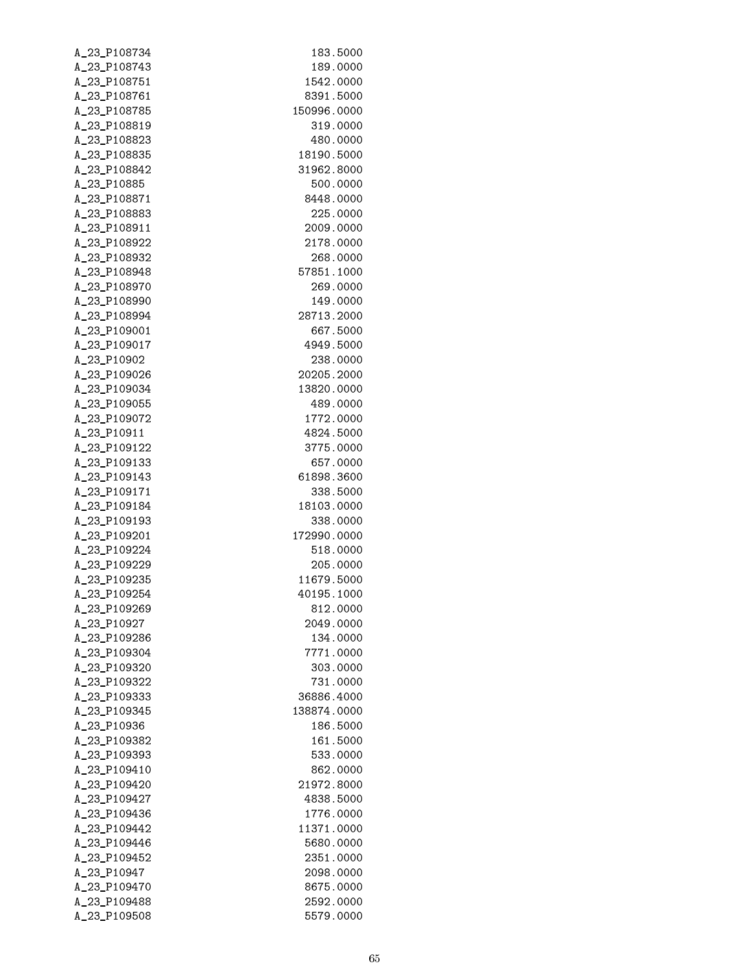| A_23_P108734                 | 183.5000                |
|------------------------------|-------------------------|
| A_23_P108743                 | 189.0000                |
| A_23_P108751                 | 1542.0000               |
| A_23_P108761                 | 8391.5000               |
| A_23_P108785                 | 150996.0000             |
| A_23_P108819                 | 319.0000                |
| A_23_P108823                 | 480.0000                |
| A_23_P108835                 | 18190.5000              |
| A_23_P108842                 | 31962.8000              |
| A_23_P10885                  | 500.0000<br>8448.0000   |
| A_23_P108871<br>A_23_P108883 | 225.0000                |
| A_23_P108911                 | 2009.0000               |
| A_23_P108922                 | 2178.0000               |
| A_23_P108932                 | 268.0000                |
| A_23_P108948                 | 57851.1000              |
| A_23_P108970                 | 269.0000                |
| A_23_P108990                 | 149.0000                |
| A_23_P108994                 | 28713.2000              |
| A_23_P109001                 | 667.5000                |
| A_23_P109017                 | 4949.5000               |
| A_23_P10902                  | 238.0000                |
| A_23_P109026                 | 20205.2000              |
| A_23_P109034                 | 13820.0000              |
| A_23_P109055                 | 489.0000                |
| A_23_P109072                 | 1772.0000               |
| A_23_P10911                  | 4824.5000               |
| A_23_P109122                 | 3775.0000               |
| A_23_P109133                 | 657.0000                |
| A_23_P109143                 | 61898.3600              |
| A_23_P109171                 | 338.5000                |
| A_23_P109184                 | 18103.0000              |
| A_23_P109193<br>A_23_P109201 | 338.0000<br>172990.0000 |
| A_23_P109224                 | 518.0000                |
| A_23_P109229                 | 205.0000                |
| A_23_P109235                 | 11679.5000              |
| A_23_P109254                 | 40195.1000              |
| A_23_P109269                 | 812.0000                |
| A_23_P10927                  | 2049.0000               |
| A_23_P109286                 | 134.0000                |
| A_23_P109304                 | 7771.0000               |
| A_23_P109320                 | 303,0000                |
| A_23_P109322                 | 731.0000                |
| A_23_P109333                 | 36886.4000              |
| A_23_P109345                 | 138874.0000             |
| A_23_P10936                  | 186.5000                |
| A_23_P109382                 | 161.5000                |
| A_23_P109393                 | 533.0000                |
| A_23_P109410                 | 862.0000                |
| A_23_P109420                 | 21972.8000              |
| A_23_P109427                 | 4838.5000               |
| A_23_P109436<br>A_23_P109442 | 1776.0000<br>11371.0000 |
| A_23_P109446                 | 5680.0000               |
| A_23_P109452                 | 2351.0000               |
| A_23_P10947                  | 2098.0000               |
| A_23_P109470                 | 8675.0000               |
| A_23_P109488                 | 2592.0000               |
| A_23_P109508                 | 5579.0000               |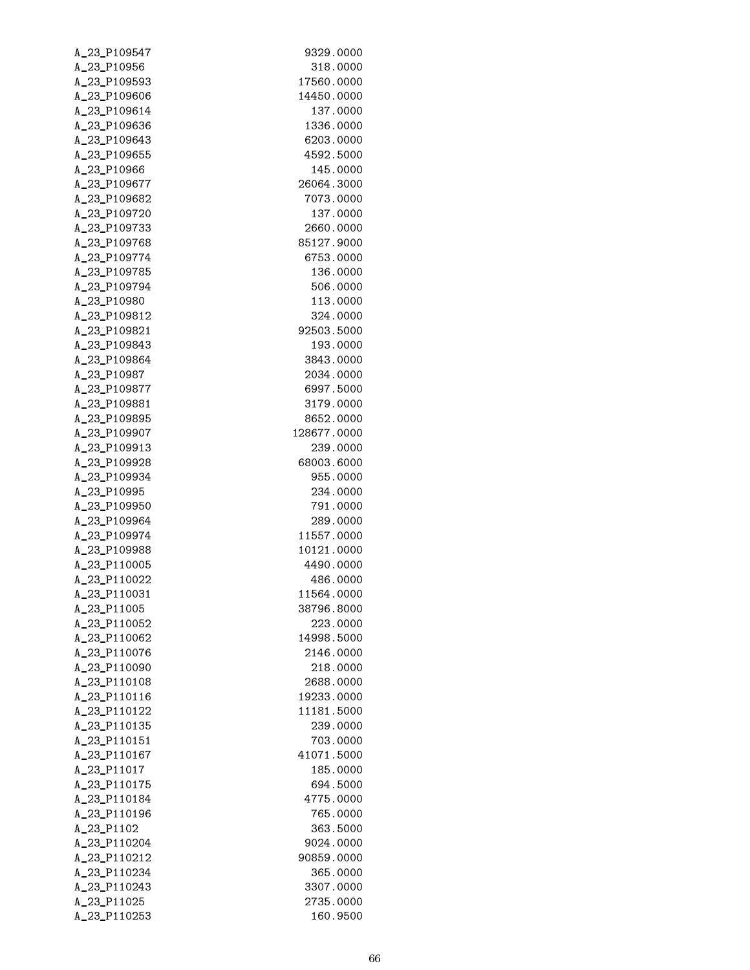| A_23_P109547                 | 9329.0000              |
|------------------------------|------------------------|
| A_23_P10956                  | 318.0000               |
| A_23_P109593                 | 17560.0000             |
| A_23_P109606                 | 14450.0000             |
| A_23_P109614                 | 137.0000               |
| A_23_P109636                 | 1336.0000              |
| A_23_P109643                 | 6203.0000              |
| A_23_P109655                 | 4592.5000              |
| A_23_P10966                  | 145.0000               |
| A_23_P109677                 | 26064.3000             |
| A_23_P109682                 | 7073.0000              |
| A_23_P109720                 | 137.0000               |
| A_23_P109733                 | 2660.0000              |
| A_23_P109768                 | 85127.9000             |
| A_23_P109774                 | 6753.0000              |
| A_23_P109785                 | 136.0000               |
| A_23_P109794                 | 506.0000               |
| A_23_P10980                  | 113.0000               |
| A_23_P109812                 | 324.0000               |
| A_23_P109821                 | 92503.5000             |
| A_23_P109843                 | 193.0000               |
| A_23_P109864                 | 3843.0000              |
| A_23_P10987                  | 2034.0000              |
| A_23_P109877                 | 6997.5000              |
| A_23_P109881<br>A_23_P109895 | 3179.0000<br>8652.0000 |
| A_23_P109907                 | 128677.0000            |
| A_23_P109913                 | 239.0000               |
| A_23_P109928                 | 68003.6000             |
| A_23_P109934                 | 955.0000               |
| A_23_P10995                  | 234.0000               |
| A_23_P109950                 | 791.0000               |
| A_23_P109964                 | 289.0000               |
| A_23_P109974                 | 11557.0000             |
| A_23_P109988                 | 10121.0000             |
| A_23_P110005                 | 4490.0000              |
| A_23_P110022                 | 486.0000               |
| A_23_P110031                 | 11564.0000             |
| A_23_P11005                  | 38796.8000             |
| A_23_P110052                 | 223,0000               |
| A_23_P110062                 | 14998.5000             |
| A_23_P110076                 | 2146.0000              |
| A_23_P110090                 | 218.0000               |
| A_23_P110108                 | 2688.0000              |
| A_23_P110116                 | 19233.0000             |
| A_23_P110122                 | 11181.5000             |
| A_23_P110135                 | 239.0000               |
| A_23_P110151                 | 703.0000               |
| A_23_P110167                 | 41071.5000             |
| A_23_P11017                  | 185.0000               |
| A_23_P110175                 | 694.5000               |
| A_23_P110184                 | 4775.0000              |
| A_23_P110196                 | 765.0000               |
| A_23_P1102                   | 363.5000               |
| A_23_P110204                 | 9024.0000              |
| A_23_P110212                 | 90859.0000             |
| A_23_P110234                 | 365.0000               |
| A_23_P110243                 | 3307.0000              |
| A_23_P11025                  | 2735.0000              |
| A_23_P110253                 | 160.9500               |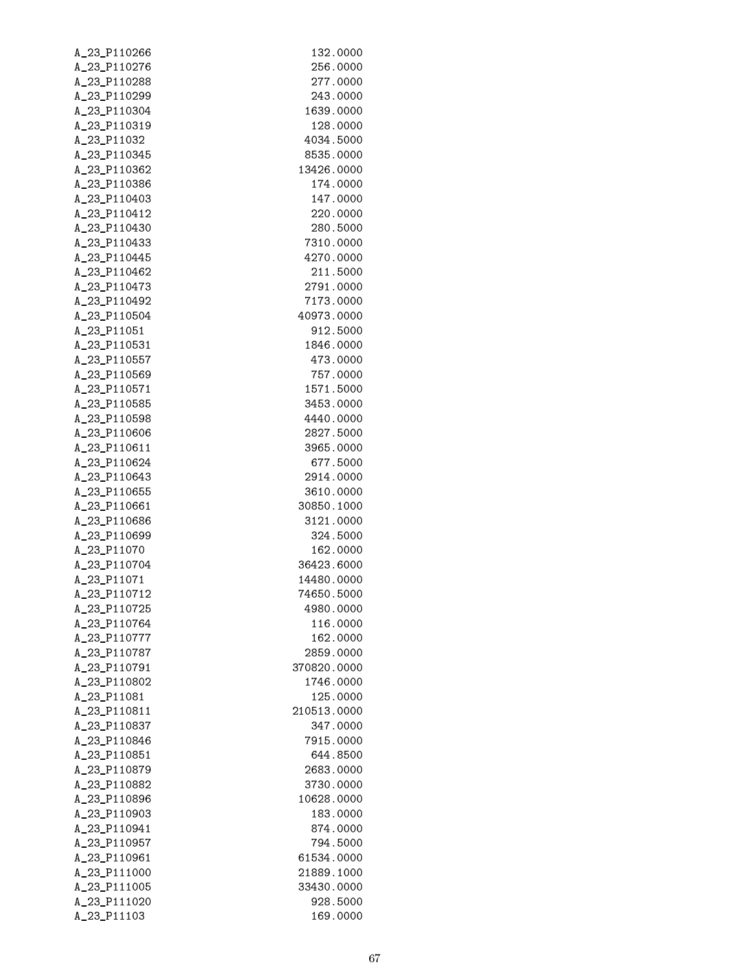| A_23_P110266                 | 132.0000              |
|------------------------------|-----------------------|
| A_23_P110276                 | 256.0000              |
| A_23_P110288                 | 277.0000              |
| A_23_P110299                 | 243.0000              |
| A_23_P110304                 | 1639.0000             |
| A_23_P110319                 | 128.0000              |
| A_23_P11032                  | 4034.5000             |
| A_23_P110345                 | 8535.0000             |
| A_23_P110362                 | 13426.0000            |
| A_23_P110386                 | 174.0000              |
| A_23_P110403                 | 147.0000              |
| A_23_P110412                 | 220.0000              |
| A_23_P110430                 | 280.5000              |
| A_23_P110433                 | 7310.0000             |
| A_23_P110445                 | 4270.0000             |
| A_23_P110462                 | 211.5000              |
| A_23_P110473                 | 2791.0000             |
| A_23_P110492<br>A_23_P110504 | 7173.0000             |
| A_23_P11051                  | 40973.0000            |
| A_23_P110531                 | 912.5000<br>1846.0000 |
| A_23_P110557                 | 473.0000              |
| A_23_P110569                 | 757.0000              |
| A_23_P110571                 | 1571.5000             |
| A_23_P110585                 | 3453.0000             |
| A_23_P110598                 | 4440.0000             |
| A_23_P110606                 | 2827.5000             |
| A_23_P110611                 | 3965.0000             |
| A_23_P110624                 | 677.5000              |
| A_23_P110643                 | 2914.0000             |
| A_23_P110655                 | 3610.0000             |
| A_23_P110661                 | 30850.1000            |
| A_23_P110686                 | 3121.0000             |
| A_23_P110699                 | 324.5000              |
| A_23_P11070                  | 162.0000              |
| A_23_P110704                 | 36423.6000            |
| A_23_P11071                  | 14480.0000            |
| A_23_P110712                 | 74650.5000            |
| A_23_P110725                 | 4980.0000             |
| A_23_P110764                 | 116.0000              |
| A 23 P110777                 | 162.0000              |
| A 23 P110787                 | 2859.0000             |
| A 23 P110791                 | 370820.0000           |
| A_23_P110802                 | 1746.0000             |
| A_23_P11081                  | 125.0000              |
| A_23_P110811                 | 210513.0000           |
| A_23_P110837                 | 347.0000              |
| A_23_P110846                 | 7915.0000             |
| A_23_P110851                 | 644.8500              |
| A_23_P110879                 | 2683.0000             |
| A_23_P110882                 | 3730.0000             |
| A_23_P110896                 | 10628.0000            |
| A_23_P110903                 | 183.0000              |
| A_23_P110941                 | 874.0000              |
| A_23_P110957                 | 794.5000              |
| A_23_P110961                 | 61534.0000            |
| A_23_P111000                 | 21889.1000            |
| A_23_P111005                 | 33430.0000            |
| A_23_P111020                 | 928.5000              |
| A_23_P11103                  | 169.0000              |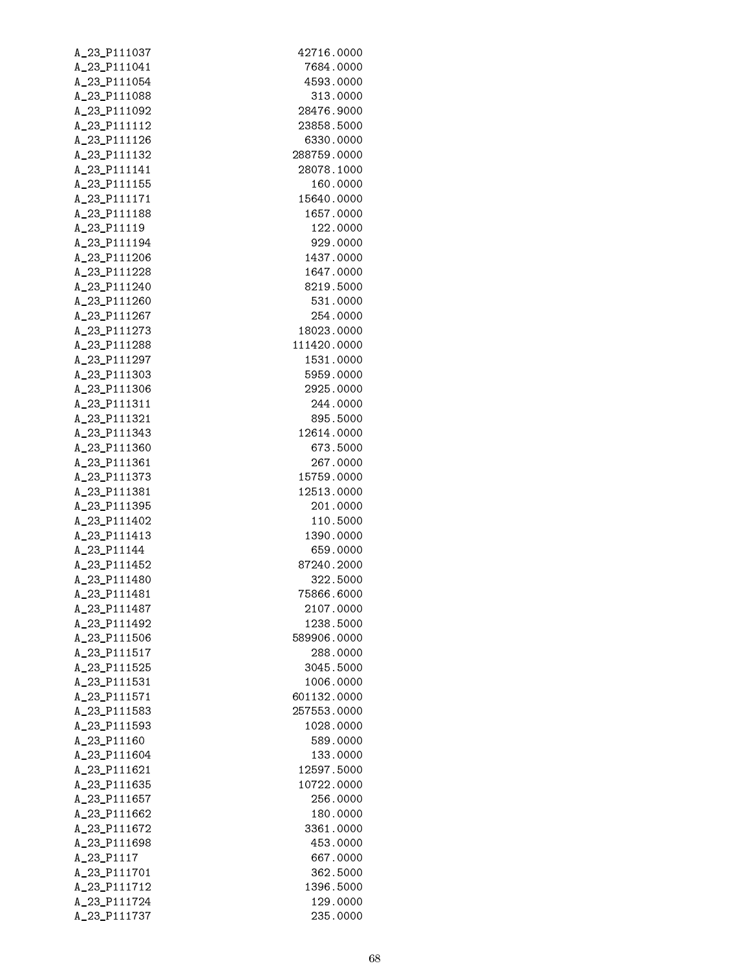| A_23_P111037                 | 42716.0000                 |
|------------------------------|----------------------------|
| A_23_P111041                 | 7684.0000                  |
| A_23_P111054                 | 4593.0000                  |
| A_23_P111088                 | 313.0000                   |
| A_23_P111092                 | 28476.9000                 |
| A_23_P111112                 | 23858.5000                 |
| A_23_P111126                 | 6330.0000                  |
| A_23_P111132                 | 288759.0000                |
| A_23_P111141                 | 28078.1000                 |
| A_23_P111155                 | 160.0000                   |
| A_23_P111171                 | 15640.0000                 |
| A_23_P111188                 | 1657.0000                  |
| A_23_P11119                  | 122.0000                   |
| A_23_P111194                 | 929.0000                   |
| A_23_P111206                 | 1437.0000                  |
| A_23_P111228                 | 1647.0000                  |
| A_23_P111240                 | 8219.5000                  |
| A_23_P111260                 | 531.0000                   |
| A_23_P111267                 | 254.0000                   |
| A_23_P111273                 | 18023.0000                 |
| A_23_P111288                 | 111420.0000                |
| A_23_P111297                 | 1531.0000                  |
| A_23_P111303                 | 5959.0000                  |
| A_23_P111306                 | 2925.0000                  |
| A_23_P111311                 | 244.0000                   |
| A_23_P111321                 | 895.5000                   |
| A_23_P111343                 | 12614.0000                 |
| A_23_P111360                 | 673.5000                   |
| A_23_P111361                 | 267.0000                   |
| A_23_P111373                 | 15759.0000                 |
| A_23_P111381                 | 12513.0000                 |
| A_23_P111395                 | 201.0000                   |
| A_23_P111402                 | 110.5000                   |
| A_23_P111413                 | 1390.0000                  |
| A_23_P11144                  | 659.0000                   |
| A_23_P111452                 | 87240.2000                 |
| A_23_P111480                 | 322.5000                   |
| A_23_P111481                 | 75866.6000                 |
| A_23_P111487                 | 2107.0000                  |
| A_23_P111492                 | 1238.5000                  |
| A_23_P111506                 | 589906.0000                |
| A_23_P111517                 | 288.0000                   |
| A_23_P111525                 | 3045.5000                  |
| A_23_P111531<br>A_23_P111571 | 1006.0000                  |
| A_23_P111583                 | 601132.0000<br>257553.0000 |
|                              | 1028.0000                  |
| A_23_P111593                 |                            |
| A_23_P11160<br>A_23_P111604  | 589.0000                   |
| A_23_P111621                 | 133.0000<br>12597.5000     |
|                              |                            |
| A_23_P111635<br>A_23_P111657 | 10722.0000<br>256.0000     |
| A_23_P111662                 | 180.0000                   |
| A_23_P111672                 | 3361.0000                  |
| A_23_P111698                 | 453.0000                   |
| A_23_P1117                   | 667.0000                   |
| A_23_P111701                 | 362.5000                   |
| A_23_P111712                 | 1396.5000                  |
| A_23_P111724                 | 129.0000                   |
| A_23_P111737                 | 235.0000                   |
|                              |                            |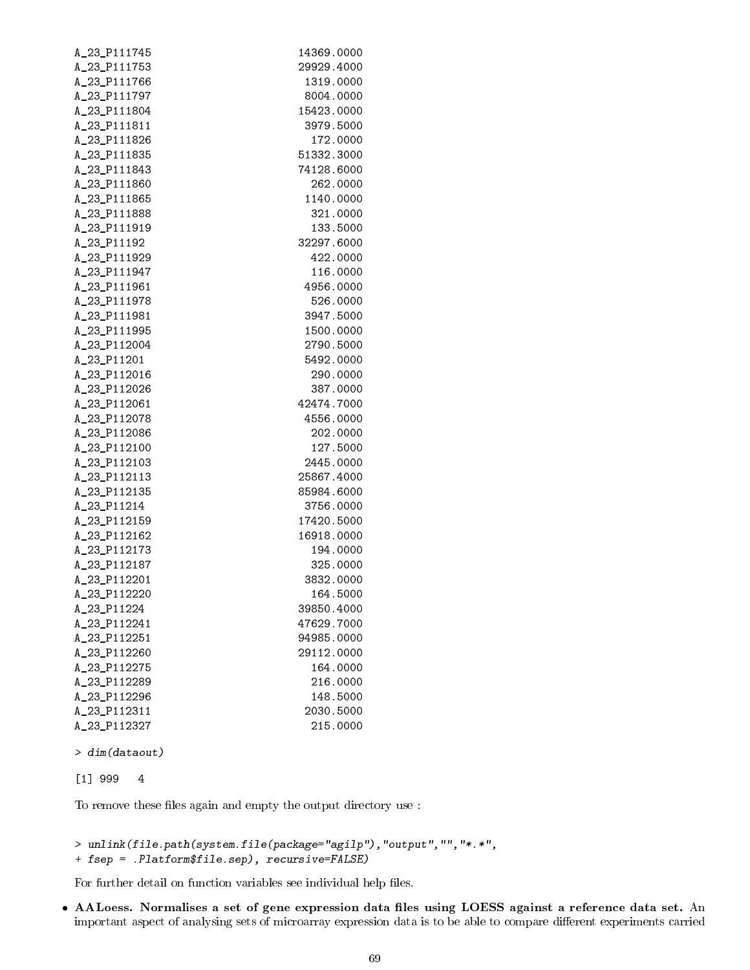| A_23_P111745 | 14369.0000 |
|--------------|------------|
| A_23_P111753 | 29929.4000 |
| A_23_P111766 | 1319.0000  |
| A_23_P111797 | 8004.0000  |
| A_23_P111804 | 15423.0000 |
| A_23_P111811 | 3979.5000  |
| A_23_P111826 | 172.0000   |
| A_23_P111835 | 51332.3000 |
| A_23_P111843 | 74128.6000 |
| A_23_P111860 | 262.0000   |
| A_23_P111865 | 1140.0000  |
| A_23_P111888 | 321.0000   |
| A_23_P111919 | 133.5000   |
| A_23_P11192  | 32297.6000 |
| A_23_P111929 | 422.0000   |
| A_23_P111947 | 116.0000   |
| A_23_P111961 | 4956.0000  |
| A_23_P111978 | 526.0000   |
| A_23_P111981 | 3947.5000  |
| A_23_P111995 | 1500.0000  |
| A_23_P112004 | 2790.5000  |
| A_23_P11201  | 5492.0000  |
| A_23_P112016 | 290.0000   |
| A_23_P112026 | 387.0000   |
| A_23_P112061 | 42474.7000 |
| A_23_P112078 | 4556.0000  |
| A_23_P112086 | 202.0000   |
| A_23_P112100 | 127.5000   |
| A_23_P112103 | 2445.0000  |
| A_23_P112113 | 25867.4000 |
| A_23_P112135 | 85984.6000 |
| A_23_P11214  | 3756.0000  |
| A_23_P112159 | 17420.5000 |
| A_23_P112162 | 16918.0000 |
| A_23_P112173 | 194.0000   |
| A_23_P112187 | 325.0000   |
| A_23_P112201 | 3832.0000  |
| A 23 P112220 | 164.5000   |
| A_23_P11224  | 39850.4000 |
| A_23_P112241 | 47629.7000 |
|              | 94985.0000 |
| A_23_P112251 |            |
| A_23_P112260 | 29112.0000 |
| A_23_P112275 | 164.0000   |
| A_23_P112289 | 216.0000   |
| A_23_P112296 | 148.5000   |
| A_23_P112311 | 2030.5000  |
| A_23_P112327 | 215.0000   |

> dim(dataout)

```
[1] 999 4
```
To remove these files again and empty the output directory use :

```
> unlink(file.path(system.file(package="agilp"),"output","","*.*",
+ fsep = .Platform$file.sep), recursive=FALSE)
```
For further detail on function variables see individual help files.  $\;$ 

• AALoess. Normalises a set of gene expression data files using LOESS against a reference data set. An important aspect of analysing sets of microarray expression data is to be able to compare different experiments carried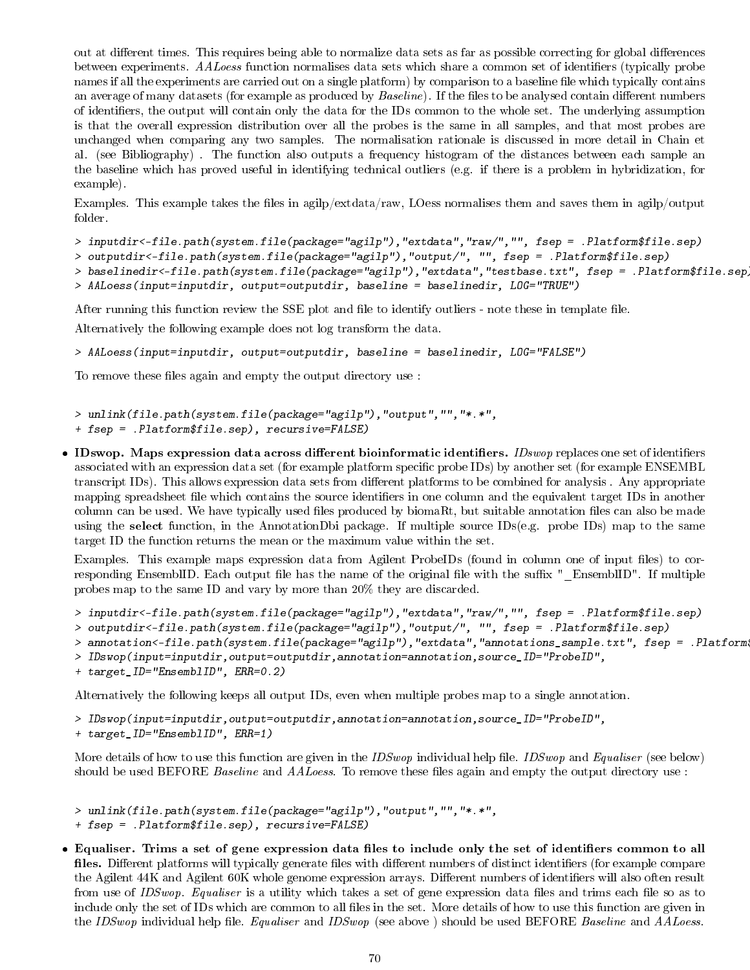out at different times. This requires being able to normalize data sets as far as possible correcting for global differences between experiments. AALoess function normalises data sets which share a common set of identifiers (typically probe names if all the experiments are carried out on a single platform) by comparison to a baseline file which typically contains an average of many datasets (for example as produced by  $Baseline$ ). If the files to be analysed contain different numbers of identiers, the output will contain only the data for the IDs common to the whole set. The underlying assumption is that the overall expression distribution over all the probes is the same in all samples, and that most probes are unchanged when comparing any two samples. The normalisation rationale is discussed in more detail in Chain et al. (see Bibliography) . The function also outputs a frequency histogram of the distances between each sample an the baseline which has proved useful in identifying technical outliers (e.g. if there is a problem in hybridization, for example).

Examples. This example takes the files in agilp/extdata/raw, LOess normalises them and saves them in agilp/output folder.

> inputdir<-file.path(system.file(package="agilp"),"extdata","raw/","", fsep = .Platform\$file.sep)

> outputdir<-file.path(system.file(package="agilp"),"output/", "", fsep = .Platform\$file.sep)

> baselinedir<-file.path(system.file(package="agilp"),"extdata","testbase.txt", fsep = .Platform\$file.sep)

```
> AALoess(input=inputdir, output=outputdir, baseline = baselinedir, LOG="TRUE")
```
After running this function review the SSE plot and file to identify outliers - note these in template file.

Alternatively the following example does not log transform the data.

> AALoess(input=inputdir, output=outputdir, baseline = baselinedir, LOG="FALSE")

To remove these files again and empty the output directory use :

```
> unlink(file.path(system.file(package="agilp"),"output","","*.*",
```
- + fsep = .Platform\$file.sep), recursive=FALSE)
- $\bullet$  IDswop. Maps expression data across different bioinformatic identifiers. *IDswop* replaces one set of identifiers associated with an expression data set (for example platform specific probe IDs) by another set (for example ENSEMBL transcript IDs). This allows expression data sets from different platforms to be combined for analysis. Any appropriate mapping spreadsheet file which contains the source identifiers in one column and the equivalent target IDs in another column can be used. We have typically used files produced by biomaRt, but suitable annotation files can also be made using the select function, in the AnnotationDbi package. If multiple source IDs(e.g. probe IDs) map to the same target ID the function returns the mean or the maximum value within the set.

Examples. This example maps expression data from Agilent ProbeIDs (found in column one of input files) to corresponding EnsemblID. Each output file has the name of the original file with the suffix "\_EnsemblID". If multiple probes map to the same ID and vary by more than 20% they are discarded.

```
> inputdir<-file.path(system.file(package="agilp"),"extdata","raw/","", fsep = .Platform$file.sep)
```

```
> outputdir<-file.path(system.file(package="agilp"),"output/", "", fsep = .Platform$file.sep)
```

```
> annotation<-file.path(system.file(package="agilp"),"extdata","annotations_sample.txt", fsep = .Platform
```

```
> IDswop(input=inputdir,output=outputdir,annotation=annotation,source_ID="ProbeID",
```

```
+ target_ID="EnsemblID", ERR=0.2)
```
Alternatively the following keeps all output IDs, even when multiple probes map to a single annotation.

> IDswop(input=inputdir,output=outputdir,annotation=annotation,source\_ID="ProbeID",

+ target\_ID="EnsemblID", ERR=1)

More details of how to use this function are given in the IDSwop individual help file. IDSwop and Equaliser (see below) should be used BEFORE *Baseline* and *AALoess*. To remove these files again and empty the output directory use :

```
> unlink(file.path(system.file(package="agilp"),"output","","*.*",
```
- + fsep = .Platform\$file.sep), recursive=FALSE)
- Equaliser. Trims a set of gene expression data files to include only the set of identifiers common to all files. Different platforms will typically generate files with different numbers of distinct identifiers (for example compare the Agilent 44K and Agilent 60K whole genome expression arrays. Different numbers of identifiers will also often result from use of IDSwop. Equaliser is a utility which takes a set of gene expression data files and trims each file so as to include only the set of IDs which are common to all files in the set. More details of how to use this function are given in the IDSwop individual help file. Equaliser and IDSwop (see above) should be used BEFORE Baseline and AALoess.